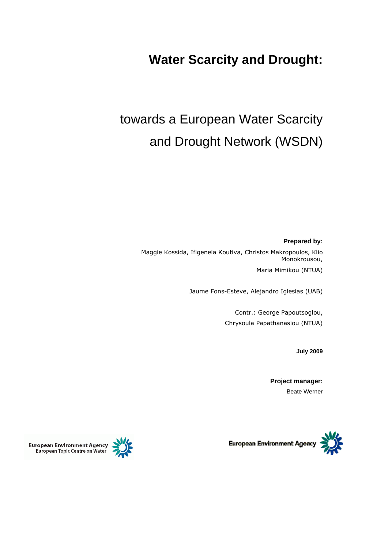# **Water Scarcity and Drought:**

# towards a European Water Scarcity and Drought Network (WSDN)

**Prepared by:**

Maggie Kossida, Ifigeneia Koutiva, Christos Makropoulos, Klio Monokrousou, Maria Mimikou (NTUA)

Jaume Fons-Esteve, Alejandro Iglesias (UAB)

Contr.: George Papoutsoglou, Chrysoula Papathanasiou (NTUA)

**July 2009**

**Project manager:** Beate Werner





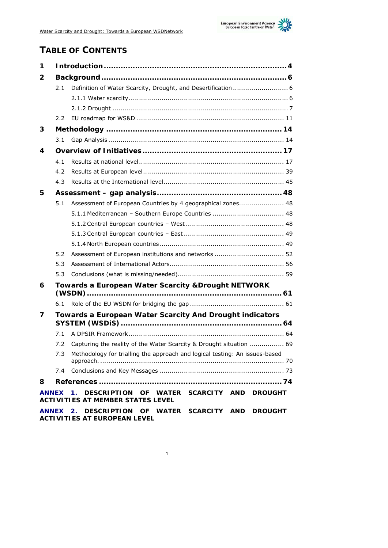

# **TABLE OF CONTENTS**

| 1              |                                                     |                                                                                           |  |  |
|----------------|-----------------------------------------------------|-------------------------------------------------------------------------------------------|--|--|
| 2              |                                                     |                                                                                           |  |  |
|                | 2.1                                                 | Definition of Water Scarcity, Drought, and Desertification 6                              |  |  |
|                |                                                     |                                                                                           |  |  |
|                |                                                     |                                                                                           |  |  |
|                | 2.2                                                 |                                                                                           |  |  |
| 3              |                                                     |                                                                                           |  |  |
|                | 3.1                                                 |                                                                                           |  |  |
| $\overline{4}$ |                                                     |                                                                                           |  |  |
|                | 4.1                                                 |                                                                                           |  |  |
|                | 4.2                                                 |                                                                                           |  |  |
|                | 4.3                                                 |                                                                                           |  |  |
| 5              |                                                     |                                                                                           |  |  |
|                | 5.1                                                 | Assessment of European Countries by 4 geographical zones 48                               |  |  |
|                |                                                     | 5.1.1 Mediterranean - Southern Europe Countries  48                                       |  |  |
|                |                                                     |                                                                                           |  |  |
|                |                                                     |                                                                                           |  |  |
|                |                                                     |                                                                                           |  |  |
|                | 5.2                                                 | Assessment of European institutions and networks  52                                      |  |  |
|                | 5.3                                                 |                                                                                           |  |  |
|                | 5.3                                                 |                                                                                           |  |  |
| 6              | Towards a European Water Scarcity & Drought NETWORK |                                                                                           |  |  |
|                |                                                     |                                                                                           |  |  |
| 7              |                                                     | Towards a European Water Scarcity And Drought indicators                                  |  |  |
|                | 7.1                                                 |                                                                                           |  |  |
|                | 7.2                                                 | Capturing the reality of the Water Scarcity & Drought situation  69                       |  |  |
|                | 7.3                                                 | Methodology for trialling the approach and logical testing: An issues-based               |  |  |
|                |                                                     |                                                                                           |  |  |
| 8              |                                                     |                                                                                           |  |  |
| <b>ANNEX</b>   |                                                     | 1. DESCRIPTION OF WATER SCARCITY AND DROUGHT<br><b>ACTIVITIES AT MEMBER STATES LEVEL</b>  |  |  |
|                |                                                     | ANNEX 2. DESCRIPTION OF WATER SCARCITY AND DROUGHT<br><b>ACTIVITIES AT EUROPEAN LEVEL</b> |  |  |

1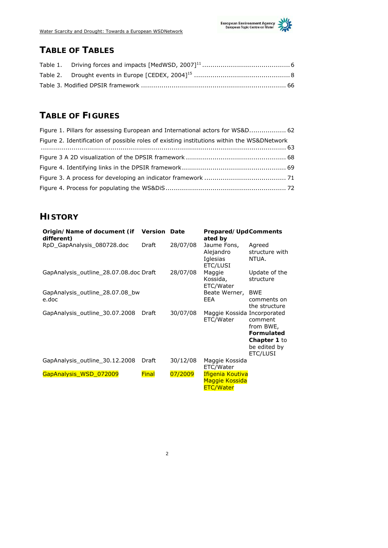

# **TABLE OF TABLES**

# **TABLE OF FIGURES**

| Figure 1. Pillars for assessing European and International actors for WS&D 62              |  |
|--------------------------------------------------------------------------------------------|--|
| Figure 2. Identification of possible roles of existing institutions within the WS&DNetwork |  |
|                                                                                            |  |
|                                                                                            |  |
|                                                                                            |  |
|                                                                                            |  |
|                                                                                            |  |

## **HISTORY**

| Origin/Name of document (if<br>different) | <b>Version Date</b> |          | Prepared/UpdComments<br>ated by                               |                                                                                       |
|-------------------------------------------|---------------------|----------|---------------------------------------------------------------|---------------------------------------------------------------------------------------|
| RpD_GapAnalysis_080728.doc                | Draft               | 28/07/08 | Jaume Fons,<br>Alejandro<br>Iglesias<br>ETC/LUSI              | Agreed<br>structure with<br>NTUA.                                                     |
| GapAnalysis outline 28.07.08.doc Draft    |                     | 28/07/08 | Maggie<br>Kossida,<br>ETC/Water                               | Update of the<br>structure                                                            |
| GapAnalysis_outline_28.07.08_bw<br>e.doc  |                     |          | Beate Werner,<br>EEA                                          | <b>BWE</b><br>comments on<br>the structure                                            |
| GapAnalysis outline 30.07.2008            | Draft               | 30/07/08 | Maggie Kossida Incorporated<br>ETC/Water                      | comment<br>from BWE,<br><b>Formulated</b><br>Chapter 1 to<br>be edited by<br>ETC/LUSI |
| GapAnalysis_outline_30.12.2008            | Draft               | 30/12/08 | Maggie Kossida<br>ETC/Water                                   |                                                                                       |
| GapAnalysis_WSD_072009                    | <b>Final</b>        | 07/2009  | Ifigenia Koutiva<br><b>Maggie Kossida</b><br><b>ETC/Water</b> |                                                                                       |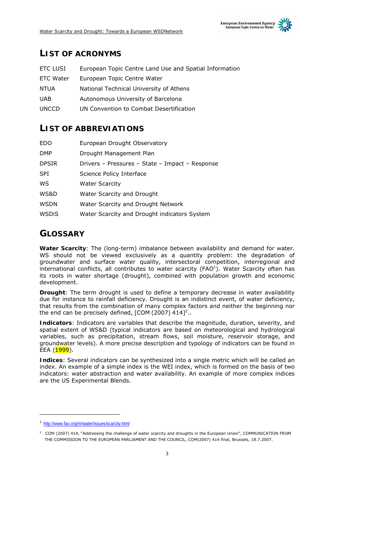

### **LIST OF ACRONYMS**

| ETC LUSI     | European Topic Centre Land Use and Spatial Information |
|--------------|--------------------------------------------------------|
| ETC Water    | European Topic Centre Water                            |
| NTUA         | National Technical University of Athens                |
| <b>UAB</b>   | Autonomous University of Barcelona                     |
| <b>UNCCD</b> | UN Convention to Combat Desertification                |

### **LIST OF ABBREVIATIONS**

| Drivers – Pressures – State – Impact – Response |
|-------------------------------------------------|
|                                                 |
|                                                 |
|                                                 |
|                                                 |
|                                                 |
| Water Scarcity and Drought indicators System    |

### **GLOSSARY**

**Water Scarcity**: The (long-term) imbalance between availability and demand for water. WS should not be viewed exclusively as a quantity problem: the degradation of groundwater and surface water quality, intersectoral competition, interregional and international conflicts, all contributes to water scarcity  $(FAO<sup>1</sup>)$ . Water Scarcity often has its roots in water shortage (drought), combined with population growth and economic development.

**Drought**: The term drought is used to define a temporary decrease in water availability due for instance to rainfall deficiency. Drought is an indistinct event, of water deficiency, that results from the combination of many complex factors and neither the beginning nor the end can be precisely defined,  $[COM (2007) 414]<sup>2</sup>$ ..

**Indicators**: Indicators are variables that describe the magnitude, duration, severity, and spatial extent of WS&D (typical indicators are based on meteorological and hydrological variables, such as precipitation, stream flows, soil moisture, reservoir storage, and groundwater levels). A more precise description and typology of indicators can be found in EEA (1999).

**Indices**: Several indicators can be synthesized into a single metric which will be called an *index*. An example of a simple index is the WEI index, which is formed on the basis of two indicators: water abstraction and water availability. An example of more complex indices are the US Experimental Blends.

-

<sup>1</sup> http://www.fao.org/nr/water/issues/scarcity.html

 $2$  COM (2007) 414, "Addressing the challenge of water scarcity and droughts in the European Union", COMMUNICATION FROM THE COMMISSION TO THE EUROPEAN PARLIAMENT AND THE COUNCIL, COM(2007) 414 final, Brussels, 18.7.2007.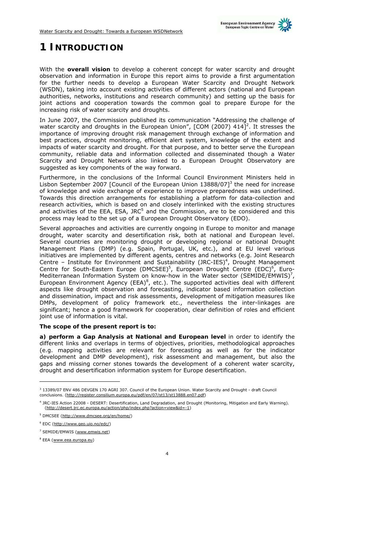

# **1 INTRODUCTION**

With the **overall vision** to develop a coherent concept for water scarcity and drought observation and information in Europe this report aims to provide a first argumentation for the further needs to develop a European Water Scarcity and Drought Network (WSDN), taking into account existing activities of different actors (national and European authorities, networks, institutions and research community) and setting up the basis for joint actions and cooperation towards the common goal to prepare Europe for the increasing risk of water scarcity and droughts.

In June 2007, the Commission published its communication "Addressing the challenge of water scarcity and droughts in the European Union", [COM (2007)  $414$ ]<sup>2</sup>. It stresses the importance of improving drought risk management through exchange of information and best practices, drought monitoring, efficient alert system, knowledge of the extent and impacts of water scarcity and drought. For that purpose, and to better serve the European community, reliable data and information collected and disseminated though a Water Scarcity and Drought Network also linked to a European Drought Observatory are suggested as key components of the way forward.

Furthermore, in the conclusions of the Informal Council Environment Ministers held in Lisbon September 2007 [Council of the European Union  $13888/07$ ]<sup>3</sup> the need for increase of knowledge and wide exchange of experience to improve preparedness was underlined. Towards this direction arrangements for establishing a platform for data-collection and research activities, which is based on and closely interlinked with the existing structures and activities of the EEA, ESA, JRC<sup>5</sup> and the Commission, are to be considered and this process may lead to the set up of a European Drought Observatory (EDO).

Several approaches and activities are currently ongoing in Europe to monitor and manage drought, water scarcity and desertification risk, both at national and European level. Several countries are monitoring drought or developing regional or national Drought Management Plans (DMP) (e.g. Spain, Portugal, UK, etc.), and at EU level various initiatives are implemented by different agents, centres and networks (e.g. Joint Research Centre - Institute for Environment and Sustainability (JRC-IES)<sup>4</sup>, Drought Management Centre for South-Eastern Europe (DMCSEE)<sup>5</sup>, European Drought Centre (EDC)<sup>6</sup>, Euro-Mediterranean Information System on know-how in the Water sector (SEMIDE/EMWIS)<sup>7</sup>, European Environment Agency ( $EEA$ <sup>8</sup>, etc.). The supported activities deal with different aspects like drought observation and forecasting, indicator based information collection and dissemination, impact and risk assessments, development of mitigation measures like DMPs, development of policy framework etc., nevertheless the inter-linkages are significant; hence a good framework for cooperation, clear definition of roles and efficient joint use of information is vital.

#### **The scope of the present report is to:**

**a) perform a Gap Analysis at National and European level** in order to identify the different links and overlaps in terms of objectives, priorities, methodological approaches (e.g. mapping activities are relevant for forecasting as well as for the indicator development and DMP development), risk assessment and management, but also the gaps and missing corner stones towards the development of a coherent water scarcity, drought and desertification information system for Europe desertification.

-

<sup>&</sup>lt;sup>3</sup> 13389/07 ENV 486 DEVGEN 170 AGRI 307. Council of the European Union. Water Scarcity and Drought - draft Council conclusions. (http://register.consilium.europa.eu/pdf/en/07/st13/st13888.en07.pdf)

<sup>4</sup> JRC-IES Action 22008 - DESERT: Desertification, Land Degradation, and Drought (Monitoring, Mitigation and Early Warning). (http://desert.jrc.ec.europa.eu/action/php/index.php?action=view&id=-1)

<sup>5</sup> DMCSEE (http://www.dmcsee.org/en/home/)

<sup>6</sup> EDC (http://www.geo.uio.no/edc/)

<sup>7</sup> SEMIDE/EMWIS (www.emwis.net)

<sup>&</sup>lt;sup>8</sup> EEA (www.eea.europa.eu)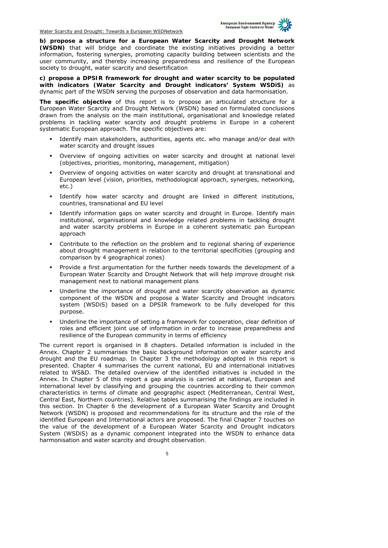

**b) propose a structure for a European Water Scarcity and Drought Network (WSDN)** that will bridge and coordinate the existing initiatives providing a better information, fostering synergies, promoting capacity building between scientists and the user community, and thereby increasing preparedness and resilience of the European society to drought, water scarcity and desertification

**c) propose a DPSIR framework for drought and water scarcity to be populated with indicators (Water Scarcity and Drought indicators' System WSDiS)** as dynamic part of the WSDN serving the purposes of observation and data harmonisation.

**The specific objective** of this report is to propose an articulated structure for a European Water Scarcity and Drought Network (WSDN) based on formulated conclusions drawn from the analysis on the main institutional, organisational and knowledge related problems in tackling water scarcity and drought problems in Europe in a coherent systematic European approach. The specific objectives are:

- Identify main stakeholders, authorities, agents etc. who manage and/or deal with water scarcity and drought issues
- Overview of ongoing activities on water scarcity and drought at national level (objectives, priorities, monitoring, management, mitigation)
- Overview of ongoing activities on water scarcity and drought at transnational and European level (vision, priorities, methodological approach, synergies, networking, etc.)
- Identify how water scarcity and drought are linked in different institutions, countries, transnational and EU level
- Identify information gaps on water scarcity and drought in Europe. Identify main institutional, organisational and knowledge related problems in tackling drought and water scarcity problems in Europe in a coherent systematic pan European approach
- Contribute to the reflection on the problem and to regional sharing of experience about drought management in relation to the territorial specificities (grouping and comparison by 4 geographical zones)
- Provide a first argumentation for the further needs towards the development of a European Water Scarcity and Drought Network that will help improve drought risk management next to national management plans
- Underline the importance of drought and water scarcity observation as dynamic component of the WSDN and propose a Water Scarcity and Drought indicators system (WSDiS) based on a DPSIR framework to be fully developed for this purpose.
- Underline the importance of setting a framework for cooperation, clear definition of roles and efficient joint use of information in order to increase preparedness and resilience of the European community in terms of efficiency

The current report is organised in 8 chapters. Detailed information is included in the Annex. Chapter 2 summarises the basic background information on water scarcity and drought and the EU roadmap. In Chapter 3 the methodology adopted in this report is presented. Chapter 4 summarises the current national, EU and international initiatives related to WS&D. The detailed overview of the identified initiatives is included in the Annex. In Chapter 5 of this report a gap analysis is carried at national, European and international level by classifying and grouping the countries according to their common characteristics in terms of climate and geographic aspect (Mediterranean, Central West, Central East, Northern countries). Relative tables summarising the findings are included in this section. In Chapter 6 the development of a European Water Scarcity and Drought Network (WSDN) is proposed and recommendations for its structure and the role of the identified European and International actors are proposed. The final Chapter 7 touches on the value of the development of a European Water Scarcity and Drought indicators System (WSDiS) as a dynamic component integrated into the WSDN to enhance data harmonisation and water scarcity and drought observation.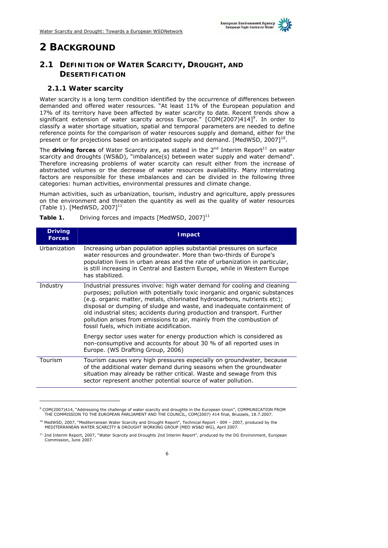

# **2 BACKGROUND**

-

### **2.1 DEFINITION OF WATER SCARCITY, DROUGHT, AND DESERTIFICATION**

#### **2.1.1 Water scarcity**

Water scarcity is a long term condition identified by the occurrence of differences between demanded and offered water resources. "At least 11% of the European population and 17% of its territory have been affected by water scarcity to date. Recent trends show a significant extension of water scarcity across Europe."  $[COM(2007)414]$ <sup>9</sup>. In order to classify a water shortage situation, spatial and temporal parameters are needed to define reference points for the comparison of water resources supply and demand, either for the present or for projections based on anticipated supply and demand. [MedWSD, 2007]<sup>10</sup>.

The **driving forces** of Water Scarcity are, as stated in the  $2^{nd}$  Interim Report<sup>11</sup> on water scarcity and droughts (WS&D), "imbalance(s) between water supply and water demand". Therefore increasing problems of water scarcity can result either from the increase of abstracted volumes or the decrease of water resources availability. Many interrelating factors are responsible for these imbalances and can be divided in the following three categories: human activities, environmental pressures and climate change.

Human activities, such as urbanization, tourism, industry and agriculture, apply pressures on the environment and threaten the quantity as well as the quality of water resources (Table 1). [MedWSD, 2007] $^{11}$ 

| <b>Driving</b><br><b>Forces</b> | <b>Impact</b>                                                                                                                                                                                                                                                                                                                                                                                                                                                                                                    |
|---------------------------------|------------------------------------------------------------------------------------------------------------------------------------------------------------------------------------------------------------------------------------------------------------------------------------------------------------------------------------------------------------------------------------------------------------------------------------------------------------------------------------------------------------------|
| Urbanization                    | Increasing urban population applies substantial pressures on surface<br>water resources and groundwater. More than two-thirds of Europe's<br>population lives in urban areas and the rate of urbanization in particular,<br>is still increasing in Central and Eastern Europe, while in Western Europe<br>has stabilized.                                                                                                                                                                                        |
| Industry                        | Industrial pressures involve: high water demand for cooling and cleaning<br>purposes; pollution with potentially toxic inorganic and organic substances<br>(e.g. organic matter, metals, chlorinated hydrocarbons, nutrients etc);<br>disposal or dumping of sludge and waste, and inadequate containment of<br>old industrial sites; accidents during production and transport. Further<br>pollution arises from emissions to air, mainly from the combustion of<br>fossil fuels, which initiate acidification. |
|                                 | Energy sector uses water for energy production which is considered as<br>non-consumptive and accounts for about 30 % of all reported uses in<br>Europe. (WS Drafting Group, 2006)                                                                                                                                                                                                                                                                                                                                |
| Tourism                         | Tourism causes very high pressures especially on groundwater, because<br>of the additional water demand during seasons when the groundwater<br>situation may already be rather critical. Waste and sewage from this<br>sector represent another potential source of water pollution.                                                                                                                                                                                                                             |

**Table 1.** Driving forces and impacts [MedWSD, 2007]<sup>11</sup>

<sup>9</sup> COM(2007)414, "Addressing the challenge of water scarcity and droughts in the European Union", COMMUNICATION FROM THE COMMISSION TO THE EUROPEAN PARLIAMENT AND THE COUNCIL, COM(2007) 414 final, Brussels, 18.7.2007.

<sup>&</sup>lt;sup>10</sup> MedWSD, 2007, "Mediterranean Water Scarcity and Drought Report", Technical Report - 009 - 2007, produced by the MEDITERRANEAN WATER SCARCITY & DROUGHT WORKING GROUP (MED WS&D WG), April 2007.

<sup>&</sup>lt;sup>11</sup> 2nd Interim Report, 2007, "Water Scarcity and Droughts 2nd Interim Report", produced by the DG Environment, European Commission, June 2007.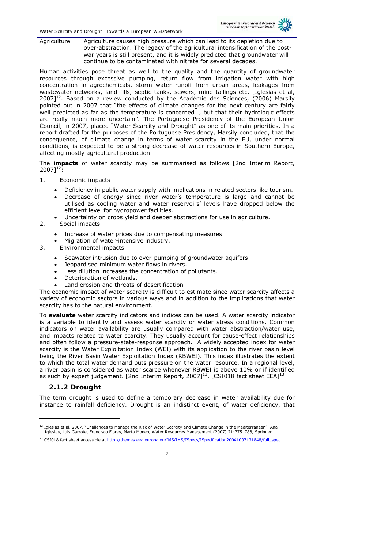

Agriculture Agriculture causes high pressure which can lead to its depletion due to over-abstraction. The legacy of the agricultural intensification of the postwar years is still present, and it is widely predicted that groundwater will continue to be contaminated with nitrate for several decades.

Human activities pose threat as well to the quality and the quantity of groundwater resources through excessive pumping, return flow from irrigation water with high concentration in agrochemicals, storm water runoff from urban areas, leakages from wastewater networks, land fills, septic tanks, sewers, mine tailings etc. [Iglesias et al,  $2007$ <sup>12</sup>. Based on a review conducted by the Académie des Sciences, (2006) Marsily pointed out in 2007 that "the effects of climate changes for the next century are fairly well predicted as far as the temperature is concerned…, but that their hydrologic effects are really much more uncertain". The Portuguese Presidency of the European Union Council, in 2007, placed "Water Scarcity and Drought" as one of its main priorities. In a report drafted for the purposes of the Portuguese Presidency, Marsily concluded, that the consequence, of climate change in terms of water scarcity in the EU, under normal conditions, is expected to be a strong decrease of water resources in Southern Europe, affecting mostly agricultural production.

The **impacts** of water scarcity may be summarised as follows [2nd Interim Report,  $20071^{12}$ :

- 1. Economic impacts
	- Deficiency in public water supply with implications in related sectors like tourism.
	- Decrease of energy since river water's temperature is large and cannot be utilised as cooling water and water reservoirs' levels have dropped below the efficient level for hydropower facilities.
- Uncertainty on crops yield and deeper abstractions for use in agriculture. 2. Social impacts
	- - Increase of water prices due to compensating measures.
		- Migration of water-intensive industry.
- 3. Environmental impacts
	- Seawater intrusion due to over-pumping of groundwater aquifers
	- Jeopardised minimum water flows in rivers.
	- Less dilution increases the concentration of pollutants.
	- Deterioration of wetlands.
	- Land erosion and threats of desertification

The economic impact of water scarcity is difficult to estimate since water scarcity affects a variety of economic sectors in various ways and in addition to the implications that water scarcity has to the natural environment.

To **evaluate** water scarcity indicators and indices can be used. A water scarcity indicator is a variable to identify and assess water scarcity or water stress conditions. Common indicators on water availability are usually compared with water abstraction/water use, and impacts related to water scarcity. They usually account for cause-effect relationships and often follow a pressure-state-response approach. A widely accepted index for water scarcity is the Water Exploitation Index (WEI) with its application to the river basin level being the River Basin Water Exploitation Index (RBWEI). This index illustrates the extent to which the total water demand puts pressure on the water resource. In a regional level, a river basin is considered as water scarce whenever RBWEI is above 10% or if identified as such by expert judgement. [2nd Interim Report, 2007]<sup>12</sup>, [CSI018 fact sheet EEA]<sup>1</sup>

### **2.1.2 Drought**

-

The term drought is used to define a temporary decrease in water availability due for instance to rainfall deficiency. Drought is an indistinct event, of water deficiency, that

<sup>&</sup>lt;sup>12</sup> Iglesias et al, 2007, "Challenges to Manage the Risk of Water Scarcity and Climate Change in the Mediterranean", Ana<br>1995ias, Luis Garrote, Francisco Flores, Marta Moneo, Water Resources Management (2007) 21:775-788,

<sup>&</sup>lt;sup>13</sup> CSI018 fact sheet accessible at http://themes.eea.europa.eu/IMS/IMS/ISpecs/ISpecification20041007131848/full\_spec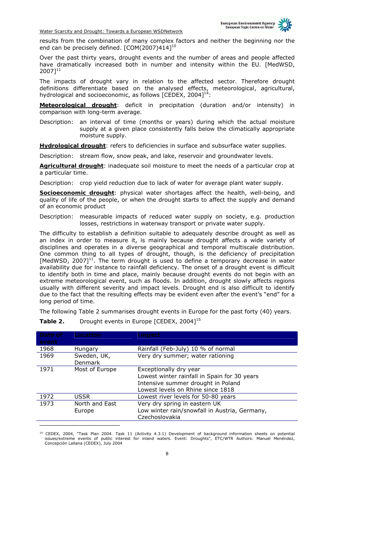

results from the combination of many complex factors and neither the beginning nor the end can be precisely defined.  $[COM(2007)414]^{10}$ 

Over the past thirty years, drought events and the number of areas and people affected have dramatically increased both in number and intensity within the EU. [MedWSD, 2007]11

The impacts of drought vary in relation to the affected sector. Therefore drought definitions differentiate based on the analysed effects, meteorological, agricultural, hydrological and socioeconomic, as follows [CEDEX, 2004] $^{14}$ :

**Meteorological drought**: deficit in precipitation (duration and/or intensity) in comparison with long-term average.

Description: an interval of time (months or years) during which the actual moisture supply at a given place consistently falls below the climatically appropriate moisture supply.

**Hydrological drought**: refers to deficiencies in surface and subsurface water supplies.

Description: stream flow, snow peak, and lake, reservoir and groundwater levels.

**Agricultural drought**: inadequate soil moisture to meet the needs of a particular crop at a particular time.

Description: crop yield reduction due to lack of water for average plant water supply.

**Socioeconomic drought**: physical water shortages affect the health, well-being, and quality of life of the people, or when the drought starts to affect the supply and demand of an economic product

Description: measurable impacts of reduced water supply on society, e.g. production losses, restrictions in waterway transport or private water supply.

The difficulty to establish a definition suitable to adequately describe drought as well as an index in order to measure it, is mainly because drought affects a wide variety of disciplines and operates in a diverse geographical and temporal multiscale distribution. One common thing to all types of drought, though, is the deficiency of precipitation [MedWSD, 2007]<sup>11</sup>. The term drought is used to define a temporary decrease in water availability due for instance to rainfall deficiency. The onset of a drought event is difficult to identify both in time and place, mainly because drought events do not begin with an extreme meteorological event, such as floods. In addition, drought slowly affects regions usually with different severity and impact levels. Drought end is also difficult to identify due to the fact that the resulting effects may be evident even after the event's "end" for a long period of time.

The following Table 2 summarises drought events in Europe for the past forty (40) years.

| Date of | <b>Location</b> | <b>Impact</b>                                 |
|---------|-----------------|-----------------------------------------------|
| event   |                 |                                               |
| 1968    | Hungary         | Rainfall (Feb-July) 10 % of normal            |
| 1969    | Sweden, UK,     | Very dry summer; water rationing              |
|         | <b>Denmark</b>  |                                               |
| 1971    | Most of Europe  | Exceptionally dry year                        |
|         |                 | Lowest winter rainfall in Spain for 30 years  |
|         |                 | Intensive summer drought in Poland            |
|         |                 | Lowest levels on Rhine since 1818             |
| 1972    | USSR            | Lowest river levels for 50-80 years           |
| 1973    | North and East  | Very dry spring in eastern UK                 |
|         | Europe          | Low winter rain/snowfall in Austria, Germany, |
|         |                 | Czechoslovakia                                |

**Table 2.** Drought events in Europe [CEDEX, 2004]<sup>15</sup>

-

<sup>14</sup> CEDEX, 2004, "Task Plan 2004. Task 11 (Activity 4.3.1) Development of background information sheets on potential issues/extreme events of public interest for inland waters. Event: Droughts", ETC/WTR Authors: Manuel Menéndez, Concepción Lallana (CEDEX), July 2004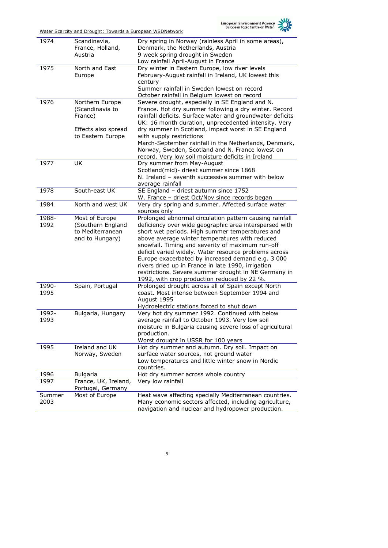

| 1974   | Scandinavia,         | Dry spring in Norway (rainless April in some areas),               |
|--------|----------------------|--------------------------------------------------------------------|
|        | France, Holland,     | Denmark, the Netherlands, Austria                                  |
|        | Austria              | 9 week spring drought in Sweden                                    |
|        |                      | Low rainfall April-August in France                                |
| 1975   | North and East       | Dry winter in Eastern Europe, low river levels                     |
|        | Europe               | February-August rainfall in Ireland, UK lowest this                |
|        |                      | century                                                            |
|        |                      | Summer rainfall in Sweden lowest on record                         |
|        |                      | October rainfall in Belgium lowest on record                       |
| 1976   | Northern Europe      | Severe drought, especially in SE England and N.                    |
|        | (Scandinavia to      | France. Hot dry summer following a dry winter. Record              |
|        | France)              | rainfall deficits. Surface water and groundwater deficits          |
|        |                      | UK: 16 month duration, unprecedented intensity. Very               |
|        | Effects also spread  | dry summer in Scotland, impact worst in SE England                 |
|        | to Eastern Europe    | with supply restrictions                                           |
|        |                      | March-September rainfall in the Netherlands, Denmark,              |
|        |                      | Norway, Sweden, Scotland and N. France lowest on                   |
|        |                      | record. Very low soil moisture deficits in Ireland                 |
| 1977   | <b>UK</b>            | Dry summer from May-August                                         |
|        |                      | Scotland(mid)- driest summer since 1868                            |
|        |                      | N. Ireland - seventh successive summer with below                  |
|        |                      |                                                                    |
|        | South-east UK        | average rainfall<br>SE England - driest autumn since 1752          |
| 1978   |                      |                                                                    |
|        | North and west UK    | W. France - driest Oct/Nov since records began                     |
| 1984   |                      | Very dry spring and summer. Affected surface water<br>sources only |
| 1988-  | Most of Europe       | Prolonged abnormal circulation pattern causing rainfall            |
| 1992   | (Southern England    | deficiency over wide geographic area interspersed with             |
|        | to Mediterranean     | short wet periods. High summer temperatures and                    |
|        | and to Hungary)      | above average winter temperatures with reduced                     |
|        |                      | snowfall. Timing and severity of maximum run-off                   |
|        |                      | deficit varied widely. Water resource problems across              |
|        |                      | Europe exacerbated by increased demand e.g. 3 000                  |
|        |                      | rivers dried up in France in late 1990, irrigation                 |
|        |                      | restrictions. Severe summer drought in NE Germany in               |
|        |                      | 1992, with crop production reduced by 22 %.                        |
| 1990-  | Spain, Portugal      | Prolonged drought across all of Spain except North                 |
| 1995   |                      | coast. Most intense between September 1994 and                     |
|        |                      | August 1995                                                        |
|        |                      | Hydroelectric stations forced to shut down                         |
| 1992-  | Bulgaria, Hungary    | Very hot dry summer 1992. Continued with below                     |
| 1993   |                      | average rainfall to October 1993. Very low soil                    |
|        |                      | moisture in Bulgaria causing severe loss of agricultural           |
|        |                      | production.                                                        |
|        |                      | Worst drought in USSR for 100 years                                |
| 1995   | Ireland and UK       | Hot dry summer and autumn. Dry soil. Impact on                     |
|        | Norway, Sweden       | surface water sources, not ground water                            |
|        |                      | Low temperatures and little winter snow in Nordic                  |
|        |                      | countries.                                                         |
| 1996   | <b>Bulgaria</b>      | Hot dry summer across whole country                                |
| 1997   | France, UK, Ireland, | Very low rainfall                                                  |
|        | Portugal, Germany    |                                                                    |
| Summer | Most of Europe       | Heat wave affecting specially Mediterranean countries.             |
| 2003   |                      | Many economic sectors affected, including agriculture,             |
|        |                      | navigation and nuclear and hydropower production.                  |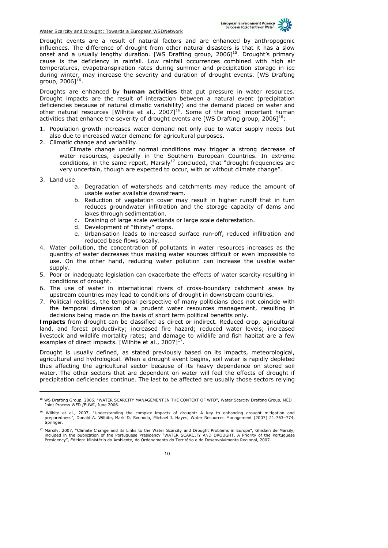

Drought events are a result of natural factors and are enhanced by anthropogenic influences. The difference of drought from other natural disasters is that it has a slow onset and a usually lengthy duration. [WS Drafting group,  $20061<sup>15</sup>$ . Drought's primary cause is the deficiency in rainfall. Low rainfall occurrences combined with high air temperatures, evapotranspiration rates during summer and precipitation storage in ice during winter, may increase the severity and duration of drought events. [WS Drafting group, 2006]<sup>16</sup>.

Droughts are enhanced by **human activities** that put pressure in water resources. Drought impacts are the result of interaction between a natural event (precipitation deficiencies because of natural climatic variability) and the demand placed on water and other natural resources [Wilhite et al., 2007]<sup>16</sup>. Some of the most important human activities that enhance the severity of drought events are [WS Drafting group, 2006]<sup>16</sup>:

- 1. Population growth increases water demand not only due to water supply needs but also due to increased water demand for agricultural purposes.
- 2. Climatic change and variability.

Climate change under normal conditions may trigger a strong decrease of water resources, especially in the Southern European Countries. In extreme conditions, in the same report, Marsily<sup>17</sup> concluded, that "drought frequencies are very uncertain, though are expected to occur, with or without climate change".

3. Land use

-

- a. Degradation of watersheds and catchments may reduce the amount of usable water available downstream.
- b. Reduction of vegetation cover may result in higher runoff that in turn reduces groundwater infiltration and the storage capacity of dams and lakes through sedimentation.
- c. Draining of large scale wetlands or large scale deforestation.
- d. Development of "thirsty" crops.
- e. Urbanisation leads to increased surface run-off, reduced infiltration and reduced base flows locally.
- 4. Water pollution, the concentration of pollutants in water resources increases as the quantity of water decreases thus making water sources difficult or even impossible to use. On the other hand, reducing water pollution can increase the usable water supply.
- 5. Poor or inadequate legislation can exacerbate the effects of water scarcity resulting in conditions of drought.
- 6. The use of water in international rivers of cross-boundary catchment areas by upstream countries may lead to conditions of drought in downstream countries.
- 7. Political realities, the temporal perspective of many politicians does not coincide with the temporal dimension of a prudent water resources management, resulting in decisions being made on the basis of short term political benefits only.

**Impacts** from drought can be classified as direct or indirect. Reduced crop, agricultural land, and forest productivity; increased fire hazard; reduced water levels; increased livestock and wildlife mortality rates; and damage to wildlife and fish habitat are a few examples of direct impacts. [Wilhite et al., 2007] $^{17}$ .

Drought is usually defined, as stated previously based on its impacts, meteorological, agricultural and hydrological. When a drought event begins, soil water is rapidly depleted thus affecting the agricultural sector because of its heavy dependence on stored soil water. The other sectors that are dependent on water will feel the effects of drought if precipitation deficiencies continue. The last to be affected are usually those sectors relying

<sup>&</sup>lt;sup>15</sup> WS Drafting Group, 2006, "WATER SCARCITY MANAGEMENT IN THE CONTEXT OF WFD", Water Scarcity Drafting Group, MED Joint Process WFD /EUWI, June 2006.

<sup>&</sup>lt;sup>16</sup> Wilhite et al., 2007, "Understanding the complex impacts of drought: A key to enhancing drought mitigation and preparedness", Donald A. Wilhite, Mark D. Svoboda, Michael J. Hayes, Water Resources Management (2007) 21:763–774, Springer.

<sup>&</sup>lt;sup>17</sup> Marsily, 2007, "Climate Change and its Links to the Water Scarcity and Drought Problems in Europe", Ghislain de Marsily,<br>included in the publication of the Portuguese Presidency "WATER SCARCITY AND DROUGHT, A Priority Presidency", Edition: Ministério do Ambiente, do Ordenamento do Território e do Desenvolvimento Regional, 2007.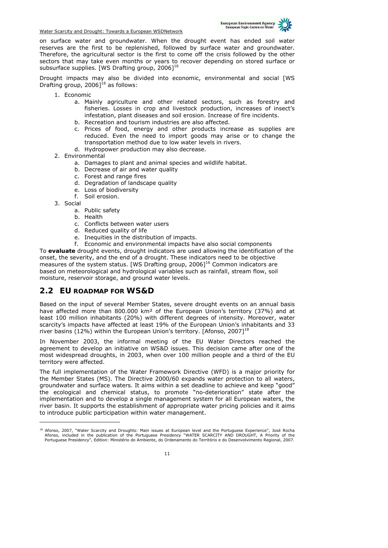

on surface water and groundwater. When the drought event has ended soil water reserves are the first to be replenished, followed by surface water and groundwater. Therefore, the agricultural sector is the first to come off the crisis followed by the other sectors that may take even months or years to recover depending on stored surface or subsurface supplies. [WS Drafting group, 2006]<sup>16</sup>

Drought impacts may also be divided into economic, environmental and social [WS Drafting group,  $2006$ <sup>16</sup> as follows:

- 1. Economic
	- a. Mainly agriculture and other related sectors, such as forestry and fisheries. Losses in crop and livestock production, increases of insect's infestation, plant diseases and soil erosion. Increase of fire incidents.
	- b. Recreation and tourism industries are also affected.
	- c. Prices of food, energy and other products increase as supplies are reduced. Even the need to import goods may arise or to change the transportation method due to low water levels in rivers.
	- d. Hydropower production may also decrease.
- 2. Environmental
	- a. Damages to plant and animal species and wildlife habitat.
	- b. Decrease of air and water quality
	- c. Forest and range fires
	- d. Degradation of landscape quality
	- e. Loss of biodiversity
	- f. Soil erosion.
- 3. Social

-

- a. Public safety
- b. Health
- c. Conflicts between water users
- d. Reduced quality of life
- e. Inequities in the distribution of impacts.<br>f. Economic and environment in the Universe
- Economic and environmental impacts have also social components

To **evaluate** drought events, drought indicators are used allowing the identification of the onset, the severity, and the end of a drought. These indicators need to be objective measures of the system status. [WS Drafting group,  $2006$ ]<sup>16</sup> Common indicators are based on meteorological and hydrological variables such as rainfall, stream flow, soil moisture, reservoir storage, and ground water levels.

### **2.2 EU ROADMAP FOR WS&D**

Based on the input of several Member States, severe drought events on an annual basis have affected more than 800.000 km<sup>2</sup> of the European Union's territory (37%) and at least 100 million inhabitants (20%) with different degrees of intensity. Moreover, water scarcity's impacts have affected at least 19% of the European Union's inhabitants and 33 river basins (12%) within the European Union's territory. [Afonso, 2007]<sup>18</sup>

In November 2003, the informal meeting of the EU Water Directors reached the agreement to develop an initiative on WS&D issues. This decision came after one of the most widespread droughts, in 2003, when over 100 million people and a third of the EU territory were affected.

The full implementation of the Water Framework Directive (WFD) is a major priority for the Member States (MS). The Directive 2000/60 expands water protection to all waters, groundwater and surface waters. It aims within a set deadline to achieve and keep "good" the ecological and chemical status, to promote "no-deterioration" state after the implementation and to develop a single management system for all European waters, the river basin. It supports the establishment of appropriate water pricing policies and it aims to introduce public participation within water management.

<sup>&</sup>lt;sup>18</sup> Afonso, 2007, "Water Scarcity and Droughts: Main issues at European level and the Portuguese Experience", José Rocha<br>Afonso, included in the publication of the Portuguese Presidency "WATER SCARCITY AND DROUGHT, A Prio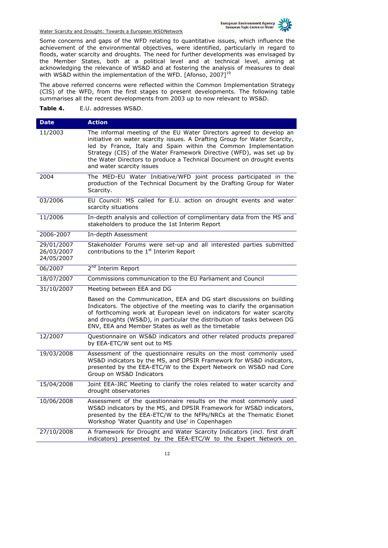

Some concerns and gaps of the WFD relating to quantitative issues, which influence the achievement of the environmental objectives, were identified, particularly in regard to floods, water scarcity and droughts. The need for further developments was envisaged by the Member States, both at a political level and at technical level, aiming at acknowledging the relevance of WS&D and at fostering the analysis of measures to deal with WS&D within the implementation of the WFD. [Afonso, 2007]<sup>19</sup>

The above referred concerns were reflected within the Common Implementation Strategy (CIS) of the WFD, from the first stages to present developments. The following table summarises all the recent developments from 2003 up to now relevant to WS&D.

**Table 4.** E.U. addresses WS&D.

| <b>Date</b>                            | <b>Action</b>                                                                                                                                                                                                                                                                                                                                                                                     |
|----------------------------------------|---------------------------------------------------------------------------------------------------------------------------------------------------------------------------------------------------------------------------------------------------------------------------------------------------------------------------------------------------------------------------------------------------|
| 11/2003                                | The informal meeting of the EU Water Directors agreed to develop an<br>initiative on water scarcity issues. A Drafting Group for Water Scarcity,<br>led by France, Italy and Spain within the Common Implementation<br>Strategy (CIS) of the Water Framework Directive (WFD), was set up by<br>the Water Directors to produce a Technical Document on drought events<br>and water scarcity issues |
| 2004                                   | The MED-EU Water Initiative/WFD joint process participated in the<br>production of the Technical Document by the Drafting Group for Water<br>Scarcity.                                                                                                                                                                                                                                            |
| 03/2006                                | EU Council: MS called for E.U. action on drought events and water<br>scarcity situations                                                                                                                                                                                                                                                                                                          |
| 11/2006                                | In-depth analysis and collection of complimentary data from the MS and<br>stakeholders to produce the 1st Interim Report                                                                                                                                                                                                                                                                          |
| 2006-2007                              | In-depth Assessment                                                                                                                                                                                                                                                                                                                                                                               |
| 29/01/2007<br>26/03/2007<br>24/05/2007 | Stakeholder Forums were set-up and all interested parties submitted<br>contributions to the 1 <sup>st</sup> Interim Report                                                                                                                                                                                                                                                                        |
| 06/2007                                | 2 <sup>nd</sup> Interim Report                                                                                                                                                                                                                                                                                                                                                                    |
| 18/07/2007                             | Commissions communication to the EU Parliament and Council                                                                                                                                                                                                                                                                                                                                        |
| 31/10/2007                             | Meeting between EEA and DG                                                                                                                                                                                                                                                                                                                                                                        |
|                                        | Based on the Communication, EEA and DG start discussions on building<br>Indicators. The objective of the meeting was to clarify the organisation<br>of forthcoming work at European level on indicators for water scarcity<br>and droughts (WS&D), in particular the distribution of tasks between DG<br>ENV, EEA and Member States as well as the timetable                                      |
| 12/2007                                | Questionnaire on WS&D indicators and other related products prepared<br>by EEA-ETC/W sent out to MS                                                                                                                                                                                                                                                                                               |
| 19/03/2008                             | Assessment of the questionnaire results on the most commonly used<br>WS&D indicators by the MS, and DPSIR Framework for WS&D indicators,<br>presented by the EEA-ETC/W to the Expert Network on WS&D nad Core<br>Group on WS&D Indicators                                                                                                                                                         |
| 15/04/2008                             | Joint EEA-JRC Meeting to clarify the roles related to water scarcity and<br>drought observatories                                                                                                                                                                                                                                                                                                 |
| 10/06/2008                             | Assessment of the questionnaire results on the most commonly used<br>WS&D indicators by the MS, and DPSIR Framework for WS&D indicators,<br>presented by the EEA-ETC/W to the NFPs/NRCs at the Thematic Eionet<br>Workshop 'Water Quantity and Use' in Copenhagen                                                                                                                                 |
| 27/10/2008                             | A framework for Drought and Water Scarcity Indicators (incl. first draft<br>indicators) presented by the EEA-ETC/W to the Expert Network on                                                                                                                                                                                                                                                       |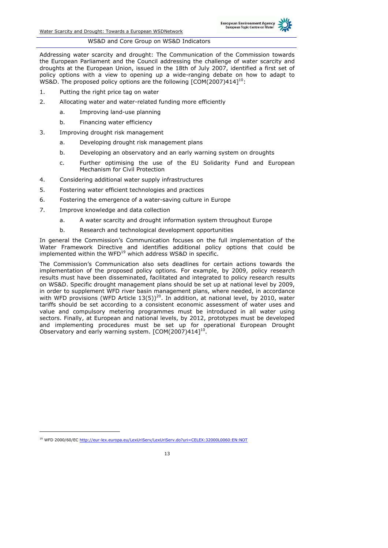

#### WS&D and Core Group on WS&D Indicators

Addressing water scarcity and drought: The Communication of the Commission towards the European Parliament and the Council addressing the challenge of water scarcity and droughts at the European Union, issued in the 18th of July 2007, identified a first set of policy options with a view to opening up a wide-ranging debate on how to adapt to WS&D. The proposed policy options are the following [COM(2007)414]<sup>10</sup>:

- 1. Putting the right price tag on water
- 2. Allocating water and water-related funding more efficiently
	- a. Improving land-use planning
		- b. Financing water efficiency
- 3. Improving drought risk management
	- a. Developing drought risk management plans
	- b. Developing an observatory and an early warning system on droughts
	- c. Further optimising the use of the EU Solidarity Fund and European Mechanism for Civil Protection
- 4. Considering additional water supply infrastructures
- 5. Fostering water efficient technologies and practices
- 6. Fostering the emergence of a water-saving culture in Europe
- 7. Improve knowledge and data collection
	- a. A water scarcity and drought information system throughout Europe
	- b. Research and technological development opportunities

In general the Commission's Communication focuses on the full implementation of the Water Framework Directive and identifies additional policy options that could be implemented within the WFD $^{19}$  which address WS&D in specific.

The Commission's Communication also sets deadlines for certain actions towards the implementation of the proposed policy options. For example, by 2009, policy research results must have been disseminated, facilitated and integrated to policy research results on WS&D. Specific drought management plans should be set up at national level by 2009, in order to supplement WFD river basin management plans, where needed, in accordance with WFD provisions (WFD Article  $13(5)$ )<sup>20</sup>. In addition, at national level, by 2010, water tariffs should be set according to a consistent economic assessment of water uses and value and compulsory metering programmes must be introduced in all water using sectors. Finally, at European and national levels, by 2012, prototypes must be developed and implementing procedures must be set up for operational European Drought Observatory and early warning system. [COM(2007)414]<sup>10</sup>.

-

<sup>19</sup> WFD 2000/60/EC http://eur-lex.europa.eu/LexUriServ/LexUriServ.do?uri=CELEX:32000L0060:EN:NOT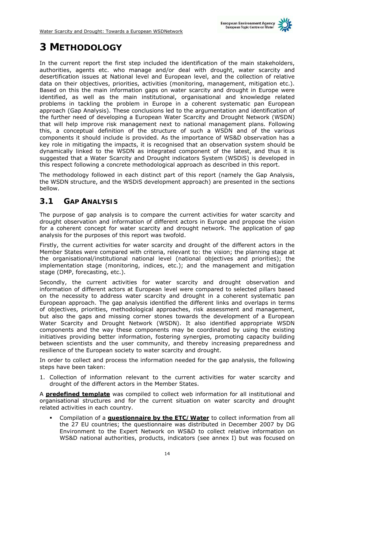

# **3 METHODOLOGY**

In the current report the first step included the identification of the main stakeholders, authorities, agents etc. who manage and/or deal with drought, water scarcity and desertification issues at National level and European level, and the collection of relative data on their objectives, priorities, activities (monitoring, management, mitigation etc.). Based on this the main information gaps on water scarcity and drought in Europe were identified, as well as the main institutional, organisational and knowledge related problems in tackling the problem in Europe in a coherent systematic pan European approach (Gap Analysis). These conclusions led to the argumentation and identification of the further need of developing a European Water Scarcity and Drought Network (WSDN) that will help improve risk management next to national management plans. Following this, a conceptual definition of the structure of such a WSDN and of the various components it should include is provided. As the importance of WS&D observation has a key role in mitigating the impacts, it is recognised that an observation system should be dynamically linked to the WSDN as integrated component of the latest, and thus it is suggested that a Water Scarcity and Drought indicators System (WSDiS) is developed in this respect following a concrete methodological approach as described in this report.

The methodology followed in each distinct part of this report (namely the Gap Analysis, the WSDN structure, and the WSDiS development approach) are presented in the sections bellow.

### **3.1 GAP ANALYSIS**

The purpose of gap analysis is to compare the current activities for water scarcity and drought observation and information of different actors in Europe and propose the vision for a coherent concept for water scarcity and drought network. The application of gap analysis for the purposes of this report was twofold.

Firstly, the current activities for water scarcity and drought of the different actors in the Member States were compared with criteria, relevant to: the vision; the planning stage at the organisational/institutional national level (national objectives and priorities); the implementation stage (monitoring, indices, etc.); and the management and mitigation stage (DMP, forecasting, etc.).

Secondly, the current activities for water scarcity and drought observation and information of different actors at European level were compared to selected pillars based on the necessity to address water scarcity and drought in a coherent systematic pan European approach. The gap analysis identified the different links and overlaps in terms of objectives, priorities, methodological approaches, risk assessment and management, but also the gaps and missing corner stones towards the development of a European Water Scarcity and Drought Network (WSDN). It also identified appropriate WSDN components and the way these components may be coordinated by using the existing initiatives providing better information, fostering synergies, promoting capacity building between scientists and the user community, and thereby increasing preparedness and resilience of the European society to water scarcity and drought.

In order to collect and process the information needed for the gap analysis, the following steps have been taken:

1. Collection of information relevant to the current activities for water scarcity and drought of the different actors in the Member States.

A **predefined template** was compiled to collect web information for all institutional and organisational structures and for the current situation on water scarcity and drought related activities in each country.

 Compilation of a **questionnaire by the ETC/Water** to collect information from all the 27 EU countries; the questionnaire was distributed in December 2007 by DG Environment to the Expert Network on WS&D to collect relative information on WS&D national authorities, products, indicators (see annex I) but was focused on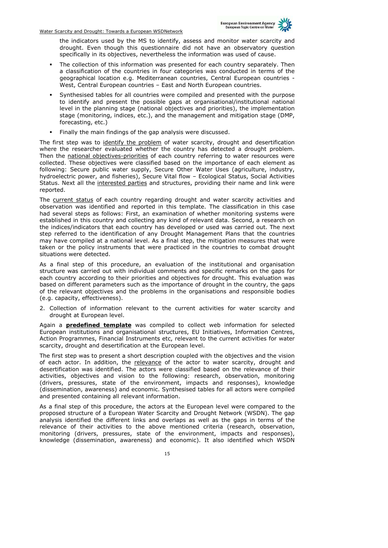

the indicators used by the MS to identify, assess and monitor water scarcity and drought. Even though this questionnaire did not have an observatory question specifically in its objectives, nevertheless the information was used of cause.

- The collection of this information was presented for each country separately. Then a classification of the countries in four categories was conducted in terms of the geographical location e.g. Mediterranean countries, Central European countries - West, Central European countries – East and North European countries.
- Synthesised tables for all countries were compiled and presented with the purpose to identify and present the possible gaps at organisational/institutional national level in the planning stage (national objectives and priorities), the implementation stage (monitoring, indices, etc.), and the management and mitigation stage (DMP, forecasting, etc.)
- Finally the main findings of the gap analysis were discussed.

The first step was to identify the problem of water scarcity, drought and desertification where the researcher evaluated whether the country has detected a drought problem. Then the national objectives-priorities of each country referring to water resources were collected. These objectives were classified based on the importance of each element as following: Secure public water supply, Secure Other Water Uses (agriculture, industry, hydroelectric power, and fisheries), Secure Vital flow – Ecological Status, Social Activities Status. Next all the interested parties and structures, providing their name and link were reported.

The current status of each country regarding drought and water scarcity activities and observation was identified and reported in this template. The classification in this case had several steps as follows: First, an examination of whether monitoring systems were established in this country and collecting any kind of relevant data. Second, a research on the indices/indicators that each country has developed or used was carried out. The next step referred to the identification of any Drought Management Plans that the countries may have compiled at a national level. As a final step, the mitigation measures that were taken or the policy instruments that were practiced in the countries to combat drought situations were detected.

As a final step of this procedure, an evaluation of the institutional and organisation structure was carried out with individual comments and specific remarks on the gaps for each country according to their priorities and objectives for drought. This evaluation was based on different parameters such as the importance of drought in the country, the gaps of the relevant objectives and the problems in the organisations and responsible bodies (e.g. capacity, effectiveness).

2. Collection of information relevant to the current activities for water scarcity and drought at European level.

Again a **predefined template** was compiled to collect web information for selected European institutions and organisational structures, EU Initiatives, Information Centres, Action Programmes, Financial Instruments etc, relevant to the current activities for water scarcity, drought and desertification at the European level.

The first step was to present a short description coupled with the objectives and the vision of each actor. In addition, the relevance of the actor to water scarcity, drought and desertification was identified. The actors were classified based on the relevance of their activities, objectives and vision to the following: research, observation, monitoring (drivers, pressures, state of the environment, impacts and responses), knowledge (dissemination, awareness) and economic. Synthesised tables for all actors were compiled and presented containing all relevant information.

As a final step of this procedure, the actors at the European level were compared to the proposed structure of a European Water Scarcity and Drought Network (WSDN). The gap analysis identified the different links and overlaps as well as the gaps in terms of the relevance of their activities to the above mentioned criteria (research, observation, monitoring (drivers, pressures, state of the environment, impacts and responses), knowledge (dissemination, awareness) and economic). It also identified which WSDN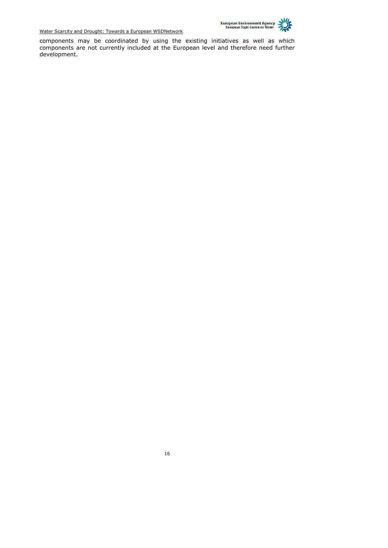

components may be coordinated by using the existing initiatives as well as which components are not currently included at the European level and therefore need further development.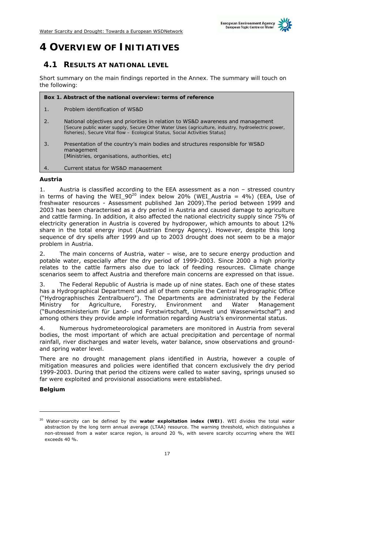

## **4 OVERVIEW OF INITIATIVES**

### **4.1 RESULTS AT NATIONAL LEVEL**

*Short summary on the main findings reported in the Annex. The summary will touch on the following:* 

**Box 1. Abstract of the national overview: terms of reference** 

1. Problem identification of WS&D

2. National objectives and priorities in relation to WS&D awareness and management *[Secure public water supply, Secure Other Water Uses (agriculture, industry, hydroelectric power, fisheries), Secure Vital flow – Ecological Status, Social Activities Status]* 

3. Presentation of the country's main bodies and structures responsible for WS&D management *[Ministries, organisations, authorities, etc]*

4. Current status for WS&D management

#### **Austria**

1. Austria is classified according to the EEA assessment as a non – stressed country in terms of having the WEI  $90^{20}$  index below 20% (WEI\_Austria = 4%) (EEA, Use of freshwater resources - Assessment published Jan 2009).The period between 1999 and 2003 has been characterised as a dry period in Austria and caused damage to agriculture and cattle farming. In addition, it also affected the national electricity supply since 75% of electricity generation in Austria is covered by hydropower, which amounts to about 12% share in the total energy input (Austrian Energy Agency). However, despite this long sequence of dry spells after 1999 and up to 2003 drought does not seem to be a major problem in Austria.

2. The main concerns of Austria, water – wise, are to secure energy production and potable water, especially after the dry period of 1999-2003. Since 2000 a high priority relates to the cattle farmers also due to lack of feeding resources. Climate change scenarios seem to affect Austria and therefore main concerns are expressed on that issue.

3. The Federal Republic of Austria is made up of nine states. Each one of these states has a *Hydrographical Department* and all of them compile the *Central Hydrographic Office* ("Hydrographisches Zentralbuero"). The Departments are administrated by the *Federal Ministry for Agriculture, Forestry, Environment and Water Management* ("Bundesministerium für Land- und Forstwirtschaft, Umwelt und Wasserwirtschaf") and among others they provide ample information regarding Austria's environmental status.

4. Numerous hydrometeorological parameters are monitored in Austria from several bodies, the most important of which are actual precipitation and percentage of normal rainfall, river discharges and water levels, water balance, snow observations and groundand spring water level.

There are no drought management plans identified in Austria, however a couple of mitigation measures and policies were identified that concern exclusively the dry period 1999-2003. During that period the citizens were called to water saving, springs unused so far were exploited and provisional associations were established.

**Belgium** 

-

<sup>20</sup> Water-scarcity can be defined by the **water exploitation index (WEI)**. WEI divides the total water abstraction by the long term annual average (LTAA) resource. The warning threshold, which distinguishes a non-stressed from a water scarce region, is around 20 %, with severe scarcity occurring where the WEI exceeds 40 %.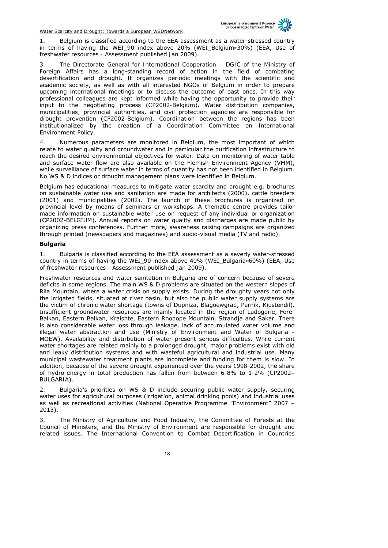

1. Belgium is classified according to the EEA assessment as a water-stressed country in terms of having the WEI\_90 index above 20% (WEI\_Belgium≈30%) (EEA, *Use of freshwater resources - Assessment published Jan 2009*).

3. The *Directorate General for International Cooperation – DGIC* of the *Ministry of Foreign Affairs* has a long-standing record of action in the field of combating desertification and drought. It organizes periodic meetings with the scientific and academic society, as well as with all interested NGOs of Belgium in order to prepare upcoming international meetings or to discuss the outcome of past ones. In this way professional colleagues are kept informed while having the opportunity to provide their input to the negotiating process (*CP2002-Belgium*). Water distribution companies, municipalities, provincial authorities, and civil protection agencies are responsible for drought prevention (*CP2002-Belgium*). Coordination between the regions has been institutionalized by the creation of a Coordination Committee on International Environment Policy.

4. Numerous parameters are monitored in Belgium, the most important of which relate to water quality and groundwater and in particular the purification infrastructure to reach the desired environmental objectives for water. Data on monitoring of water table and surface water flow are also available on the Flemish Environment Agency (VMM), while surveillance of surface water in terms of quantity has not been identified in Belgium. No WS & D indices or drought management plans were identified in Belgium.

Belgium has educational measures to mitigate water scarcity and drought e.g. brochures on sustainable water use and sanitation are made for architects (2000), cattle breeders (2001) and municipalities (2002). The launch of these brochures is organized on provincial level by means of seminars or workshops. A thematic centre provides tailor made information on sustainable water use on request of any individual or organization (CP2002-BELGIUM). Annual reports on water quality and discharges are made public by organizing press conferences. Further more, awareness raising campaigns are organized through printed (newspapers and magazines) and audio-visual media (TV and radio).

#### **Bulgaria**

1. Bulgaria is classified according to the EEA assessment as a severly water-stressed country in terms of having the WEI\_90 index above 40% (WEI\_Bulgaria≈60%) (EEA, *Use of freshwater resources - Assessment published Jan 2009*).

Freshwater resources and water sanitation in Bulgaria are of concern because of severe deficits in some regions. The main WS & D problems are situated on the western slopes of Rila Mountain, where a water crisis on supply exists. During the droughty years not only the irrigated fields, situated at river basin, but also the public water supply systems are the victim of chronic water shortage (towns of Dupniza, Blagoewgrad, Pernik, Kiustendil). Insufficient groundwater resources are mainly located in the region of Ludogorie, Fore-Balkan, Eastern Balkan, Kraishte, Eastern Rhodope Mountain, Strandja and Sakar. There is also considerable water loss through leakage, lack of accumulated water volume and illegal water abstraction and use (*Ministry of Environment and Water of Bulgaria - MOEW*). Availability and distribution of water present serious difficulties. While current water shortages are related mainly to a prolonged drought, major problems exist with old and leaky distribution systems and with wasteful agricultural and industrial use. Many municipal wastewater treatment plants are incomplete and funding for them is slow. In addition, because of the severe drought experienced over the years 1998-2002, the share of hydro-energy in total production has fallen from between 6-8% to 1-2% (*CP2002– BULGARIA*).

2. Bulgaria's priorities on WS & D include securing public water supply, securing water uses for agricultural purposes (irrigation, animal drinking pools) and industrial uses as well as recreational activities (*National Operative Programme "Environment" 2007 – 2013*).

The Ministry of Agriculture and Food Industry, the Committee of Forests at the Council of Ministers, and the Ministry of Environment are responsible for drought and related issues. The International Convention to Combat Desertification in Countries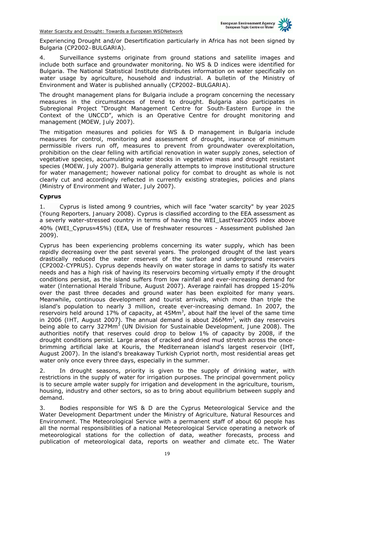

Experiencing Drought and/or Desertification particularly in Africa has not been signed by Bulgaria (*CP2002–BULGARIA*).

Surveillance systems originate from ground stations and satellite images and include both surface and groundwater monitoring. No WS & D indices were identified for Bulgaria. The National Statistical Institute distributes information on water specifically on water usage by agriculture, household and industrial. A bulletin of the Ministry of Environment and Water is published annually (*CP2002–BULGARIA*).

The drought management plans for Bulgaria include a program concerning the necessary measures in the circumstances of trend to drought. Bulgaria also participates in Subregional Project "*Drought Management Centre for South-Eastern Europe in the Context of the UNCCD*", which is an Operative Centre for drought monitoring and management (*MOEW, July 2007*).

The mitigation measures and policies for WS & D management in Bulgaria include measures for control, monitoring and assessment of drought, insurance of minimum permissible rivers run off, measures to prevent from groundwater overexploitation, prohibition on the clear felling with artificial renovation in water supply zones, selection of vegetative species, accumulating water stocks in vegetative mass and drought resistant species (*MOEW, July 2007*). Bulgaria generally attempts to improve institutional structure for water management; however national policy for combat to drought as whole is not clearly cut and accordingly reflected in currently existing strategies, policies and plans (*Ministry of Environment and Water, July 2007*).

#### **Cyprus**

1. Cyprus is listed among 9 countries, which will face "water scarcity" by year 2025 (*Young Reporters, January 2008*). Cyprus is classified according to the EEA assessment as a severly water-stressed country in terms of having the WEI\_LastYear2005 index above 40% (WEI\_Cyprus≈45%) (EEA, Use of freshwater resources - Assessment published Jan 2009).

Cyprus has been experiencing problems concerning its water supply, which has been rapidly decreasing over the past several years. The prolonged drought of the last years drastically reduced the water reserves of the surface and underground reservoirs (*CP2002-CYPRUS*). Cyprus depends heavily on water storage in dams to satisfy its water needs and has a high risk of having its reservoirs becoming virtually empty if the drought conditions persist, as the island suffers from low rainfall and ever-increasing demand for water (*International Herald Tribune, August 2007*). Average rainfall has dropped 15-20% over the past three decades and ground water has been exploited for many years. Meanwhile, continuous development and tourist arrivals, which more than triple the island's population to nearly 3 million, create ever-increasing demand. In 2007, the reservoirs held around 17% of capacity, at 45M $m<sup>3</sup>$ , about half the level of the same time in 2006 (*IHT, August 2007*). The annual demand is about 266Mm<sup>3</sup> , with day reservoirs being able to carry 327Mm<sup>3</sup> (*UN Division for Sustainable Development, June 2008*). The authorities notify that reserves could drop to below 1% of capacity by 2008, if the drought conditions persist. Large areas of cracked and dried mud stretch across the oncebrimming artificial lake at Kouris, the Mediterranean island's largest reservoir (IHT, August 2007). In the island's breakaway Turkish Cypriot north, most residential areas get water only once every three days, especially in the summer.

2. In drought seasons, priority is given to the supply of drinking water, with restrictions in the supply of water for irrigation purposes. The principal government policy is to secure ample water supply for irrigation and development in the agriculture, tourism, housing, industry and other sectors, so as to bring about equilibrium between supply and demand.

3. Bodies responsible for WS & D are the *Cyprus Meteorological Service* and the *Water Development Department* under the *Ministry of Agriculture, Natural Resources and Environment*. The Meteorological Service with a permanent staff of about 60 people has all the normal responsibilities of a national Meteorological Service operating a network of meteorological stations for the collection of data, weather forecasts, process and publication of meteorological data, reports on weather and climate etc. The Water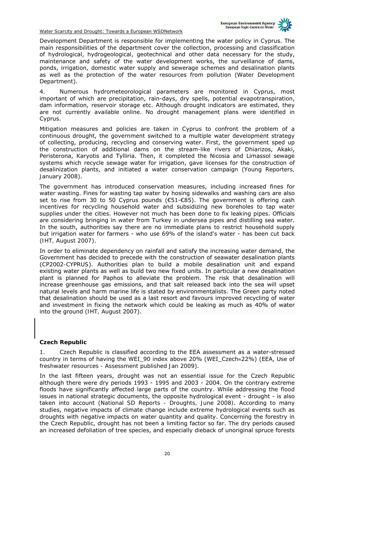

Development Department is responsible for implementing the water policy in Cyprus. The main responsibilities of the department cover the collection, processing and classification of hydrological, hydrogeological, geotechnical and other data necessary for the study, maintenance and safety of the water development works, the surveillance of dams, ponds, irrigation, domestic water supply and sewerage schemes and desalination plants as well as the protection of the water resources from pollution (*Water Development Department*).

4. Numerous hydrometeorological parameters are monitored in Cyprus, most important of which are precipitation, rain-days, dry spells, potential evapotranspiration, dam information, reservoir storage etc. Although drought indicators are estimated, they are not currently available online. No drought management plans were identified in Cyprus.

Mitigation measures and policies are taken in Cyprus to confront the problem of a continuous drought, the government switched to a multiple water development strategy of collecting, producing, recycling and conserving water. First, the government sped up the construction of additional dams on the stream-like rivers of Dhiarizos, Akaki, Peristerona, Karyotis and Tylliria. Then, it completed the Nicosia and Limassol sewage systems which recycle sewage water for irrigation, gave licenses for the construction of desalinization plants, and initiated a water conservation campaign (*Young Reporters, January 2008*).

The government has introduced conservation measures, including increased fines for water wasting. Fines for wasting tap water by hosing sidewalks and washing cars are also set to rise from 30 to 50 Cyprus pounds (€51-€85). The government is offering cash incentives for recycling household water and subsidizing new boreholes to tap water supplies under the cities. However not much has been done to fix leaking pipes. Officials are considering bringing in water from Turkey in undersea pipes and distilling sea water. In the south, authorities say there are no immediate plans to restrict household supply but irrigation water for farmers - who use 69% of the island's water - has been cut back (*IHT, August 2007*).

In order to eliminate dependency on rainfall and satisfy the increasing water demand, the Government has decided to precede with the construction of seawater desalination plants (*CP2002-CYPRUS*). Authorities plan to build a mobile desalination unit and expand existing water plants as well as build two new fixed units. In particular a new desalination plant is planned for Paphos to alleviate the problem. The risk that desalination will increase greenhouse gas emissions, and that salt released back into the sea will upset natural levels and harm marine life is stated by environmentalists. The Green party noted that desalination should be used as a last resort and favours improved recycling of water and investment in fixing the network which could be leaking as much as 40% of water into the ground (*IHT, August 2007*).

#### **Czech Republic**

Czech Republic is classified according to the EEA assessment as a water-stressed country in terms of having the WEI\_90 index above 20% (WEI\_Czech≈22%) (EEA, *Use of freshwater resources - Assessment published Jan 2009*).

In the last fifteen years, drought was not an essential issue for the Czech Republic although there were dry periods 1993 - 1995 and 2003 - 2004. On the contrary extreme floods have significantly affected large parts of the country. While addressing the flood issues in national strategic documents, the opposite hydrological event - drought - is also taken into account (*National SD Reports - Droughts, June 2008)*. According to many studies, negative impacts of climate change include extreme hydrological events such as droughts with negative impacts on water quantity and quality. Concerning the forestry in the Czech Republic, drought has not been a limiting factor so far. The dry periods caused an increased defoliation of tree species, and especially dieback of unoriginal spruce forests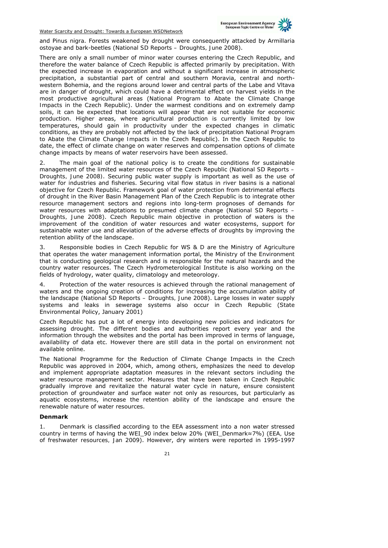

and *Pinus nigra*. Forests weakened by drought were consequently attacked by *Armillaria ostoyae* and bark-beetles (*National SD Reports – Droughts, June 2008*).

There are only a small number of minor water courses entering the Czech Republic, and therefore the water balance of Czech Republic is affected primarily by precipitation. With the expected increase in evaporation and without a significant increase in atmospheric precipitation, a substantial part of central and southern Moravia, central and northwestern Bohemia, and the regions around lower and central parts of the Labe and Vltava are in danger of drought, which could have a detrimental effect on harvest yields in the most productive agricultural areas (*National Program to Abate the Climate Change Impacts in the Czech Republic*). Under the warmest conditions and on extremely damp soils, it can be expected that locations will appear that are not suitable for economic production. Higher areas, where agricultural production is currently limited by low temperatures, should gain in productivity under the expected changes in climatic conditions, as they are probably not affected by the lack of precipitation *National Program to Abate the Climate Change Impacts in the Czech Republic*). In the Czech Republic to date, the effect of climate change on water reserves and compensation options of climate change impacts by means of water reservoirs have been assessed.

2. The main goal of the national policy is to create the conditions for sustainable management of the limited water resources of the Czech Republic (*National SD Reports – Droughts, June 2008)*. Securing public water supply is important as well as the use of water for industries and fisheries. Securing vital flow status in river basins is a national objective for Czech Republic. Framework goal of water protection from detrimental effects of drought in the River Basin Management Plan of the Czech Republic is to integrate other resource management sectors and regions into long-term prognoses of demands for water resources with adaptations to presumed climate change (*National SD Reports – Droughts, June 2008*). Czech Republic main objective in protection of waters is the improvement of the condition of water resources and water ecosystems, support for sustainable water use and alleviation of the adverse effects of droughts by improving the retention ability of the landscape.

3. Responsible bodies in Czech Republic for WS & D are the *Ministry of Agriculture* that operates the water management information portal, the *Ministry of the Environment* that is conducting geological research and is responsible for the natural hazards and the country water resources. The Czech Hydrometerological Institute is also working on the fields of hydrology, water quality, climatology and meteorology.

Protection of the water resources is achieved through the rational management of waters and the ongoing creation of conditions for increasing the accumulation ability of the landscape (*National SD Reports – Droughts, June 2008*). Large losses in water supply systems and leaks in sewerage systems also occur in Czech Republic (State Environmental Policy, January 2001)

Czech Republic has put a lot of energy into developing new policies and indicators for assessing drought. The different bodies and authorities report every year and the information through the websites and the portal has been improved in terms of language, availability of data etc. However there are still data in the portal on environment not available online.

The National Programme for the Reduction of Climate Change Impacts in the Czech Republic was approved in 2004, which, among others, emphasizes the need to develop and implement appropriate adaptation measures in the relevant sectors including the water resource management sector. Measures that have been taken in Czech Republic gradually improve and revitalize the natural water cycle in nature, ensure consistent protection of groundwater and surface water not only as resources, but particularly as aquatic ecosystems, increase the retention ability of the landscape and ensure the renewable nature of water resources.

#### **Denmark**

1. Denmark is classified according to the EEA assessment into a non water stressed country in terms of having the WEI\_90 index below 20% (WEI\_Denmark≈7%) (*EEA, Use of freshwater resources, Jan 2009*). However, dry winters were reported in 1995-1997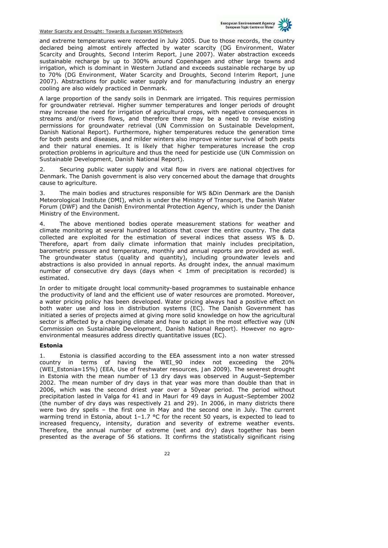

and extreme temperatures were recorded in July 2005. Due to those records, the country declared being almost entirely affected by water scarcity (*DG Environment, Water Scarcity and Droughts, Second Interim Report, June 2007*). Water abstraction exceeds sustainable recharge by up to 300% around Copenhagen and other large towns and irrigation, which is dominant in Western Jutland and exceeds sustainable recharge by up to 70% (*DG Environment, Water Scarcity and Droughts, Second Interim Report, June 2007*). Abstractions for public water supply and for manufacturing industry an energy cooling are also widely practiced in Denmark.

A large proportion of the sandy soils in Denmark are irrigated. This requires permission for groundwater retrieval. Higher summer temperatures and longer periods of drought may increase the need for irrigation of agricultural crops, with negative consequences in streams and/or rivers flows, and therefore there may be a need to revise existing permissions for groundwater retrieval (*UN Commission on Sustainable Development, Danish National Report*). Furthermore, higher temperatures reduce the generation time for both pests and diseases, and milder winters also improve winter survival of both pests and their natural enemies. It is likely that higher temperatures increase the crop protection problems in agriculture and thus the need for pesticide use (*UN Commission on Sustainable Development, Danish National Report*).

2. Securing public water supply and vital flow in rivers are national objectives for Denmark. The Danish government is also very concerned about the damage that droughts cause to agriculture.

3. The main bodies and structures responsible for WS &Din Denmark are the Danish Meteorological Institute (DMI), which is under the Ministry of Transport, the Danish Water Forum (DWF) and the Danish Environmental Protection Agency, which is under the Danish Ministry of the Environment.

4. The above mentioned bodies operate measurement stations for weather and climate monitoring at several hundred locations that cover the entire country. The data collected are exploited for the estimation of several indices that assess WS & D. Therefore, apart from daily climate information that mainly includes precipitation, barometric pressure and temperature, monthly and annual reports are provided as well. The groundwater status (quality and quantity), including groundwater levels and abstractions is also provided in annual reports. As drought index, the annual maximum number of consecutive dry days (days when < 1mm of precipitation is recorded) is estimated.

In order to mitigate drought local community-based programmes to sustainable enhance the productivity of land and the efficient use of water resources are promoted. Moreover, a water pricing policy has been developed. Water pricing always had a positive effect on both water use and loss in distribution systems (EC). The Danish Government has initiated a series of projects aimed at giving more solid knowledge on how the agricultural sector is affected by a changing climate and how to adapt in the most effective way (*UN Commission on Sustainable Development, Danish National Report*). However no agroenvironmental measures address directly quantitative issues (EC).

#### **Estonia**

1. Estonia is classified according to the EEA assessment into a non water stressed country in terms of having the WEI\_90 index not exceeding the 20% (WEI\_Estonia≈15%) (*EEA, Use of freshwater resources, Jan 2009*). The severest drought in Estonia with the mean number of 13 dry days was observed in August–September 2002. The mean number of dry days in that year was more than double than that in 2006, which was the second driest year over a 50year period. The period without precipitation lasted in Valga for 41 and in Mauri for 49 days in August–September 2002 (the number of dry days was respectively 21 and 29). In 2006, in many districts there were two dry spells – the first one in May and the second one in July. The current warming trend in Estonia, about  $1-1.7$  °C for the recent 50 years, is expected to lead to increased frequency, intensity, duration and severity of extreme weather events. Therefore, the annual number of extreme (wet and dry) days together has been presented as the average of 56 stations. It confirms the statistically significant rising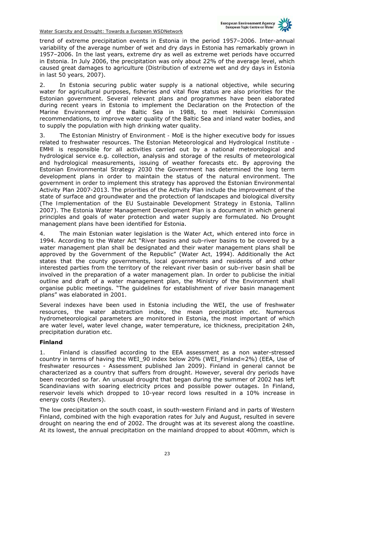

trend of extreme precipitation events in Estonia in the period 1957–2006. Inter-annual variability of the average number of wet and dry days in Estonia has remarkably grown in 1957–2006. In the last years, extreme dry as well as extreme wet periods have occurred in Estonia. In July 2006, the precipitation was only about 22% of the average level, which caused great damages to agriculture (*Distribution of extreme wet and dry days in Estonia in last 50 years, 2007*).

2. In Estonia securing public water supply is a national objective, while securing water for agricultural purposes, fisheries and vital flow status are also priorities for the Estonian government. Several relevant plans and programmes have been elaborated during recent years in Estonia to implement the Declaration on the Protection of the Marine Environment of the Baltic Sea in 1988, to meet Helsinki Commission recommendations, to improve water quality of the Baltic Sea and inland water bodies, and to supply the population with high drinking water quality.

3. The *Estonian Ministry of Environment - MoE* is the higher executive body for issues related to freshwater resources. The *Estonian Meteorological and Hydrological Institute - EMHI* is responsible for all activities carried out by a national meteorological and hydrological service e.g. collection, analysis and storage of the results of meteorological and hydrological measurements, issuing of weather forecasts etc. By approving the Estonian Environmental Strategy 2030 the Government has determined the long term development plans in order to maintain the status of the natural environment. The government in order to implement this strategy has approved the Estonian Environmental Activity Plan 2007-2013. The priorities of the Activity Plan include the improvement of the state of surface and groundwater and the protection of landscapes and biological diversity (*The Implementation of the EU Sustainable Development Strategy in Estonia, Tallinn 2007*). The *Estonia Water Management Development Plan* is a document in which general principles and goals of water protection and water supply are formulated. No Drought management plans have been identified for Estonia.

4. The main Estonian water legislation is the Water Act, which entered into force in 1994. According to the Water Act "River basins and sub-river basins to be covered by a water management plan shall be designated and their water management plans shall be approved by the Government of the Republic" (*Water Act, 1994*). Additionally the Act states that the county governments, local governments and residents of and other interested parties from the territory of the relevant river basin or sub-river basin shall be involved in the preparation of a water management plan. In order to publicise the initial outline and draft of a water management plan, the Ministry of the Environment shall organise public meetings. "The guidelines for establishment of river basin management plans" was elaborated in 2001.

Several indexes have been used in Estonia including the WEI, the use of freshwater resources, the water abstraction index, the mean precipitation etc. Numerous hydrometeorological parameters are monitored in Estonia, the most important of which are water level, water level change, water temperature, ice thickness, precipitation 24h, precipitation duration etc.

#### **Finland**

1. Finland is classified according to the EEA assessment as a non water-stressed country in terms of having the WEI\_90 index below 20% (WEI\_Finland≈2%) (EEA, Use of freshwater resources - Assessment published Jan 2009). Finland in general cannot be characterized as a country that suffers from drought. However, several dry periods have been recorded so far. An unusual drought that began during the summer of 2002 has left Scandinavians with soaring electricity prices and possible power outages. In Finland, reservoir levels which dropped to 10-year record lows resulted in a 10% increase in energy costs (Reuters).

The low precipitation on the south coast, in south-western Finland and in parts of Western Finland, combined with the high evaporation rates for July and August, resulted in severe drought on nearing the end of 2002. The drought was at its severest along the coastline. At its lowest, the annual precipitation on the mainland dropped to about 400mm, which is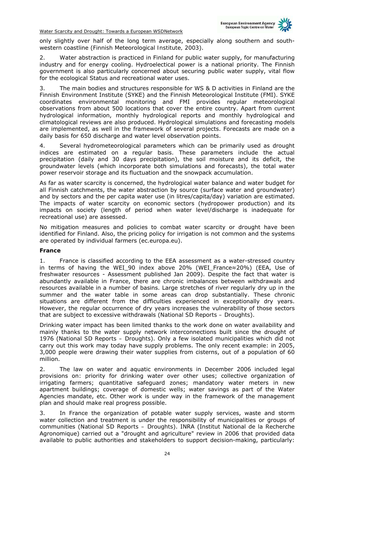

only slightly over half of the long term average, especially along southern and southwestern coastline (*Finnish Meteorological Institute, 2003*).

Water abstraction is practiced in Finland for public water supply, for manufacturing industry and for energy cooling. Hydroelectical power is a national priority. The Finnish government is also particularly concerned about securing public water supply, vital flow for the ecological Status and recreational water uses.

3. The main bodies and structures responsible for WS & D activities in Finland are the Finnish Environment Institute (SYKE) and the Finnish Meteorological Institute (FMI). SYKE coordinates environmental monitoring and FMI provides regular meteorological observations from about 500 locations that cover the entire country. Apart from current hydrological information, monthly hydrological reports and monthly hydrological and climatological reviews are also produced. Hydrological simulations and forecasting models are implemented, as well in the framework of several projects. Forecasts are made on a daily basis for 650 discharge and water level observation points.

Several hydrometeorological parameters which can be primarily used as drought indices are estimated on a regular basis. These parameters include the actual precipitation (daily and 30 days precipitation), the soil moisture and its deficit, the groundwater levels (which incorporate both simulations and forecasts), the total water power reservoir storage and its fluctuation and the snowpack accumulation.

As far as water scarcity is concerned, the hydrological water balance and water budget for all Finnish catchments, the water abstraction by source (surface water and groundwater) and by sectors and the per capita water use (in litres/capita/day) variation are estimated. The impacts of water scarcity on economic sectors (hydropower production) and its impacts on society (length of period when water level/discharge is inadequate for recreational use) are assessed.

No mitigation measures and policies to combat water scarcity or drought have been identified for Finland. Also, the pricing policy for irrigation is not common and the systems are operated by individual farmers (ec.europa.eu).

#### **France**

1. France is classified according to the EEA assessment as a water-stressed country in terms of having the WEI\_90 index above 20% (WEI\_France≈20%) (EEA, Use of freshwater resources - Assessment published Jan 2009). Despite the fact that water is abundantly available in France, there are chronic imbalances between withdrawals and resources available in a number of basins. Large stretches of river regularly dry up in the summer and the water table in some areas can drop substantially. These chronic situations are different from the difficulties experienced in exceptionally dry years. However, the regular occurrence of dry years increases the vulnerability of those sectors that are subject to excessive withdrawals (*National SD Reports – Droughts*).

Drinking water impact has been limited thanks to the work done on water availability and mainly thanks to the water supply network interconnections built since the drought of 1976 (*National SD Reports – Droughts*). Only a few isolated municipalities which did not carry out this work may today have supply problems. The only recent example: in 2005, 3,000 people were drawing their water supplies from cisterns, out of a population of 60 million.

2. The law on water and aquatic environments in December 2006 included legal provisions on: priority for drinking water over other uses; collective organization of irrigating farmers; quantitative safeguard zones; mandatory water meters in new apartment buildings; coverage of domestic wells; water savings as part of the Water Agencies mandate, etc. Other work is under way in the framework of the management plan and should make real progress possible.

3. In France the organization of potable water supply services, waste and storm water collection and treatment is under the responsibility of municipalities or groups of communities (*National SD Reports – Droughts*). INRA (Institut National de la Recherche Agronomique) carried out a "drought and agriculture" review in 2006 that provided data available to public authorities and stakeholders to support decision-making, particularly: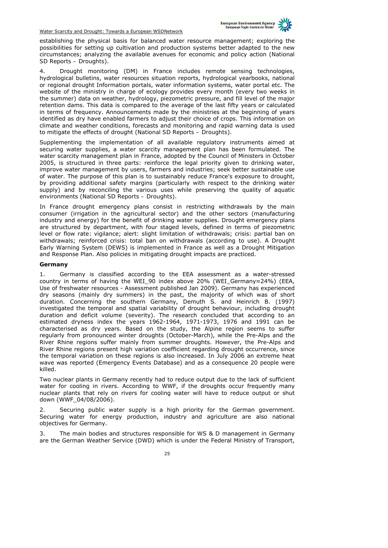

establishing the physical basis for balanced water resource management; exploring the possibilities for setting up cultivation and production systems better adapted to the new circumstances; analyzing the available avenues for economic and policy action (*National SD Reports – Droughts*).

4. Drought monitoring (DM) in France includes remote sensing technologies, hydrological bulletins, water resources situation reports, hydrological yearbooks, national or regional drought Information portals, water information systems, water portal etc. The website of the ministry in charge of ecology provides every month (every two weeks in the summer) data on weather, hydrology, piezometric pressure, and fill level of the major retention dams. This data is compared to the average of the last fifty years or calculated in terms of frequency. Announcements made by the ministries at the beginning of years identified as dry have enabled farmers to adjust their choice of crops. This information on climate and weather conditions, forecasts and monitoring and rapid warning data is used to mitigate the effects of drought (*National SD Reports – Droughts*).

Supplementing the implementation of all available regulatory instruments aimed at securing water supplies, a water scarcity management plan has been formulated. The water scarcity management plan in France, adopted by the Council of Ministers in October 2005, is structured in three parts: reinforce the legal priority given to drinking water, improve water management by users, farmers and industries; seek better sustainable use of water. The purpose of this plan is to sustainably reduce France's exposure to drought, by providing additional safety margins (particularly with respect to the drinking water supply) and by reconciling the various uses while preserving the quality of aquatic environments (*National SD Reports – Droughts*).

In France drought emergency plans consist in restricting withdrawals by the main consumer (irrigation in the agricultural sector) and the other sectors (manufacturing industry and energy) for the benefit of drinking water supplies. Drought emergency plans are structured by department, with four staged levels, defined in terms of piezometric level or flow rate: vigilance; alert: slight limitation of withdrawals; crisis: partial ban on withdrawals; reinforced crisis: total ban on withdrawals (according to use). A Drought Early Warning System (DEWS) is implemented in France as well as a Drought Mitigation and Response Plan. Also policies in mitigating drought impacts are practiced.

#### **Germany**

1. Germany is classified according to the EEA assessment as a water-stressed country in terms of having the WEI\_90 index above 20% (WEI\_Germany≈24%) (EEA, Use of freshwater resources - Assessment published Jan 2009). Germany has experienced dry seasons (mainly dry summers) in the past, the majority of which was of short duration. Concerning the southern Germany, Demuth S. and Heinrich B. (1997) investigated the temporal and spatial variability of drought behaviour, including drought duration and deficit volume (severity). The research concluded that according to an estimated dryness index the years 1962-1964, 1971-1973, 1976 and 1991 can be characterised as dry years. Based on the study, the Alpine region seems to suffer regularly from pronounced winter droughts (October-March), while the Pre-Alps and the River Rhine regions suffer mainly from summer droughts. However, the Pre-Alps and River Rhine regions present high variation coefficient regarding drought occurrence, since the temporal variation on these regions is also increased. In July 2006 an extreme heat wave was reported (Emergency Events Database) and as a consequence 20 people were killed.

Two nuclear plants in Germany recently had to reduce output due to the lack of sufficient water for cooling in rivers. According to WWF, if the droughts occur frequently many nuclear plants that rely on rivers for cooling water will have to reduce output or shut down (WWF\_04/08/2006).

2. Securing public water supply is a high priority for the German government. Securing water for energy production, industry and agriculture are also national objectives for Germany.

3. The main bodies and structures responsible for WS & D management in Germany are the German Weather Service (DWD) which is under the Federal Ministry of Transport,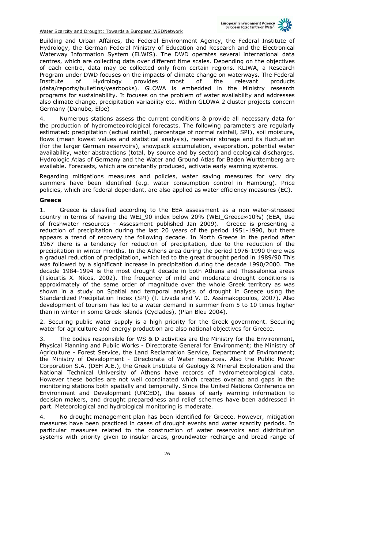

Building and Urban Affaires, the Federal Environment Agency, the Federal Institute of Hydrology, the German Federal Ministry of Education and Research and the Electronical Waterway Information System (ELWIS). The DWD operates several international data centres, which are collecting data over different time scales. Depending on the objectives of each centre, data may be collected only from certain regions. KLIWA, a Research Program under DWD focuses on the impacts of climate change on waterways. The Federal Institute of Hydrology provides most of the relevant products (data/reports/bulletins/yearbooks). GLOWA is embedded in the Ministry research programs for sustainability. It focuses on the problem of water availability and addresses also climate change, precipitation variability etc. Within GLOWA 2 cluster projects concern Germany (Danube, Elbe)

4. Numerous stations assess the current conditions & provide all necessary data for the production of hydrometeolrological forecasts. The following parameters are regularly estimated: precipitation (actual rainfall, percentage of normal rainfall, SPI), soil moisture, flows (mean lowest values and statistical analysis), reservoir storage and its fluctuation (for the larger German reservoirs), snowpack accumulation, evaporation, potential water availability, water abstractions (total, by source and by sector) and ecological discharges. Hydrologic Atlas of Germany and the Water and Ground Atlas for Baden Wurttemberg are available. Forecasts, which are constantly produced, activate early warning systems.

Regarding mitigations measures and policies, water saving measures for very dry summers have been identified (e.g. water consumption control in Hamburg). Price policies, which are federal dependant, are also applied as water efficiency measures (EC).

#### **Greece**

1. Greece is classified according to the EEA assessment as a non water-stressed country in terms of having the WEI\_90 index below 20% (WEI\_Greece≈10%) (EEA, Use of freshwater resources - Assessment published Jan 2009). Greece is presenting a reduction of precipitation during the last 20 years of the period 1951-1990, but there appears a trend of recovery the following decade. In North Greece in the period after 1967 there is a tendency for reduction of precipitation, due to the reduction of the precipitation in winter months. In the Athens area during the period 1976-1990 there was a gradual reduction of precipitation, which led to the great drought period in 1989/90 This was followed by a significant increase in precipitation during the decade 1990/2000. The decade 1984-1994 is the most drought decade in both Athens and Thessalonica areas (*Tsiourtis X. Nicos, 2002*). The frequency of mild and moderate drought conditions is approximately of the same order of magnitude over the whole Greek territory as was shown in a study on *Spatial and temporal analysis of drought in Greece using the Standardized Precipitation Index (SPI)* (*I. Livada and V. D. Assimakopoulos, 2007*). Also development of tourism has led to a water demand in summer from 5 to 10 times higher than in winter in some Greek islands (Cyclades), (Plan Bleu 2004).

2. Securing public water supply is a high priority for the Greek government. Securing water for agriculture and energy production are also national objectives for Greece.

The bodies responsible for WS & D activities are the Ministry for the Environment, Physical Planning and Public Works - Directorate General for Environment; the Ministry of Agriculture - Forest Service, the Land Reclamation Service, Department of Environment; the Ministry of Development - Directorate of Water resources. Also the Public Power Corporation S.A. (DEH A.E.), the Greek Institute of Geology & Mineral Exploration and the National Technical University of Athens have records of hydrometeorological data. However these bodies are not well coordinated which creates overlap and gaps in the monitoring stations both spatially and temporally. Since the United Nations Conference on Environment and Development (UNCED), the issues of early warning information to decision makers, and drought preparedness and relief schemes have been addressed in part. Meteorological and hydrological monitoring is moderate.

4. No drought management plan has been identified for Greece. However, mitigation measures have been practiced in cases of drought events and water scarcity periods. In particular measures related to the construction of water reservoirs and distribution systems with priority given to insular areas, groundwater recharge and broad range of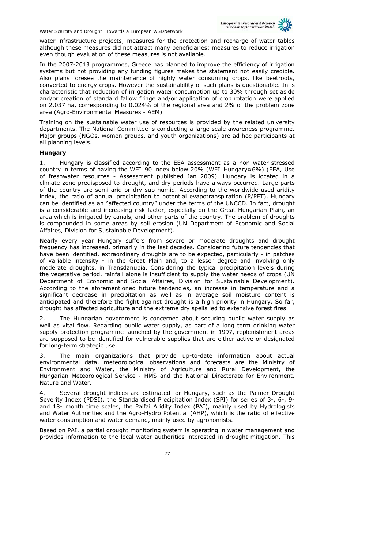

water infrastructure projects; measures for the protection and recharge of water tables although these measures did not attract many beneficiaries; measures to reduce irrigation even though evaluation of these measures is not available.

In the 2007-2013 programmes, Greece has planned to improve the efficiency of irrigation systems but not providing any funding figures makes the statement not easily credible. Also plans foresee the maintenance of highly water consuming crops, like beetroots, converted to energy crops. However the sustainability of such plans is questionable. In is characteristic that reduction of irrigation water consumption up to 30% through set aside and/or creation of standard fallow fringe and/or application of crop rotation were applied on 2.037 ha, corresponding to 0,024% of the regional area and 2% of the problem zone area (Agro-Environmental Measures - AEM).

Training on the sustainable water use of resources is provided by the related university departments. The National Committee is conducting a large scale awareness programme. Major groups (NGOs, women groups, and youth organizations) are ad hoc participants at all planning levels.

#### **Hungary**

1. Hungary is classified according to the EEA assessment as a non water-stressed country in terms of having the WEI\_90 index below 20% (WEI\_Hungary≈6%) (EEA, Use of freshwater resources - Assessment published Jan 2009). Hungary is located in a climate zone predisposed to drought, and dry periods have always occurred. Large parts of the country are semi-arid or dry sub-humid. According to the worldwide used aridity index, the ratio of annual precipitation to potential evapotranspiration (P/PET), Hungary can be identified as an "affected country" under the terms of the UNCCD. In fact, drought is a considerable and increasing risk factor, especially on the Great Hungarian Plain, an area which is irrigated by canals, and other parts of the country. The problem of droughts is compounded in some areas by soil erosion (*UN Department of Economic and Social Affaires, Division for Sustainable Development*).

Nearly every year Hungary suffers from severe or moderate droughts and drought frequency has increased, primarily in the last decades. Considering future tendencies that have been identified, extraordinary droughts are to be expected, particularly - in patches of variable intensity - in the Great Plain and, to a lesser degree and involving only moderate droughts, in Transdanubia. Considering the typical precipitation levels during the vegetative period, rainfall alone is insufficient to supply the water needs of crops (*UN Department of Economic and Social Affaires, Division for Sustainable Development*). According to the aforementioned future tendencies, an increase in temperature and a significant decrease in precipitation as well as in average soil moisture content is anticipated and therefore the fight against drought is a high priority in Hungary. So far, drought has affected agriculture and the extreme dry spells led to extensive forest fires.

2. The Hungarian government is concerned about securing public water supply as well as vital flow. Regarding public water supply, as part of a long term drinking water supply protection programme launched by the government in 1997, replenishment areas are supposed to be identified for vulnerable supplies that are either active or designated for long-term strategic use.

3. The main organizations that provide up-to-date information about actual environmental data, meteorological observations and forecasts are the *Ministry of Environment and Water*, the *Ministry of Agriculture and Rural Development*, the *Hungarian Meteorological Service - HMS* and the *National Directorate for Environment, Nature and Water*.

4. Several drought indices are estimated for Hungary, such as the Palmer Drought Severity Index (PDSI), the Standardised Precipitation Index (SPI) for series of 3-, 6-, 9 and 18- month time scales, the Palfai Aridity Index (PAI), mainly used by Hydrologists and Water Authorities and the Agro-Hydro Potential (AHP), which is the ratio of effective water consumption and water demand, mainly used by agronomists.

Based on PAI, a partial drought monitoring system is operating in water management and provides information to the local water authorities interested in drought mitigation. This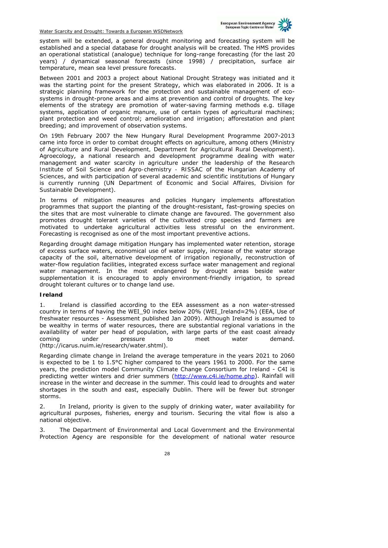

system will be extended, a general drought monitoring and forecasting system will be established and a special database for drought analysis will be created. The HMS provides an operational statistical (analogue) technique for long-range forecasting (for the last 20 years) / dynamical seasonal forecasts (since 1998) / precipitation, surface air temperature, mean sea level pressure forecasts.

Between 2001 and 2003 a project about National Drought Strategy was initiated and it was the starting point for the present Strategy, which was elaborated in 2006. It is a strategic planning framework for the protection and sustainable management of ecosystems in drought-prone areas and aims at prevention and control of droughts. The key elements of the strategy are promotion of water-saving farming methods e.g. tillage systems, application of organic manure, use of certain types of agricultural machines; plant protection and weed control; amelioration and irrigation; afforestation and plant breeding; and improvement of observation systems.

On 19th February 2007 the New Hungary Rural Development Programme 2007-2013 came into force in order to combat drought effects on agriculture, among others (*Ministry of Agriculture and Rural Development, Department for Agricultural Rural Development*). *Agroecology*, a national research and development programme dealing with water management and water scarcity in agriculture under the leadership of the *Research Institute of Soil Science and Agro-chemistry - RISSAC* of the *Hungarian Academy of Sciences*, and with participation of several academic and scientific institutions of Hungary is currently running (*UN Department of Economic and Social Affaires, Division for Sustainable Development*).

In terms of mitigation measures and policies Hungary implements afforestation programmes that support the planting of the drought-resistant, fast-growing species on the sites that are most vulnerable to climate change are favoured. The government also promotes drought tolerant varieties of the cultivated crop species and farmers are motivated to undertake agricultural activities less stressful on the environment. Forecasting is recognised as one of the most important preventive actions.

Regarding drought damage mitigation Hungary has implemented water retention, storage of excess surface waters, economical use of water supply, increase of the water storage capacity of the soil, alternative development of irrigation regionally, reconstruction of water-flow regulation facilities, integrated excess surface water management and regional water management. In the most endangered by drought areas beside water supplementation it is encouraged to apply environment-friendly irrigation, to spread drought tolerant cultures or to change land use.

#### **Ireland**

1. Ireland is classified according to the EEA assessment as a non water-stressed country in terms of having the WEI\_90 index below 20% (WEI\_Ireland≈2%) (EEA, Use of freshwater resources - Assessment published Jan 2009). Although Ireland is assumed to be wealthy in terms of water resources, there are substantial regional variations in the availability of water per head of population, with large parts of the east coast already coming under pressure to meet water demand. (http://icarus.nuim.ie/research/water.shtml).

Regarding climate change in Ireland the average temperature in the years 2021 to 2060 is expected to be 1 to 1.5°C higher compared to the years 1961 to 2000. For the same years, the prediction model *Community Climate Change Consortium for Ireland* - C4I is predicting wetter winters and drier summers (http://www.c4i.ie/home.php). Rainfall will increase in the winter and decrease in the summer. This could lead to droughts and water shortages in the south and east, especially Dublin. There will be fewer but stronger storms.

2. In Ireland, priority is given to the supply of drinking water, water availability for agricultural purposes, fisheries, energy and tourism. Securing the vital flow is also a national objective.

3. The *Department of Environmental and Local Government* and the *Environmental Protection Agency* are responsible for the development of national water resource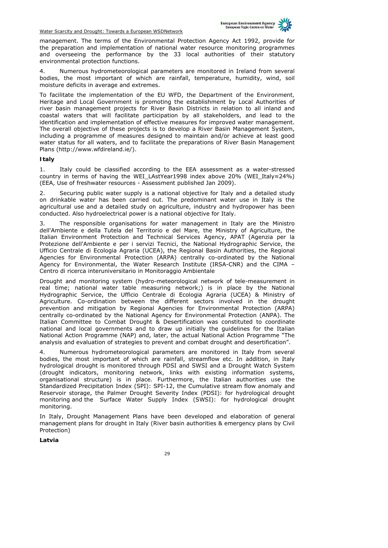

management. The terms of the Environmental Protection Agency Act 1992, provide for the preparation and implementation of national water resource monitoring programmes and overseeing the performance by the 33 local authorities of their statutory environmental protection functions.

4. Numerous hydrometeorological parameters are monitored in Ireland from several bodies, the most important of which are rainfall, temperature, humidity, wind, soil moisture deficits in average and extremes.

To facilitate the implementation of the EU WFD, the *Department of the Environment, Heritage and Local Government* is promoting the establishment by Local Authorities of river basin management projects for River Basin Districts in relation to all inland and coastal waters that will facilitate participation by all stakeholders, and lead to the identification and implementation of effective measures for improved water management. The overall objective of these projects is to develop a River Basin Management System, including a programme of measures designed to maintain and/or achieve at least good water status for all waters, and to facilitate the preparations of River Basin Management Plans (http://www.wfdireland.ie/).

#### **Italy**

1. Italy could be classified according to the EEA assessment as a water-stressed country in terms of having the WEI\_LAstYear1998 index above 20% (WEI\_Italy≈24%) (EEA, Use of freshwater resources - Assessment published Jan 2009).

2. Securing public water supply is a national objective for Italy and a detailed study on drinkable water has been carried out. The predominant water use in Italy is the agricultural use and a detailed study on agriculture, industry and hydropower has been conducted. Also hydroelectrical power is a national objective for Italy.

3. The responsible organisations for water management in Italy are the Ministro dell'Ambiente e della Tutela del Territorio e del Mare, the Ministry of Agriculture, the Italian Environment Protection and Technical Services Agency, APAT (Agenzia per la Protezione dell'Ambiente e per i servizi Tecnici, the National Hydrographic Service, the Ufficio Centrale di Ecologia Agraria (UCEA), the Regional Basin Authorities, the Regional Agencies for Environmental Protection (ARPA) centrally co-ordinated by the National Agency for Environmental, the Water Research Institute (IRSA-CNR) and the CIMA – Centro di ricerca interuniversitario in Monitoraggio Ambientale

Drought and monitoring system (hydro-meteorological network of tele-measurement in real time; national water table measuring network;) is in place by the National Hydrographic Service, the Ufficio Centrale di Ecologia Agraria (UCEA) & Ministry of Agriculture. Co-ordination between the different sectors involved in the drought prevention and mitigation by Regional Agencies for Environmental Protection (ARPA) centrally co-ordinated by the National Agency for Environmental Protection (ANPA). The Italian Committee to Combat Drought & Desertification was constituted to coordinate national and local governments and to draw up initially the guidelines for the Italian National Action Programme (NAP) and, later, the actual National Action Programme "The analysis and evaluation of strategies to prevent and combat drought and desertification".

Numerous hydrometeorological parameters are monitored in Italy from several bodies, the most important of which are rainfall, streamflow etc. In addition, in Italy hydrological drought is monitored through PDSI and SWSI and a Drought Watch System (drought indicators, monitoring network, links with existing information systems, organisational structure) is in place. Furthermore, the Italian authorities use the Standardized Precipitation Index (SPI): SPI-12, the Cumulative stream flow anomaly and Reservoir storage, the Palmer Drought Severity Index (PDSI): for hydrological drought monitoring and the Surface Water Supply Index (SWSI): for hydrological drought monitoring.

In Italy, Drought Management Plans have been developed and elaboration of general management plans for drought in Italy (River basin authorities & emergency plans by Civil Protection)

**Latvia**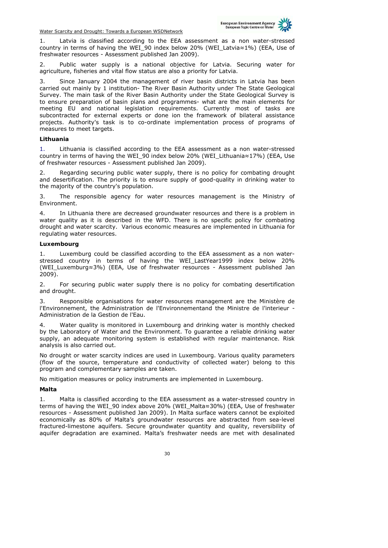

1. Latvia is classified according to the EEA assessment as a non water-stressed country in terms of having the WEI\_90 index below 20% (WEI\_Latvia≈1%) (EEA, Use of freshwater resources - Assessment published Jan 2009).

2. Public water supply is a national objective for Latvia. Securing water for agriculture, fisheries and vital flow status are also a priority for Latvia.

3. Since January 2004 the management of river basin districts in Latvia has been carried out mainly by 1 institution- The River Basin Authority under The State Geological Survey. The main task of the River Basin Authority under the State Geological Survey is to ensure preparation of basin plans and programmes- what are the main elements for meeting EU and national legislation requirements. Currently most of tasks are subcontracted for external experts or done ion the framework of bilateral assistance projects. Authority's task is to co-ordinate implementation process of programs of measures to meet targets.

#### **Lithuania**

1. Lithuania is classified according to the EEA assessment as a non water-stressed country in terms of having the WEI\_90 index below 20% (WEI\_Lithuania≈17%) (EEA, Use of freshwater resources - Assessment published Jan 2009).

2. Regarding securing public water supply, there is no policy for combating drought and desertification. The priority is to ensure supply of good-quality in drinking water to the majority of the country's population.

3. The responsible agency for water resources management is the Ministry of Environment.

In Lithuania there are decreased groundwater resources and there is a problem in water quality as it is described in the WFD. There is no specific policy for combating drought and water scarcity. Various economic measures are implemented in Lithuania for regulating water resources.

#### **Luxembourg**

1. Luxemburg could be classified according to the EEA assessment as a non waterstressed country in terms of having the WEI\_LastYear1999 index below 20% (WEI\_Luxemburg≈3%) (EEA, Use of freshwater resources - Assessment published Jan 2009).

2. For securing public water supply there is no policy for combating desertification and drought.

Responsible organisations for water resources management are the Ministère de l'Environnement, the Administration de l'Environnementand the Ministre de l'interieur - Administration de la Gestion de l'Eau.

Water quality is monitored in Luxembourg and drinking water is monthly checked by the Laboratory of Water and the Environment. To guarantee a reliable drinking water supply, an adequate monitoring system is established with regular maintenance. Risk analysis is also carried out.

No drought or water scarcity indices are used in Luxembourg. Various quality parameters (flow of the source, temperature and conductivity of collected water) belong to this program and complementary samples are taken.

No mitigation measures or policy instruments are implemented in Luxembourg.

#### **Malta**

1. Malta is classified according to the EEA assessment as a water-stressed country in terms of having the WEI\_90 index above 20% (WEI\_Malta≈30%) (EEA, Use of freshwater resources - Assessment published Jan 2009). In Malta surface waters cannot be exploited economically as 80% of Malta's groundwater resources are abstracted from sea-level fractured-limestone aquifers. Secure groundwater quantity and quality, reversibility of aquifer degradation are examined. Malta's freshwater needs are met with desalinated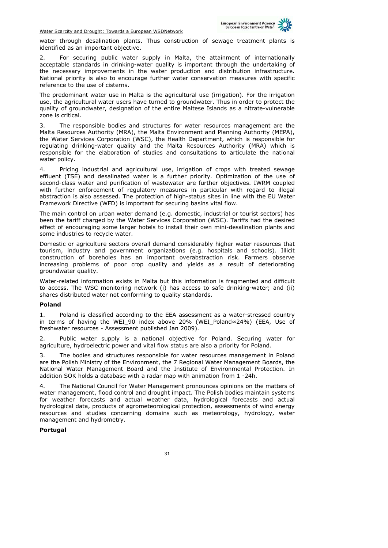

water through desalination plants. Thus construction of sewage treatment plants is identified as an important objective.

2. For securing public water supply in Malta, the attainment of internationally acceptable standards in drinking-water quality is important through the undertaking of the necessary improvements in the water production and distribution infrastructure. National priority is also to encourage further water conservation measures with specific reference to the use of cisterns.

The predominant water use in Malta is the agricultural use (irrigation). For the irrigation use, the agricultural water users have turned to groundwater. Thus in order to protect the quality of groundwater, designation of the entire Maltese Islands as a nitrate-vulnerable zone is critical.

3. The responsible bodies and structures for water resources management are the Malta Resources Authority (MRA), the Malta Environment and Planning Authority (MEPA), the Water Services Corporation (WSC), the Health Department, which is responsible for regulating drinking-water quality and the Malta Resources Authority (MRA) which is responsible for the elaboration of studies and consultations to articulate the national water policy.

Pricing industrial and agricultural use, irrigation of crops with treated sewage effluent (TSE) and desalinated water is a further priority. Optimization of the use of second-class water and purification of wastewater are further objectives. IWRM coupled with further enforcement of regulatory measures in particular with regard to illegal abstraction is also assessed. The protection of high-status sites in line with the EU Water Framework Directive (WFD) is important for securing basins vital flow.

The main control on urban water demand (e.g. domestic, industrial or tourist sectors) has been the tariff charged by the Water Services Corporation (WSC). Tariffs had the desired effect of encouraging some larger hotels to install their own mini-desalination plants and some industries to recycle water.

Domestic or agriculture sectors overall demand considerably higher water resources that tourism, industry and government organizations (e.g. hospitals and schools). Illicit construction of boreholes has an important overabstraction risk. Farmers observe increasing problems of poor crop quality and yields as a result of deteriorating groundwater quality.

Water-related information exists in Malta but this information is fragmented and difficult to access. The WSC monitoring network (i) has access to safe drinking-water; and (ii) shares distributed water not conforming to quality standards.

#### **Poland**

1. Poland is classified according to the EEA assessment as a water-stressed country in terms of having the WEI\_90 index above 20% (WEI\_Poland≈24%) (EEA, Use of freshwater resources - Assessment published Jan 2009).

2. Public water supply is a national objective for Poland. Securing water for agriculture, hydroelectric power and vital flow status are also a priority for Poland.

3. The bodies and structures responsible for water resources management in Poland are the Polish Ministry of the Environment, the 7 Regional Water Management Boards, the National Water Management Board and the Institute of Environmental Protection. In addition SOK holds a database with a radar map with animation from 1 -24h.

4. The National Council for Water Management pronounces opinions on the matters of water management, flood control and drought impact. The Polish bodies maintain systems for weather forecasts and actual weather data, hydrological forecasts and actual hydrological data, products of agrometeorological protection, assessments of wind energy resources and studies concerning domains such as meteorology, hydrology, water management and hydrometry.

#### **Portugal**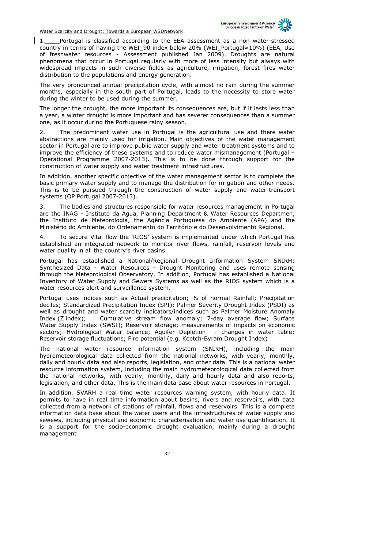

1. Portugal is classified according to the EEA assessment as a non water-stressed country in terms of having the WEI\_90 index below 20% (WEI\_Portugal≈10%) (EEA, Use of freshwater resources - Assessment published Jan 2009). Droughts are natural phenomena that occur in Portugal regularly with more of less intensity but always with widespread impacts in such diverse fields as agriculture, irrigation, forest fires water distribution to the populations and energy generation.

The very pronounced annual precipitation cycle, with almost no rain during the summer months, especially in the south part of Portugal, leads to the necessity to store water during the winter to be used during the summer.

The longer the drought, the more important its consequences are, but if it lasts less than a year, a winter drought is more important and has severer consequences than a summer one, as it occur during the Portuguese rainy season.

2. The predominant water use in Portugal is the agricultural use and there water abstractions are mainly used for irrigation. Main objectives of the water management sector in Portugal are to improve public water supply and water treatment systems and to improve the efficiency of these systems and to reduce water mismanagement (Portugal – Operational Programme 2007-2013). This is to be done through support for the construction of water supply and water treatment infrastructures.

In addition, another specific objective of the water management sector is to complete the basic primary water supply and to manage the distribution for irrigation and other needs. This is to be pursued through the construction of water supply and water-transport systems (OP Portugal 2007-2013).

3. The bodies and structures responsible for water resources management in Portugal are the INAG - Instituto da Água, Planning Department & Water Resources Departmen, the Instituto de Meteorologia, the Agência Portuguesa do Ambiente (APA) and the Ministério do Ambiente, do Ordenamento do Território e do Desenvolvimento Regional.

4. To secure Vital flow the 'RIOS' system is implemented under which Portugal has established an integrated network to monitor river flows, rainfall, reservoir levels and water quality in all the country's river basins.

Portugal has established a National/Regional Drought Information System SNIRH: Synthesized Data - Water Resources - Drought Monitoring and uses remote sensing through the Meteorological Observatory. In addition, Portugal has established a National Inventory of Water Supply and Sewers Systems as well as the RIOS system which is a water resources alert and surveillance system.

Portugal uses indices such as Actual precipitation; % of normal Rainfall; Precipitation deciles; Standardized Precipitation Index (SPI); Palmer Severity Drought Index (PSDI) as well as drought and water scarcity indicators/indices such as Palmer Moisture Anomaly Index (Z index); Cumulative stream flow anomaly; 7-day average flow; Surface Water Supply Index (SWSI); Reservoir storage; measurements of impacts on economic sectors; Hydrological Water balance; Aquifer Depletion - changes in water table; Reservoir storage fluctuations; Fire potential (e.g. Keetch-Byram Drought Index)

The national water resource information system (SNIRH), including the main hydrometeorological data collected from the national networks, with yearly, monthly, daily and hourly data and also reports, legislation, and other data. This is a national water resource information system, including the main hydrometeorological data collected from the national networks, with yearly, monthly, daily and hourly data and also reports, legislation, and other data. This is the main data base about water resources in Portugal.

In addition, SVARH a real time water resources warning system, with hourly data. It permits to have in real time information about basins, rivers and reservoirs, with data collected from a network of stations of rainfall, flows and reservoirs. This is a complete information data base about the water users and the infrastructures of water supply and sewews, including physical and economic characterisation and water use quantification. It is a support for the socio-economic drought evaluation, mainly during a drought management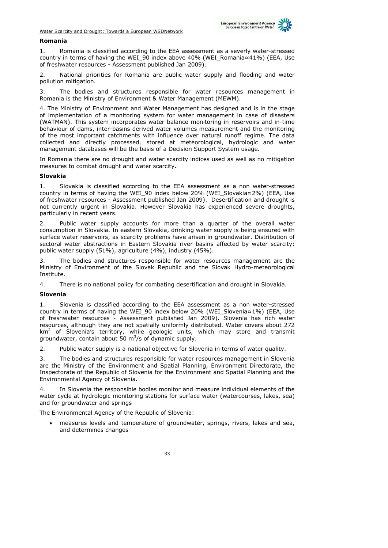

#### **Romania**

1. Romania is classified according to the EEA assessment as a severly water-stressed country in terms of having the WEI\_90 index above 40% (WEI\_Romania≈41%) (EEA, Use of freshwater resources - Assessment published Jan 2009).

2. National priorities for Romania are public water supply and flooding and water pollution mitigation.

3. The bodies and structures responsible for water resources management in Romania is the Ministry of Environment & Water Management (MEWM).

4. The Ministry of Environment and Water Management has designed and is in the stage of implementation of a monitoring system for water management in case of disasters (WATMAN). This system incorporates water balance monitoring in reservoirs and in-time behaviour of dams, inter-basins derived water volumes measurement and the monitoring of the most important catchments with influence over natural runoff regime. The data collected and directly processed, stored at meteorological, hydrologic and water management databases will be the basis of a Decision Support System usage.

In Romania there are no drought and water scarcity indices used as well as no mitigation measures to combat drought and water scarcity.

#### **Slovakia**

1. Slovakia is classified according to the EEA assessment as a non water-stressed country in terms of having the WEI\_90 index below 20% (WEI\_Slovakia≈2%) (EEA, Use of freshwater resources - Assessment published Jan 2009). Desertification and drought is not currently urgent in Slovakia. However Slovakia has experienced severe droughts, particularly in recent years.

2. Public water supply accounts for more than a quarter of the overall water consumption in Slovakia. In eastern Slovakia, drinking water supply is being ensured with surface water reservoirs, as scarcity problems have arisen in groundwater. Distribution of sectoral water abstractions in Eastern Slovakia river basins affected by water scarcity: public water supply (51%), agriculture (4%), industry (45%).

3. The bodies and structures responsible for water resources management are the Ministry of Environment of the Slovak Republic and the Slovak Hydro-meteorological Institute.

4. There is no national policy for combating desertification and drought in Slovakia.

#### **Slovenia**

Slovenia is classified according to the EEA assessment as a non water-stressed country in terms of having the WEI\_90 index below 20% (WEI\_Slovenia≈1%) (EEA, Use of freshwater resources - Assessment published Jan 2009). Slovenia has rich water resources, although they are not spatially uniformly distributed. Water covers about 272  $km<sup>2</sup>$  of Slovenia's territory, while geologic units, which may store and transmit groundwater, contain about 50  $\mathrm{m}^3$ /s of dynamic supply.

2. Public water supply is a national objective for Slovenia in terms of water quality.

3. The bodies and structures responsible for water resources management in Slovenia are the Ministry of the Environment and Spatial Planning, Environment Directorate, the Inspectorate of the Republic of Slovenia for the Environment and Spatial Planning and the Environmental Agency of Slovenia.

4. In Slovenia the responsible bodies monitor and measure individual elements of the water cycle at hydrologic monitoring stations for surface water (watercourses, lakes, sea) and for groundwater and springs

The Environmental Agency of the Republic of Slovenia:

• measures levels and temperature of groundwater, springs, rivers, lakes and sea, and determines changes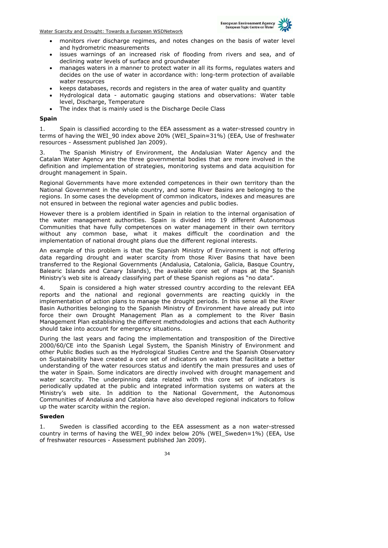

- monitors river discharge regimes, and notes changes on the basis of water level and hydrometric measurements
- issues warnings of an increased risk of flooding from rivers and sea, and of declining water levels of surface and groundwater
- manages waters in a manner to protect water in all its forms, regulates waters and decides on the use of water in accordance with: long-term protection of available water resources
- keeps databases, records and registers in the area of water quality and quantity
- Hydrological data automatic gauging stations and observations: Water table level, Discharge, Temperature
- The index that is mainly used is the Discharge Decile Class

#### **Spain**

1. Spain is classified according to the EEA assessment as a water-stressed country in terms of having the WEI\_90 index above 20% (WEI\_Spain≈31%) (EEA, Use of freshwater resources - Assessment published Jan 2009).

3. The Spanish Ministry of Environment, the Andalusian Water Agency and the Catalan Water Agency are the three governmental bodies that are more involved in the definition and implementation of strategies, monitoring systems and data acquisition for drought management in Spain.

Regional Governments have more extended competences in their own territory than the National Government in the whole country, and some River Basins are belonging to the regions. In some cases the development of common indicators, indexes and measures are not ensured in between the regional water agencies and public bodies.

However there is a problem identified in Spain in relation to the internal organisation of the water management authorities. Spain is divided into 19 different Autonomous Communities that have fully competences on water management in their own territory without any common base, what it makes difficult the coordination and the implementation of national drought plans due the different regional interests.

An example of this problem is that the Spanish Ministry of Environment is not offering data regarding drought and water scarcity from those River Basins that have been transferred to the Regional Governments (Andalusia, Catalonia, Galicia, Basque Country, Balearic Islands and Canary Islands), the available core set of maps at the Spanish Ministry's web site is already classifying part of these Spanish regions as "no data".

Spain is considered a high water stressed country according to the relevant EEA reports and the national and regional governments are reacting quickly in the implementation of action plans to manage the drought periods. In this sense all the River Basin Authorities belonging to the Spanish Ministry of Environment have already put into force their own Drought Management Plan as a complement to the River Basin Management Plan establishing the different methodologies and actions that each Authority should take into account for emergency situations.

During the last years and facing the implementation and transposition of the Directive 2000/60/CE into the Spanish Legal System, the Spanish Ministry of Environment and other Public Bodies such as the Hydrological Studies Centre and the Spanish Observatory on Sustainability have created a core set of indicators on waters that facilitate a better understanding of the water resources status and identify the main pressures and uses of the water in Spain. Some indicators are directly involved with drought management and water scarcity. The underpinning data related with this core set of indicators is periodically updated at the public and integrated information systems on waters at the Ministry's web site. In addition to the National Government, the Autonomous Communities of Andalusia and Catalonia have also developed regional indicators to follow up the water scarcity within the region.

#### **Sweden**

1. Sweden is classified according to the EEA assessment as a non water-stressed country in terms of having the WEI\_90 index below 20% (WEI\_Sweden≈1%) (EEA, Use of freshwater resources - Assessment published Jan 2009).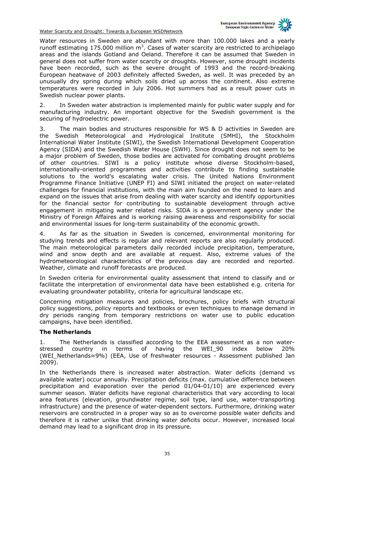

Water resources in Sweden are abundant with more than 100.000 lakes and a yearly runoff estimating  $175.000$  million  $m<sup>3</sup>$ . Cases of water scarcity are restricted to archipelago areas and the islands Gotland and Oeland. Therefore it can be assumed that Sweden in general does not suffer from water scarcity or droughts. However, some drought incidents have been recorded, such as the severe drought of 1993 and the record-breaking European heatwave of 2003 definitely affected Sweden, as well. It was preceded by an unusually dry spring during which soils dried up across the continent. Also extreme temperatures were recorded in July 2006. Hot summers had as a result power cuts in Swedish nuclear power plants.

2. In Sweden water abstraction is implemented mainly for public water supply and for manufacturing industry. An important objective for the Swedish government is the securing of hydroelectric power.

3. The main bodies and structures responsible for WS & D activities in Sweden are the Swedish Meteorological and Hydrological Institute (SMHI), the Stockholm International Water Institute (SIWI), the Swedish International Development Cooperation Agency (SIDA) and the Swedish Water House (SWH). Since drought does not seem to be a major problem of Sweden, those bodies are activated for combating drought problems of other countries. SIWI is a policy institute whose diverse Stockholm-based, internationally-oriented programmes and activities contribute to finding sustainable solutions to the world's escalating water crisis. The United Nations Environment Programme Finance Initiative (UNEP FI) and SIWI initiated the project on water-related challenges for financial institutions, with the main aim founded on the need to learn and expand on the issues that arise from dealing with water scarcity and identify opportunities for the financial sector for contributing to sustainable development through active engagement in mitigating water related risks. SIDA is a government agency under the Ministry of Foreign Affaires and is working raising awareness and responsibility for social and environmental issues for long-term sustainability of the economic growth.

4. As far as the situation in Sweden is concerned, environmental monitoring for studying trends and effects is regular and relevant reports are also regularly produced. The main meteorological parameters daily recorded include precipitation, temperature, wind and snow depth and are available at request. Also, extreme values of the hydrometeorological characteristics of the previous day are recorded and reported. Weather, climate and runoff forecasts are produced.

In Sweden criteria for environmental quality assessment that intend to classify and or facilitate the interpretation of environmental data have been established e.g. criteria for evaluating groundwater potability, criteria for agricultural landscape etc.

Concerning mitigation measures and policies, brochures, policy briefs with structural policy suggestions, policy reports and textbooks or even techniques to manage demand in dry periods ranging from temporary restrictions on water use to public education campaigns, have been identified.

#### **The Netherlands**

1. The Netherlands is classified according to the EEA assessment as a non waterstressed country in terms of having the WEI\_90 index below 20% (WEI\_Netherlands≈9%) (EEA, Use of freshwater resources - Assessment published Jan 2009).

In the Netherlands there is increased water abstraction. Water deficits (demand vs available water) occur annually. Precipitation deficits (max. cumulative difference between precipitation and evaporation over the period 01/04-01/10) are experienced every summer season. Water deficits have regional characteristics that vary according to local area features (elevation, groundwater regime, soil type, land use, water-transporting infrastructure) and the presence of water-dependent sectors. Furthermore, drinking water reservoirs are constructed in a proper way so as to overcome possible water deficits and therefore it is rather unlike that drinking water deficits occur. However, increased local demand may lead to a significant drop in its pressure.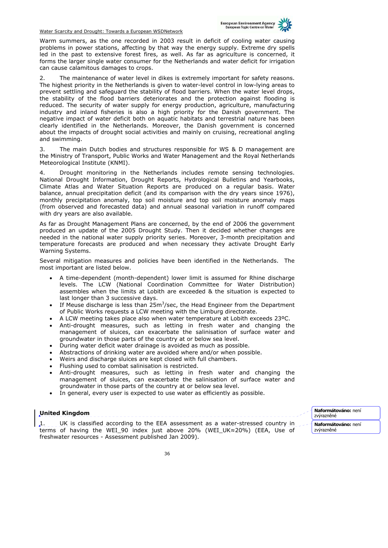

Warm summers, as the one recorded in 2003 result in deficit of cooling water causing problems in power stations, affecting by that way the energy supply. Extreme dry spells led in the past to extensive forest fires, as well. As far as agriculture is concerned, it forms the larger single water consumer for the Netherlands and water deficit for irrigation can cause calamitous damages to crops.

2. The maintenance of water level in dikes is extremely important for safety reasons. The highest priority in the Netherlands is given to water-level control in low-lying areas to prevent settling and safeguard the stability of flood barriers. When the water level drops, the stability of the flood barriers deteriorates and the protection against flooding is reduced. The security of water supply for energy production, agriculture, manufacturing industry and inland fisheries is also a high priority for the Danish government. The negative impact of water deficit both on aquatic habitats and terrestrial nature has been clearly identified in the Netherlands. Moreover, the Danish government is concerned about the impacts of drought social activities and mainly on cruising, recreational angling and swimming.

3. The main Dutch bodies and structures responsible for WS & D management are the Ministry of Transport, Public Works and Water Management and the Royal Netherlands Meteorological Institute (KNMI).

Drought monitoring in the Netherlands includes remote sensing technologies. National Drought Information, Drought Reports, Hydrological Bulletins and Yearbooks, Climate Atlas and Water Situation Reports are produced on a regular basis. Water balance, annual precipitation deficit (and its comparison with the dry years since 1976), monthly precipitation anomaly, top soil moisture and top soil moisture anomaly maps (from observed and forecasted data) and annual seasonal variation in runoff compared with dry years are also available.

As far as Drought Management Plans are concerned, by the end of 2006 the government produced an update of the 2005 Drought Study. Then it decided whether changes are needed in the national water supply priority series. Moreover, 3-month precipitation and temperature forecasts are produced and when necessary they activate Drought Early Warning Systems.

Several mitigation measures and policies have been identified in the Netherlands. The most important are listed below.

- A time-dependent (month-dependent) lower limit is assumed for Rhine discharge levels. The LCW (National Coordination Committee for Water Distribution) assembles when the limits at Lobith are exceeded & the situation is expected to last longer than 3 successive days.
- If Meuse discharge is less than  $25m^3$ /sec, the Head Engineer from the Department of Public Works requests a LCW meeting with the Limburg directorate.
- A LCW meeting takes place also when water temperature at Lobith exceeds 23ºC.
- Anti-drought measures, such as letting in fresh water and changing the management of sluices, can exacerbate the salinisation of surface water and groundwater in those parts of the country at or below sea level.
- During water deficit water drainage is avoided as much as possible.
- Abstractions of drinking water are avoided where and/or when possible.
- Weirs and discharge sluices are kept closed with full chambers.
- Flushing used to combat salinisation is restricted.
- Anti-drought measures, such as letting in fresh water and changing the management of sluices, can exacerbate the salinisation of surface water and groundwater in those parts of the country at or below sea level.
- In general, every user is expected to use water as efficiently as possible.

## **United Kingdom**

1. UK is classified according to the EEA assessment as a water-stressed country in terms of having the WEI\_90 index just above 20% (WEI\_UK≈20%) (EEA, Use of freshwater resources - Assessment published Jan 2009).

**Naformátováno:** není zvýrazněné **Naformátováno:** není zvýrazněné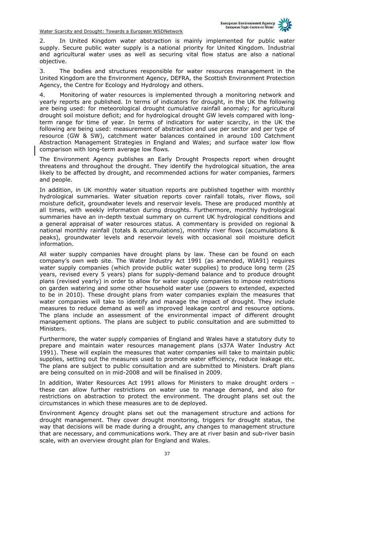

2. In United Kingdom water abstraction is mainly implemented for public water supply. Secure public water supply is a national priority for United Kingdom. Industrial and agricultural water uses as well as securing vital flow status are also a national objective.

3. The bodies and structures responsible for water resources management in the United Kingdom are the Environment Agency, DEFRA, the Scottish Environment Protection Agency, the Centre for Ecology and Hydrology and others.

4. Monitoring of water resources is implemented through a monitoring network and yearly reports are published. In terms of indicators for drought, in the UK the following are being used: for meteorological drought cumulative rainfall anomaly; for agricultural drought soil moisture deficit; and for hydrological drought GW levels compared with longterm range for time of year. In terms of indicators for water scarcity, in the UK the following are being used: measurement of abstraction and use per sector and per type of resource (GW & SW), catchment water balances contained in around 100 Catchment Abstraction Management Strategies in England and Wales; and surface water low flow comparison with long-term average low flows.

The Environment Agency publishes an Early Drought Prospects report when drought threatens and throughout the drought. They identify the hydrological situation, the area likely to be affected by drought, and recommended actions for water companies, farmers and people.

In addition, in UK monthly water situation reports are published together with monthly hydrological summaries. Water situation reports cover rainfall totals, river flows, soil moisture deficit, groundwater levels and reservoir levels. These are produced monthly at all times, with weekly information during droughts. Furthermore, monthly hydrological summaries have an in-depth textual summary on current UK hydrological conditions and a general appraisal of water resources status. A commentary is provided on regional & national monthly rainfall (totals & accumulations), monthly river flows (accumulations & peaks), groundwater levels and reservoir levels with occasional soil moisture deficit information.

All water supply companies have drought plans by law. These can be found on each company's own web site. The Water Industry Act 1991 (as amended, WIA91) requires water supply companies (which provide public water supplies) to produce long term (25 years, revised every 5 years) plans for supply-demand balance and to produce drought plans (revised yearly) in order to allow for water supply companies to impose restrictions on garden watering and some other household water use (powers to extended, expected to be in 2010). These drought plans from water companies explain the measures that water companies will take to identify and manage the impact of drought. They include measures to reduce demand as well as improved leakage control and resource options. The plans include an assessment of the environmental impact of different drought management options. The plans are subject to public consultation and are submitted to Ministers.

Furthermore, the water supply companies of England and Wales have a statutory duty to prepare and maintain water resources management plans (s37A Water Industry Act 1991). These will explain the measures that water companies will take to maintain public supplies, setting out the measures used to promote water efficiency, reduce leakage etc. The plans are subject to public consultation and are submitted to Ministers. Draft plans are being consulted on in mid-2008 and will be finalised in 2009.

In addition, Water Resources Act 1991 allows for Ministers to make drought orders – these can allow further restrictions on water use to manage demand, and also for restrictions on abstraction to protect the environment. The drought plans set out the circumstances in which these measures are to de deployed.

Environment Agency drought plans set out the management structure and actions for drought management. They cover drought monitoring, triggers for drought status, the way that decisions will be made during a drought, any changes to management structure that are necessary, and communications work. They are at river basin and sub-river basin scale, with an overview drought plan for England and Wales.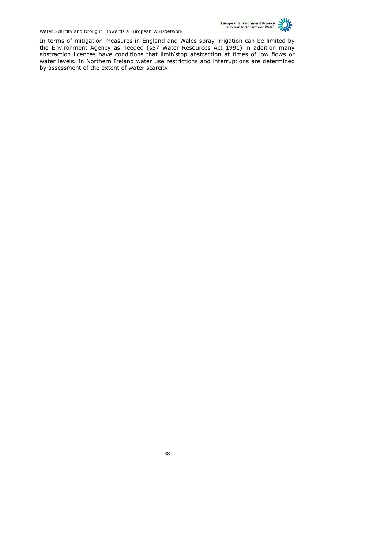

In terms of mitigation measures in England and Wales spray irrigation can be limited by the Environment Agency as needed (s57 Water Resources Act 1991) in addition many abstraction licences have conditions that limit/stop abstraction at times of low flows or water levels. In Northern Ireland water use restrictions and interruptions are determined by assessment of the extent of water scarcity.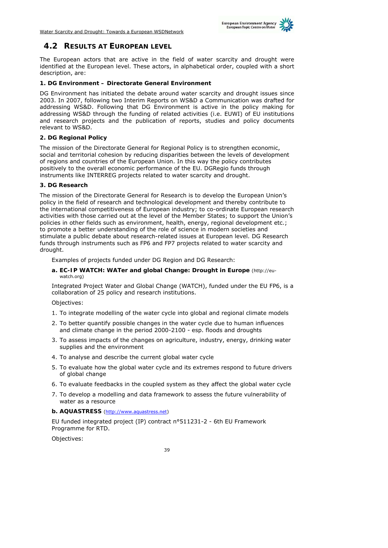

## **4.2 RESULTS AT EUROPEAN LEVEL**

The European actors that are active in the field of water scarcity and drought were identified at the European level. These actors, in alphabetical order, coupled with a short description, are:

#### **1. DG Environment – Directorate General Environment**

DG Environment has initiated the debate around water scarcity and drought issues since 2003. In 2007, following two Interim Reports on WS&D a Communication was drafted for addressing WS&D. Following that DG Environment is active in the policy making for addressing WS&D through the funding of related activities (i.e. EUWI) of EU institutions and research projects and the publication of reports, studies and policy documents relevant to WS&D.

#### **2. DG Regional Policy**

The mission of the Directorate General for Regional Policy is to strengthen economic, social and territorial cohesion by reducing disparities between the levels of development of regions and countries of the European Union. In this way the policy contributes positively to the overall economic performance of the EU. DGRegio funds through instruments like INTERREG projects related to water scarcity and drought.

#### **3. DG Research**

The mission of the Directorate General for Research is to develop the European Union's policy in the field of research and technological development and thereby contribute to the international competitiveness of European industry; to co-ordinate European research activities with those carried out at the level of the Member States; to support the Union's policies in other fields such as environment, health, energy, regional development etc.; to promote a better understanding of the role of science in modern societies and stimulate a public debate about research-related issues at European level. DG Research funds through instruments such as FP6 and FP7 projects related to water scarcity and drought.

Examples of projects funded under DG Region and DG Research:

#### **a. EC-IP WATCH: WATer and global Change: Drought in Europe** (http://euwatch org)

Integrated Project Water and Global Change (WATCH), funded under the EU FP6, is a collaboration of 25 policy and research institutions.

Objectives:

- 1. To integrate modelling of the water cycle into global and regional climate models
- 2. To better quantify possible changes in the water cycle due to human influences and climate change in the period 2000-2100 - esp. floods and droughts
- 3. To assess impacts of the changes on agriculture, industry, energy, drinking water supplies and the environment
- 4. To analyse and describe the current global water cycle
- 5. To evaluate how the global water cycle and its extremes respond to future drivers of global change
- 6. To evaluate feedbacks in the coupled system as they affect the global water cycle
- 7. To develop a modelling and data framework to assess the future vulnerability of water as a resource
- **b. AQUASTRESS** (http://www.aquastress.net)

EU funded integrated project (IP) contract n°511231-2 - 6th EU Framework Programme for RTD.

Objectives: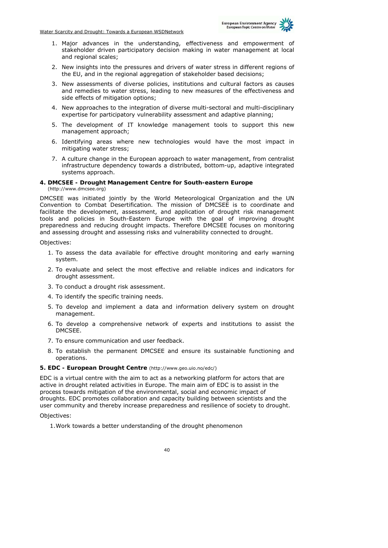

- 1. Major advances in the understanding, effectiveness and empowerment of stakeholder driven participatory decision making in water management at local and regional scales;
- 2. New insights into the pressures and drivers of water stress in different regions of the EU, and in the regional aggregation of stakeholder based decisions;
- 3. New assessments of diverse policies, institutions and cultural factors as causes and remedies to water stress, leading to new measures of the effectiveness and side effects of mitigation options;
- 4. New approaches to the integration of diverse multi-sectoral and multi-disciplinary expertise for participatory vulnerability assessment and adaptive planning;
- 5. The development of IT knowledge management tools to support this new management approach;
- 6. Identifying areas where new technologies would have the most impact in mitigating water stress;
- 7. A culture change in the European approach to water management, from centralist infrastructure dependency towards a distributed, bottom-up, adaptive integrated systems approach.

#### **4. DMCSEE - Drought Management Centre for South-eastern Europe**  (http://www.dmcsee.org)

DMCSEE was initiated jointly by the World Meteorological Organization and the UN Convention to Combat Desertification. The mission of DMCSEE is to coordinate and facilitate the development, assessment, and application of drought risk management tools and policies in South-Eastern Europe with the goal of improving drought preparedness and reducing drought impacts. Therefore DMCSEE focuses on monitoring and assessing drought and assessing risks and vulnerability connected to drought.

Objectives:

- 1. To assess the data available for effective drought monitoring and early warning system.
- 2. To evaluate and select the most effective and reliable indices and indicators for drought assessment.
- 3. To conduct a drought risk assessment.
- 4. To identify the specific training needs.
- 5. To develop and implement a data and information delivery system on drought management.
- 6. To develop a comprehensive network of experts and institutions to assist the DMCSEE.
- 7. To ensure communication and user feedback.
- 8. To establish the permanent DMCSEE and ensure its sustainable functioning and operations.

#### **5. EDC - European Drought Centre** (http://www.geo.uio.no/edc/)

EDC is a virtual centre with the aim to act as a networking platform for actors that are active in drought related activities in Europe. The main aim of EDC is to assist in the process towards mitigation of the environmental, social and economic impact of droughts. EDC promotes collaboration and capacity building between scientists and the user community and thereby increase preparedness and resilience of society to drought.

Objectives:

1.Work towards a better understanding of the drought phenomenon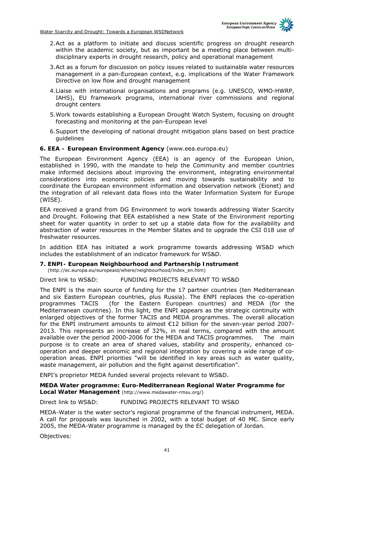

- 2.Act as a platform to initiate and discuss scientific progress on drought research within the academic society, but as important be a meeting place between multidisciplinary experts in drought research, policy and operational management
- 3.Act as a forum for discussion on policy issues related to sustainable water resources management in a pan-European context, e.g. implications of the Water Framework Directive on low flow and drought management
- 4.Liaise with international organisations and programs (e.g. UNESCO, WMO-HWRP, IAHS), EU framework programs, international river commissions and regional drought centers
- 5.Work towards establishing a European Drought Watch System, focusing on drought forecasting and monitoring at the pan-European level
- 6.Support the developing of national drought mitigation plans based on best practice guidelines

#### **6. EEA – European Environment Agency** (www.eea.europa.eu)

The European Environment Agency (EEA) is an agency of the European Union, established in 1990, with the mandate to help the Community and member countries make informed decisions about improving the environment, integrating environmental considerations into economic policies and moving towards sustainability and to coordinate the European environment information and observation network (Eionet) and the integration of all relevant data flows into the Water Information System for Europe (WISE).

EEA received a grand from DG Environment to work towards addressing Water Scarcity and Drought. Following that EEA established a new State of the Environment reporting sheet for water quantity in order to set up a stable data flow for the availability and abstraction of water resources in the Member States and to upgrade the CSI 018 use of freshwater resources.

In addition EEA has initiated a work programme towards addressing WS&D which includes the establishment of an indicator framework for WS&D.

## **7. ENPI- European Neighbourhood and Partnership Instrument**

(http://ec.europa.eu/europeaid/where/neighbourhood/index\_en.htm)

#### Direct link to WS&D: FUNDING PROJECTS RELEVANT TO WS&D

The ENPI is the main source of funding for the 17 partner countries (ten Mediterranean and six Eastern European countries, plus Russia). The ENPI replaces the co-operation programmes TACIS (for the Eastern European countries) and MEDA (for the Mediterranean countries). In this light, the ENPI appears as the strategic continuity with enlarged objectives of the former TACIS and MEDA programmes. The overall allocation for the ENPI instrument amounts to almost €12 billion for the seven-year period 2007- 2013. This represents an increase of 32%, in real terms, compared with the amount available over the period 2000-2006 for the MEDA and TACIS programmes. The main purpose is to create an area of shared values, stability and prosperity, enhanced cooperation and deeper economic and regional integration by covering a wide range of cooperation areas. ENPI priorities "will be identified in key areas such as water quality, waste management, air pollution and the fight against desertification".

ENPI's proprietor MEDA funded several projects relevant to WS&D.

# **MEDA Water programme: Euro-Mediterranean Regional Water Programme for**

**Local Water Management** (http://www.medawater-rmsu.org/)

### Direct link to WS&D: FUNDING PROJECTS RELEVANT TO WS&D

MEDA-Water is the water sector's regional programme of the financial instrument, MEDA. A call for proposals was launched in 2002, with a total budget of 40 M€. Since early 2005, the MEDA-Water programme is managed by the EC delegation of Jordan.

Objectives: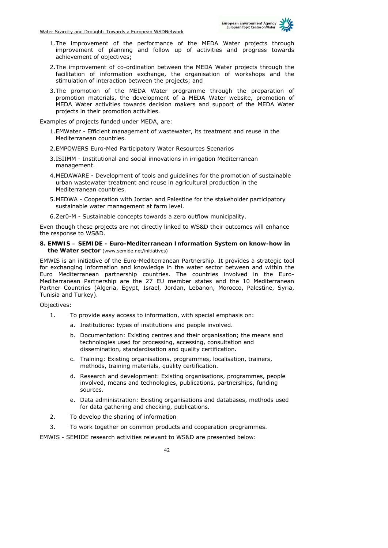

- 1.The improvement of the performance of the MEDA Water projects through improvement of planning and follow up of activities and progress towards achievement of objectives;
- 2.The improvement of co-ordination between the MEDA Water projects through the facilitation of information exchange, the organisation of workshops and the stimulation of interaction between the projects; and
- 3.The promotion of the MEDA Water programme through the preparation of promotion materials, the development of a MEDA Water website, promotion of MEDA Water activities towards decision makers and support of the MEDA Water projects in their promotion activities.

Examples of projects funded under MEDA, are:

- 1.EMWater Efficient management of wastewater, its treatment and reuse in the Mediterranean countries.
- 2.EMPOWERS Euro-Med Participatory Water Resources Scenarios
- 3.ISIIMM Institutional and social innovations in irrigation Mediterranean management.
- 4.MEDAWARE Development of tools and guidelines for the promotion of sustainable urban wastewater treatment and reuse in agricultural production in the Mediterranean countries.
- 5.MEDWA Cooperation with Jordan and Palestine for the stakeholder participatory sustainable water management at farm level.
- 6.Zer0-M Sustainable concepts towards a zero outflow municipality.

Even though these projects are not directly linked to WS&D their outcomes will enhance the response to WS&D.

#### **8. EMWIS – SEMIDE - Euro-Mediterranean Information System on know-how in the Water sector** (www.semide.net/initiatives)

EMWIS is an initiative of the Euro-Mediterranean Partnership. It provides a strategic tool for exchanging information and knowledge in the water sector between and within the Euro Mediterranean partnership countries. The countries involved in the Euro-Mediterranean Partnership are the 27 EU member states and the 10 Mediterranean Partner Countries (Algeria, Egypt, Israel, Jordan, Lebanon, Morocco, Palestine, Syria, Tunisia and Turkey).

Objectives:

- 1. To provide easy access to information, with special emphasis on:
	- a. Institutions: types of institutions and people involved.
	- b. Documentation: Existing centres and their organisation; the means and technologies used for processing, accessing, consultation and dissemination, standardisation and quality certification.
	- c. Training: Existing organisations, programmes, localisation, trainers, methods, training materials, quality certification.
	- d. Research and development: Existing organisations, programmes, people involved, means and technologies, publications, partnerships, funding sources.
	- e. Data administration: Existing organisations and databases, methods used for data gathering and checking, publications.
- 2. To develop the sharing of information
- 3. To work together on common products and cooperation programmes.

EMWIS - SEMIDE research activities relevant to WS&D are presented below: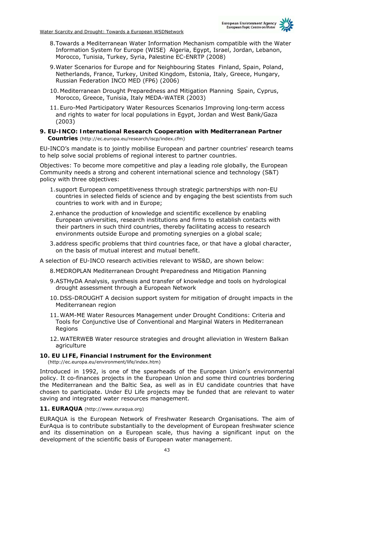

- 8.Towards a Mediterranean Water Information Mechanism compatible with the Water Information System for Europe (WISE) Algeria, Egypt, Israel, Jordan, Lebanon, Morocco, Tunisia, Turkey, Syria, Palestine EC-ENRTP (2008)
- 9.Water Scenarios for Europe and for Neighbouring States Finland, Spain, Poland, Netherlands, France, Turkey, United Kingdom, Estonia, Italy, Greece, Hungary, Russian Federation INCO MED (FP6) (2006)
- 10. Mediterranean Drought Preparedness and Mitigation Planning Spain, Cyprus, Morocco, Greece, Tunisia, Italy MEDA-WATER (2003)
- 11. Euro-Med Participatory Water Resources Scenarios Improving long-term access and rights to water for local populations in Egypt, Jordan and West Bank/Gaza (2003)

#### **9. EU-INCO: International Research Cooperation with Mediterranean Partner Countries** (http://ec.europa.eu/research/iscp/index.cfm)

EU-INCO's mandate is to jointly mobilise European and partner countries' research teams to help solve social problems of regional interest to partner countries.

Objectives: To become more competitive and play a leading role globally, the European Community needs a strong and coherent international science and technology (S&T) policy with three objectives:

- 1.support European competitiveness through strategic partnerships with non-EU countries in selected fields of science and by engaging the best scientists from such countries to work with and in Europe;
- 2.enhance the production of knowledge and scientific excellence by enabling European universities, research institutions and firms to establish contacts with their partners in such third countries, thereby facilitating access to research environments outside Europe and promoting synergies on a global scale;
- 3.address specific problems that third countries face, or that have a global character, on the basis of mutual interest and mutual benefit.

A selection of EU-INCO research activities relevant to WS&D, are shown below:

- 8.MEDROPLAN Mediterranean Drought Preparedness and Mitigation Planning
- 9.ASTHyDA Analysis, synthesis and transfer of knowledge and tools on hydrological drought assessment through a European Network
- 10. DSS-DROUGHT A decision support system for mitigation of drought impacts in the Mediterranean region
- 11.WAM-ME Water Resources Management under Drought Conditions: Criteria and Tools for Conjunctive Use of Conventional and Marginal Waters in Mediterranean Regions
- 12.WATERWEB Water resource strategies and drought alleviation in Western Balkan agriculture

#### **10. EU LIFE, Financial Instrument for the Environment**

(http://ec.europa.eu/environment/life/index.htm)

Introduced in 1992, is one of the spearheads of the European Union's environmental policy. It co-finances projects in the European Union and some third countries bordering the Mediterranean and the Baltic Sea, as well as in EU candidate countries that have chosen to participate. Under EU Life projects may be funded that are relevant to water saving and integrated water resources management.

#### **11. EURAQUA** (http://www.euraqua.org)

EURAQUA is the European Network of Freshwater Research Organisations. The aim of EurAqua is to contribute substantially to the development of European freshwater science and its dissemination on a European scale, thus having a significant input on the development of the scientific basis of European water management.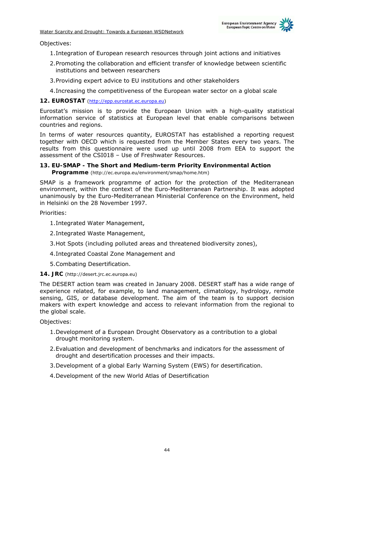

Objectives:

- 1.Integration of European research resources through joint actions and initiatives
- 2.Promoting the collaboration and efficient transfer of knowledge between scientific institutions and between researchers
- 3.Providing expert advice to EU institutions and other stakeholders
- 4.Increasing the competitiveness of the European water sector on a global scale

**12. EUROSTAT** (http://epp.eurostat.ec.europa.eu)

Eurostat's mission is to provide the European Union with a high-quality statistical information service of statistics at European level that enable comparisons between countries and regions.

In terms of water resources quantity, EUROSTAT has established a reporting request together with OECD which is requested from the Member States every two years. The results from this questionnaire were used up until 2008 from EEA to support the assessment of the CSI018 – Use of Freshwater Resources.

#### **13. EU-SMAP - The Short and Medium-term Priority Environmental Action Programme** (http://ec.europa.eu/environment/smap/home.htm)

SMAP is a framework programme of action for the protection of the Mediterranean

environment, within the context of the Euro-Mediterranean Partnership. It was adopted unanimously by the Euro-Mediterranean Ministerial Conference on the Environment, held in Helsinki on the 28 November 1997.

Priorities:

- 1.Integrated Water Management,
- 2.Integrated Waste Management,
- 3.Hot Spots (including polluted areas and threatened biodiversity zones),
- 4.Integrated Coastal Zone Management and
- 5.Combating Desertification.
- **14. JRC** (http://desert.jrc.ec.europa.eu)

The DESERT action team was created in January 2008. DESERT staff has a wide range of experience related, for example, to land management, climatology, hydrology, remote sensing, GIS, or database development. The aim of the team is to support decision makers with expert knowledge and access to relevant information from the regional to the global scale.

Objectives:

- 1.Development of a European Drought Observatory as a contribution to a global drought monitoring system.
- 2.Evaluation and development of benchmarks and indicators for the assessment of drought and desertification processes and their impacts.
- 3.Development of a global Early Warning System (EWS) for desertification.
- 4.Development of the new World Atlas of Desertification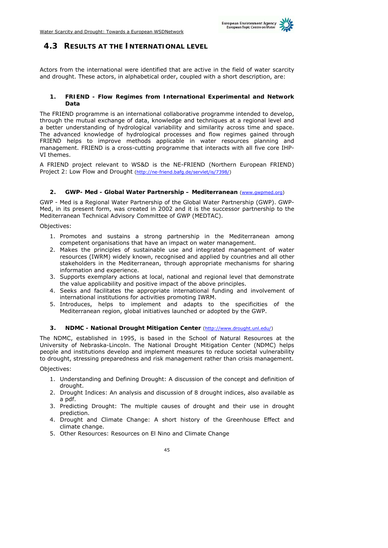

## **4.3 RESULTS AT THE INTERNATIONAL LEVEL**

Actors from the international were identified that are active in the field of water scarcity and drought. These actors, in alphabetical order, coupled with a short description, are:

#### **1. FRIEND - Flow Regimes from International Experimental and Network Data**

The FRIEND programme is an international collaborative programme intended to develop, through the mutual exchange of data, knowledge and techniques at a regional level and a better understanding of hydrological variability and similarity across time and space. The advanced knowledge of hydrological processes and flow regimes gained through FRIEND helps to improve methods applicable in water resources planning and management. FRIEND is a cross-cutting programme that interacts with all five core IHP-VI themes.

A FRIEND project relevant to WS&D is the NE-FRIEND (Northern European FRIEND) Project 2: Low Flow and Drought (http://ne-friend.bafg.de/servlet/is/7398/)

#### **2. GWP- Med - Global Water Partnership – Mediterranean** (www.gwpmed.org)

GWP - Med is a Regional Water Partnership of the Global Water Partnership (GWP). GWP-Med, in its present form, was created in 2002 and it is the successor partnership to the Mediterranean Technical Advisory Committee of GWP (MEDTAC).

Objectives:

- 1. Promotes and sustains a strong partnership in the Mediterranean among competent organisations that have an impact on water management.
- 2. Makes the principles of sustainable use and integrated management of water resources (IWRM) widely known, recognised and applied by countries and all other stakeholders in the Mediterranean, through appropriate mechanisms for sharing information and experience.
- 3. Supports exemplary actions at local, national and regional level that demonstrate the value applicability and positive impact of the above principles.
- 4. Seeks and facilitates the appropriate international funding and involvement of international institutions for activities promoting IWRM.
- 5. Introduces, helps to implement and adapts to the specificities of the Mediterranean region, global initiatives launched or adopted by the GWP.

#### **3. NDMC - National Drought Mitigation Center** (http://www.drought.unl.edu/)

The NDMC, established in 1995, is based in the School of Natural Resources at the University of Nebraska-Lincoln. The National Drought Mitigation Center (NDMC) helps people and institutions develop and implement measures to reduce societal vulnerability to drought, stressing preparedness and risk management rather than crisis management.

Objectives:

- 1. Understanding and Defining Drought: A discussion of the concept and definition of drought.
- 2. Drought Indices: An analysis and discussion of 8 drought indices, also available as a pdf.
- 3. Predicting Drought: The multiple causes of drought and their use in drought prediction.
- 4. Drought and Climate Change: A short history of the Greenhouse Effect and climate change.
- 5. Other Resources: Resources on El Nino and Climate Change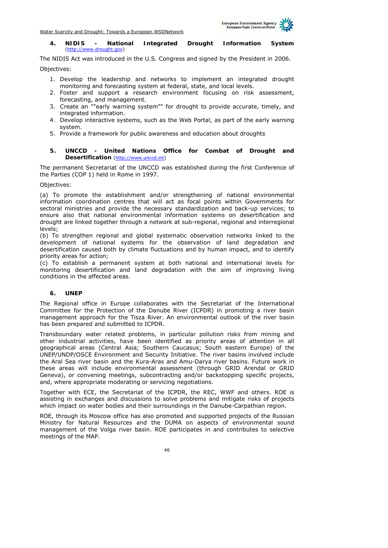

#### **4. NIDIS - National Integrated Drought Information System**  (http://www.drought.gov)

The NIDIS Act was introduced in the U.S. Congress and signed by the President in 2006. Objectives:

- 1. Develop the leadership and networks to implement an integrated drought monitoring and forecasting system at federal, state, and local levels.
- 2. Foster and support a research environment focusing on risk assessment, forecasting, and management.
- 3. Create an ""early warning system"" for drought to provide accurate, timely, and integrated information.
- 4. Develop interactive systems, such as the Web Portal, as part of the early warning system.
- 5. Provide a framework for public awareness and education about droughts

#### **5. UNCCD - United Nations Office for Combat of Drought and Desertification** (http://www.unccd.int)

The permanent Secretariat of the UNCCD was established during the first Conference of the Parties (COP 1) held in Rome in 1997.

Objectives:

(a) To promote the establishment and/or strengthening of national environmental information coordination centres that will act as focal points within Governments for sectoral ministries and provide the necessary standardization and back-up services; to ensure also that national environmental information systems on desertification and drought are linked together through a network at sub-regional, regional and interregional levels;

(b) To strengthen regional and global systematic observation networks linked to the development of national systems for the observation of land degradation and desertification caused both by climate fluctuations and by human impact, and to identify priority areas for action;

(c) To establish a permanent system at both national and international levels for monitoring desertification and land degradation with the aim of improving living conditions in the affected areas.

#### **6. UNEP**

The Regional office in Europe collaborates with the Secretariat of the International Committee for the Protection of the Danube River (ICPDR) in promoting a river basin management approach for the Tisza River. An environmental outlook of the river basin has been prepared and submitted to ICPDR.

Transboundary water related problems, in particular pollution risks from mining and other industrial activities, have been identified as priority areas of attention in all geographical areas (Central Asia; Southern Caucasus; South eastern Europe) of the UNEP/UNDP/OSCE Environment and Security Initiative. The river basins involved include the Aral Sea river basin and the Kura-Aras and Amu-Darya river basins. Future work in these areas will include environmental assessment (through GRID Arendal or GRID Geneva), or convening meetings, subcontracting and/or backstopping specific projects, and, where appropriate moderating or servicing negotiations.

Together with ECE, the Secretariat of the ICPDR, the REC, WWF and others. ROE is assisting in exchanges and discussions to solve problems and mitigate risks of projects which impact on water bodies and their surroundings in the Danube-Carpathian region.

ROE, through its Moscow office has also promoted and supported projects of the Russian Ministry for Natural Resources and the DUMA on aspects of environmental sound management of the Volga river basin. ROE participates in and contributes to selective meetings of the MAP.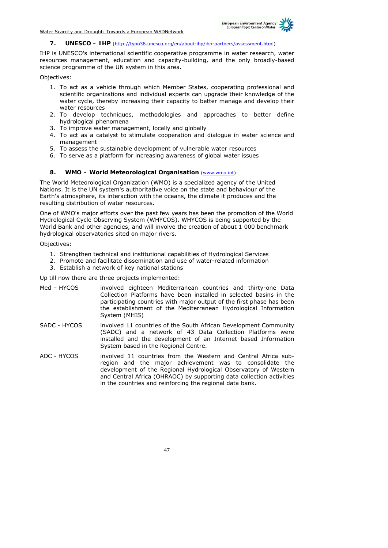

#### **7. UNESCO – IHP** (http://typo38.unesco.org/en/about-ihp/ihp-partners/assessment.html)

IHP is UNESCO's international scientific cooperative programme in water research, water resources management, education and capacity-building, and the only broadly-based science programme of the UN system in this area.

Objectives:

- 1. To act as a vehicle through which Member States, cooperating professional and scientific organizations and individual experts can upgrade their knowledge of the water cycle, thereby increasing their capacity to better manage and develop their water resources
- 2. To develop techniques, methodologies and approaches to better define hydrological phenomena
- 3. To improve water management, locally and globally
- 4. To act as a catalyst to stimulate cooperation and dialogue in water science and management
- 5. To assess the sustainable development of vulnerable water resources
- 6. To serve as a platform for increasing awareness of global water issues

#### 8. **WMO – World Meteorological Organisation** (www.wmo.int)

The World Meteorological Organization (WMO) is a specialized agency of the United Nations. It is the UN system's authoritative voice on the state and behaviour of the Earth's atmosphere, its interaction with the oceans, the climate it produces and the resulting distribution of water resources.

One of WMO's major efforts over the past few years has been the promotion of the World Hydrological Cycle Observing System (WHYCOS). WHYCOS is being supported by the World Bank and other agencies, and will involve the creation of about 1 000 benchmark hydrological observatories sited on major rivers.

Objectives:

- 1. Strengthen technical and institutional capabilities of Hydrological Services
- 2. Promote and facilitate dissemination and use of water-related information
- 3. Establish a network of key national stations

Up till now there are three projects implemented:

- Med HYCOS involved eighteen Mediterranean countries and thirty-one Data Collection Platforms have been installed in selected basins in the participating countries with major output of the first phase has been the establishment of the Mediterranean Hydrological Information System (MHIS)
- SADC HYCOS involved 11 countries of the South African Development Community (SADC) and a network of 43 Data Collection Platforms were installed and the development of an Internet based Information System based in the Regional Centre.
- AOC HYCOS involved 11 countries from the Western and Central Africa subregion and the major achievement was to consolidate the development of the Regional Hydrological Observatory of Western and Central Africa (OHRAOC) by supporting data collection activities in the countries and reinforcing the regional data bank.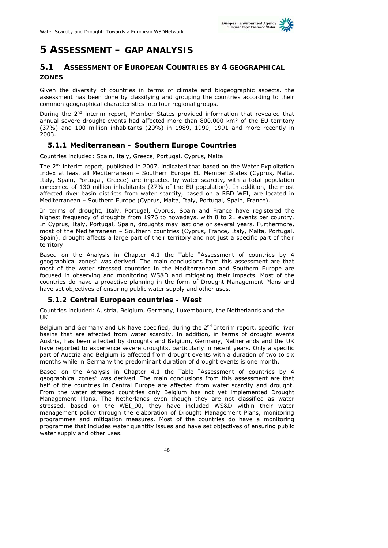

# **5 ASSESSMENT – GAP ANALYSIS**

## **5.1 ASSESSMENT OF EUROPEAN COUNTRIES BY 4 GEOGRAPHICAL ZONES**

Given the diversity of countries in terms of climate and biogeographic aspects, the assessment has been done by classifying and grouping the countries according to their common geographical characteristics into four regional groups.

During the 2<sup>nd</sup> interim report, Member States provided information that revealed that annual severe drought events had affected more than 800.000 km² of the EU territory (37%) and 100 million inhabitants (20%) in 1989, 1990, 1991 and more recently in 2003.

### **5.1.1 Mediterranean – Southern Europe Countries**

Countries included: Spain, Italy, Greece, Portugal, Cyprus, Malta

The  $2<sup>nd</sup>$  interim report, published in 2007, indicated that based on the Water Exploitation Index at least all Mediterranean – Southern Europe EU Member States (Cyprus, Malta, Italy, Spain, Portugal, Greece) are impacted by water scarcity, with a total population concerned of 130 million inhabitants (27% of the EU population). In addition, the most affected river basin districts from water scarcity, based on a RBD WEI, are located in Mediterranean – Southern Europe (Cyprus, Malta, Italy, Portugal, Spain, France).

In terms of drought, Italy, Portugal, Cyprus, Spain and France have registered the highest frequency of droughts from 1976 to nowadays, with 8 to 21 events per country. In Cyprus, Italy, Portugal, Spain, droughts may last one or several years. Furthermore, most of the Mediterranean – Southern countries (Cyprus, France, Italy, Malta, Portugal, Spain), drought affects a large part of their territory and not just a specific part of their territory.

Based on the Analysis in Chapter 4.1 the Table "Assessment of countries by 4 geographical zones" was derived. The main conclusions from this assessment are that most of the water stressed countries in the Mediterranean and Southern Europe are focused in observing and monitoring WS&D and mitigating their impacts. Most of the countries do have a proactive planning in the form of Drought Management Plans and have set objectives of ensuring public water supply and other uses.

### **5.1.2 Central European countries – West**

Countries included: Austria, Belgium, Germany, Luxembourg, the Netherlands and the UK

Belgium and Germany and UK have specified, during the  $2<sup>nd</sup>$  Interim report, specific river basins that are affected from water scarcity. In addition, in terms of drought events Austria, has been affected by droughts and Belgium, Germany, Netherlands and the UK have reported to experience severe droughts, particularly in recent years. Only a specific part of Austria and Belgium is affected from drought events with a duration of two to six months while in Germany the predominant duration of drought events is one month.

Based on the Analysis in Chapter 4.1 the Table "Assessment of countries by 4 geographical zones" was derived. The main conclusions from this assessment are that half of the countries in Central Europe are affected from water scarcity and drought. From the water stressed countries only Belgium has not yet implemented Drought Management Plans. The Netherlands even though they are not classified as water stressed, based on the WEI\_90, they have included WS&D within their water management policy through the elaboration of Drought Management Plans, monitoring programmes and mitigation measures. Most of the countries do have a monitoring programme that includes water quantity issues and have set objectives of ensuring public water supply and other uses.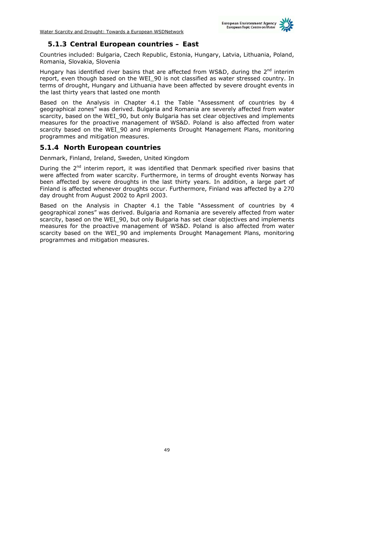

### **5.1.3 Central European countries – East**

Countries included: Bulgaria, Czech Republic, Estonia, Hungary, Latvia, Lithuania, Poland, Romania, Slovakia, Slovenia

Hungary has identified river basins that are affected from WS&D, during the  $2<sup>nd</sup>$  interim report, even though based on the WEI\_90 is not classified as water stressed country. In terms of drought, Hungary and Lithuania have been affected by severe drought events in the last thirty years that lasted one month

Based on the Analysis in Chapter 4.1 the Table "Assessment of countries by 4 geographical zones" was derived. Bulgaria and Romania are severely affected from water scarcity, based on the WEI\_90, but only Bulgaria has set clear objectives and implements measures for the proactive management of WS&D. Poland is also affected from water scarcity based on the WEI\_90 and implements Drought Management Plans, monitoring programmes and mitigation measures.

#### **5.1.4 North European countries**

Denmark, Finland, Ireland, Sweden, United Kingdom

During the  $2<sup>nd</sup>$  interim report, it was identified that Denmark specified river basins that were affected from water scarcity. Furthermore, in terms of drought events Norway has been affected by severe droughts in the last thirty years. In addition, a large part of Finland is affected whenever droughts occur. Furthermore, Finland was affected by a 270 day drought from August 2002 to April 2003.

Based on the Analysis in Chapter 4.1 the Table "Assessment of countries by 4 geographical zones" was derived. Bulgaria and Romania are severely affected from water scarcity, based on the WEI\_90, but only Bulgaria has set clear objectives and implements measures for the proactive management of WS&D. Poland is also affected from water scarcity based on the WEI\_90 and implements Drought Management Plans, monitoring programmes and mitigation measures.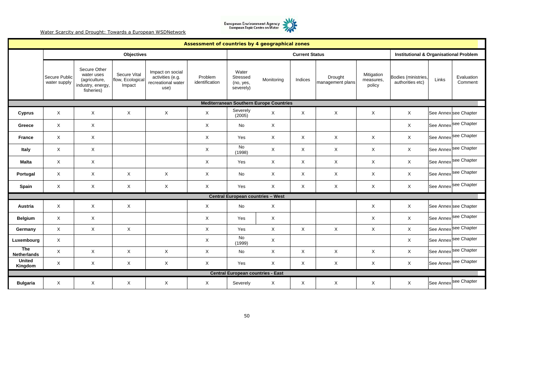

|                                  |                               |                                                                                |                                            |                                                                    | Assessment of countries by 4 geographical zones |                                             |                                                |                       |                             |                                   |                                                   |       |                                  |
|----------------------------------|-------------------------------|--------------------------------------------------------------------------------|--------------------------------------------|--------------------------------------------------------------------|-------------------------------------------------|---------------------------------------------|------------------------------------------------|-----------------------|-----------------------------|-----------------------------------|---------------------------------------------------|-------|----------------------------------|
|                                  |                               |                                                                                | <b>Objectives</b>                          |                                                                    |                                                 |                                             |                                                | <b>Current Status</b> |                             |                                   | <b>Institutional &amp; Organisational Problem</b> |       |                                  |
|                                  | Secure Public<br>water supply | Secure Other<br>water uses<br>(agriculture,<br>industry, energy,<br>fisheries) | Secure Vital<br>flow, Ecological<br>Impact | Impact on social<br>activities (e.g.<br>recreational water<br>use) | Problem<br>identification                       | Water<br>Stressed<br>(no, yes,<br>severely) | Monitoring                                     | Indices               | Drought<br>management plans | Mitigation<br>measures,<br>policy | Bodies (ministries,<br>authorities etc)           | Links | Evaluation<br>Comment:           |
|                                  |                               |                                                                                |                                            |                                                                    |                                                 |                                             | <b>Mediterranean Southern Europe Countries</b> |                       |                             |                                   |                                                   |       |                                  |
| Cyprus                           | X                             | $\times$                                                                       | $\times$                                   | X                                                                  | X                                               | Severely<br>(2005)                          | X                                              | X                     | $\boldsymbol{\mathsf{X}}$   | $\mathsf{X}$                      | X                                                 |       | See Annex see Chapter            |
| Greece                           | $\times$                      | $\times$                                                                       |                                            |                                                                    | $\mathsf{X}$                                    | <b>No</b>                                   | $\mathsf{X}$                                   |                       |                             |                                   | $\times$                                          |       | See Annex see Chapter            |
| <b>France</b>                    | X                             | $\times$                                                                       |                                            |                                                                    | $\mathsf{X}$                                    | Yes                                         | $\mathsf{X}$                                   | X                     | $\boldsymbol{\mathsf{X}}$   | X                                 | X                                                 |       | See Annex see Chapter            |
| Italy                            | X                             | $\times$                                                                       |                                            |                                                                    | X                                               | No<br>(1998)                                | $\boldsymbol{\mathsf{X}}$                      | X                     | $\mathsf X$                 | X                                 | $\times$                                          |       | See Annex see Chapter            |
| <b>Malta</b>                     | X                             | $\times$                                                                       |                                            |                                                                    | X                                               | Yes                                         | $\boldsymbol{\mathsf{X}}$                      | X                     | $\mathsf{X}$                | X                                 | X                                                 |       | See Annex see Chapter            |
| Portugal                         | X                             | $\boldsymbol{\mathsf{X}}$                                                      | X                                          | X                                                                  | $\boldsymbol{\mathsf{X}}$                       | No                                          | X                                              | X                     | $\boldsymbol{\mathsf{X}}$   | X                                 | X                                                 |       | See Annex see Chapter            |
| Spain                            | X                             | $\mathsf{X}$                                                                   | X                                          | X                                                                  | $\times$                                        | Yes                                         | X                                              | X                     | $\sf X$                     | X                                 | X                                                 |       | See Annex <sup>See Chapter</sup> |
|                                  |                               |                                                                                |                                            |                                                                    |                                                 | Central European countries - West           |                                                |                       |                             |                                   |                                                   |       |                                  |
| Austria                          | X                             | $\times$                                                                       | $\times$                                   |                                                                    | X                                               | No                                          | $\mathsf{X}$                                   |                       |                             | X                                 | X                                                 |       | See Annex see Chapter            |
| <b>Belgium</b>                   | X                             | $\mathsf{X}$                                                                   |                                            |                                                                    | $\times$                                        | Yes                                         | $\times$                                       |                       |                             | X                                 | $\times$                                          |       | See Annex see Chapter            |
| Germany                          | $\mathsf{X}$                  | $\mathsf{X}$                                                                   | $\mathsf{X}$                               |                                                                    | X                                               | Yes                                         | $\mathsf{X}$                                   | X                     | $\mathsf X$                 | X                                 | $\mathsf{X}$                                      |       | See Annex <sup>See Chapter</sup> |
| Luxembourg                       | X                             |                                                                                |                                            |                                                                    | X                                               | No<br>(1999)                                | $\mathsf{X}$                                   |                       |                             |                                   | X                                                 |       | See Annex see Chapter            |
| <b>The</b><br><b>Netherlands</b> | X                             | $\mathsf{X}$                                                                   | $\mathsf{X}$                               | $\mathsf X$                                                        | X                                               | No                                          | $\mathsf{X}$                                   | X                     | $\sf X$                     | X                                 | $\mathsf{X}$                                      |       | See Annex <sup>See Chapter</sup> |
| <b>United</b><br>Kingdom         | $\mathsf X$                   | $\times$                                                                       | $\times$                                   | X                                                                  | $\mathsf{X}$                                    | Yes                                         | $\mathsf{X}$                                   | X                     | $\mathsf X$                 | $\mathsf{X}$                      | $\times$                                          |       | See Annex see Chapter            |
|                                  |                               |                                                                                |                                            |                                                                    |                                                 |                                             | <b>Central European countries - East</b>       |                       |                             |                                   |                                                   |       |                                  |
| <b>Bulgaria</b>                  | X                             | $\times$                                                                       | X                                          | X                                                                  | $\times$                                        | Severely                                    | X                                              | $\times$              | X                           | X                                 | $\times$                                          |       | See Annex see Chapter            |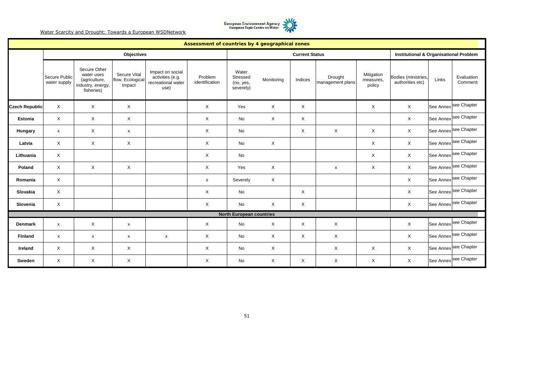

|                       |                               |                                                                                |                                            |                                                                    | Assessment of countries by 4 geographical zones |                                             |              |                       |                             |                                   |                                                   |       |                                  |
|-----------------------|-------------------------------|--------------------------------------------------------------------------------|--------------------------------------------|--------------------------------------------------------------------|-------------------------------------------------|---------------------------------------------|--------------|-----------------------|-----------------------------|-----------------------------------|---------------------------------------------------|-------|----------------------------------|
|                       |                               |                                                                                | Objectives                                 |                                                                    |                                                 |                                             |              | <b>Current Status</b> |                             |                                   | <b>Institutional &amp; Organisational Problem</b> |       |                                  |
|                       | Secure Public<br>water supply | Secure Other<br>water uses<br>(agriculture,<br>industry, energy,<br>fisheries) | Secure Vital<br>flow, Ecological<br>Impact | Impact on social<br>activities (e.g.<br>recreational water<br>use) | Problem<br>identification                       | Water<br>Stressed<br>(no, yes,<br>severely) | Monitoring   | Indices               | Drought<br>management plans | Mitigation<br>measures,<br>policy | Bodies (ministries,<br>authorities etc)           | Links | Evaluation<br><b>Comment:</b>    |
| <b>Czech Republic</b> | $\mathsf{X}$                  | $\mathsf{X}$                                                                   | X                                          |                                                                    | X                                               | Yes                                         | $\mathsf{X}$ | X                     |                             | X                                 | $\mathsf X$                                       |       | See Annex <sup>See Chapter</sup> |
| <b>Estonia</b>        | X                             | $\times$                                                                       | X                                          |                                                                    | X                                               | No                                          | $\mathsf{X}$ | X                     |                             |                                   | X                                                 |       | See Annex see Chapter            |
| Hungary               | $\mathsf{x}$                  | $\sf X$                                                                        | X                                          |                                                                    | X                                               | No                                          |              | X                     | X                           | X                                 | X                                                 |       | See Annex <sup>See Chapter</sup> |
| Latvia                | X                             | $\boldsymbol{\mathsf{X}}$                                                      | X                                          |                                                                    | X                                               | No                                          | $\mathsf{X}$ |                       |                             | X                                 | X                                                 |       | See Annex <sup>See Chapter</sup> |
| Lithuania             | X                             |                                                                                |                                            |                                                                    | X                                               | No                                          |              |                       |                             | X                                 | $\times$                                          |       | See Annex <sup>See Chapter</sup> |
| Poland                | X                             | $\boldsymbol{\mathsf{X}}$                                                      | X                                          |                                                                    | X                                               | Yes                                         | $\mathsf{X}$ |                       | $\pmb{\times}$              | X                                 | X                                                 |       | See Annex see Chapter            |
| Romania               | X                             |                                                                                |                                            |                                                                    | $\pmb{\times}$                                  | Severely                                    | $\times$     |                       |                             |                                   | X                                                 |       | See Annex <sup>See Chapter</sup> |
| Slovakia              | X                             |                                                                                |                                            |                                                                    | X                                               | No                                          |              | X                     |                             |                                   | X                                                 |       | See Annex <sup>See Chapter</sup> |
| Slovenia              | X                             |                                                                                |                                            |                                                                    | X                                               | No                                          | $\times$     | X                     |                             |                                   | X                                                 |       | See Annex see Chapter            |
|                       |                               |                                                                                |                                            |                                                                    |                                                 | <b>North European countries</b>             |              |                       |                             |                                   |                                                   |       |                                  |
| <b>Denmark</b>        | $\mathsf{x}$                  | Χ                                                                              | x                                          |                                                                    | X                                               | No                                          | X            | Χ                     | Χ                           |                                   | X                                                 |       | See Annex see Chapter            |
| Finland               | X                             | x                                                                              | x                                          | $\pmb{\mathsf{x}}$                                                 | X                                               | No                                          | X            | X                     | X                           |                                   | X                                                 |       | See Annex see Chapter            |
| Ireland               | X                             | X                                                                              | X                                          |                                                                    | X                                               | No                                          | X            |                       | X                           | X                                 | X                                                 |       | See Annex see Chapter            |
| Sweden                | X                             | X                                                                              | X                                          |                                                                    | X                                               | No                                          | X            | X                     | X                           | X                                 | $\times$                                          |       | See Annex <sup>See Chapter</sup> |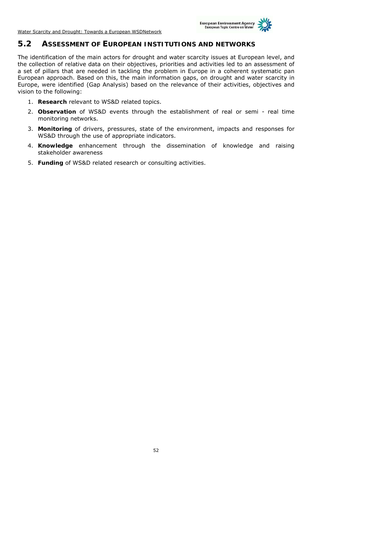

#### **5.2 ASSESSMENT OF EUROPEAN INSTITUTIONS AND NETWORKS**

The identification of the main actors for drought and water scarcity issues at European level, and the collection of relative data on their objectives, priorities and activities led to an assessment of a set of pillars that are needed in tackling the problem in Europe in a coherent systematic pan European approach. Based on this, the main information gaps, on drought and water scarcity in Europe, were identified (Gap Analysis) based on the relevance of their activities, objectives and vision to the following:

- 1. **Research** relevant to WS&D related topics.
- 2. **Observation** of WS&D events through the establishment of real or semi real time monitoring networks.
- 3. **Monitoring** of drivers, pressures, state of the environment, impacts and responses for WS&D through the use of appropriate indicators.
- 4. **Knowledge** enhancement through the dissemination of knowledge and raising stakeholder awareness
- 5. **Funding** of WS&D related research or consulting activities.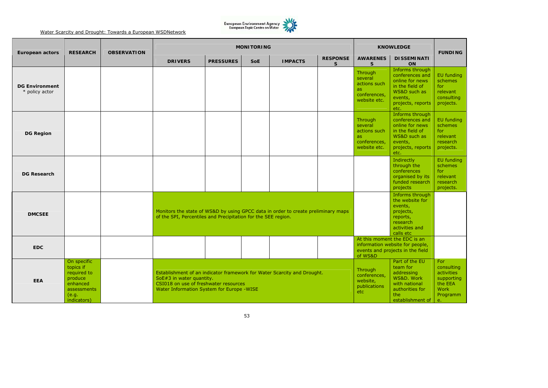

| <b>European actors</b>                  | <b>RESEARCH</b>                                                                                       | <b>OBSERVATION</b> | <b>MONITORING</b><br><b>KNOWLEDGE</b>                                                                                                                                                                                                                   |                  |                                                                                                                   |                |                                 |                                                                           |                                                                                                                                  | <b>FUNDING</b>                                                                     |
|-----------------------------------------|-------------------------------------------------------------------------------------------------------|--------------------|---------------------------------------------------------------------------------------------------------------------------------------------------------------------------------------------------------------------------------------------------------|------------------|-------------------------------------------------------------------------------------------------------------------|----------------|---------------------------------|---------------------------------------------------------------------------|----------------------------------------------------------------------------------------------------------------------------------|------------------------------------------------------------------------------------|
|                                         |                                                                                                       |                    | <b>DRIVERS</b>                                                                                                                                                                                                                                          | <b>PRESSURES</b> | <b>SoE</b>                                                                                                        | <b>IMPACTS</b> | <b>RESPONSE</b><br><sub>S</sub> | <b>AWARENES</b><br>S.                                                     | <b>DISSEMINATI</b><br><b>ON</b>                                                                                                  |                                                                                    |
| <b>DG Environment</b><br>* policy actor |                                                                                                       |                    |                                                                                                                                                                                                                                                         |                  |                                                                                                                   |                |                                 | Through<br>several<br>actions such<br>as.<br>conferences,<br>website etc. | Informs through<br>conferences and<br>online for news<br>in the field of<br>WS&D such as<br>events,<br>projects, reports<br>etc. | <b>EU</b> funding<br>schemes<br>for<br>relevant<br>consulting<br>projects.         |
| <b>DG Region</b>                        |                                                                                                       |                    |                                                                                                                                                                                                                                                         |                  |                                                                                                                   |                |                                 | Through<br>several<br>actions such<br>as.<br>conferences,<br>website etc. | Informs through<br>conferences and<br>online for news<br>in the field of<br>WS&D such as<br>events,<br>projects, reports<br>etc. | EU funding<br>schemes<br>for<br>relevant<br>research<br>projects.                  |
| <b>DG Research</b>                      |                                                                                                       |                    |                                                                                                                                                                                                                                                         |                  |                                                                                                                   |                |                                 |                                                                           | Indirectly<br>through the<br>conferences<br>organised by its<br>funded research<br>projects                                      | EU funding<br>schemes<br>for<br>relevant<br>research<br>projects.                  |
| <b>DMCSEE</b>                           |                                                                                                       |                    | Monitors the state of WS&D by using GPCC data in order to create preliminary maps<br>of the SPI, Percentiles and Precipitation for the SEE region.                                                                                                      |                  | Informs through<br>the website for<br>events,<br>projects,<br>reports,<br>research<br>activities and<br>calls etc |                |                                 |                                                                           |                                                                                                                                  |                                                                                    |
| <b>EDC</b>                              |                                                                                                       |                    |                                                                                                                                                                                                                                                         |                  |                                                                                                                   |                |                                 | of WS&D                                                                   | At this moment the EDC is an<br>information website for people,<br>events and projects in the field                              |                                                                                    |
| <b>EEA</b>                              | On specific<br>topics if<br>required to<br>produce<br>enhanced<br>assessments<br>(e.q.<br>indicators) |                    | Through<br>Establishment of an indicator framework for Water Scarcity and Drought.<br>conferences,<br>SoE#3 in water quantity.<br>website,<br>CSI018 on use of freshwater resources<br>publications<br>Water Information System for Europe -WISE<br>etc |                  |                                                                                                                   |                |                                 |                                                                           | Part of the EU<br>team for<br>addressing<br>WS&D. Work<br>with national<br>authorities for<br>the<br>establishment of            | For<br>consulting<br>activities<br>supporting<br>the EEA<br>Work<br>Programm<br>e. |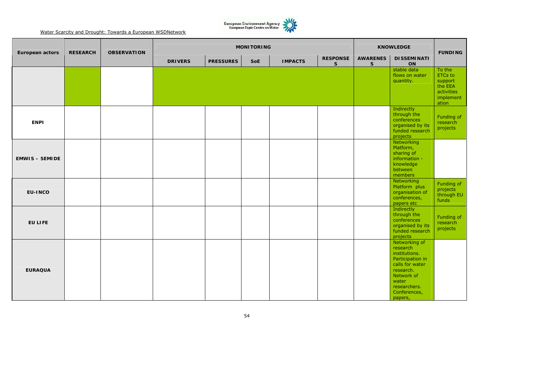

| <b>European actors</b> | <b>RESEARCH</b> | <b>OBSERVATION</b> |                | <b>MONITORING</b> |            | <b>KNOWLEDGE</b> | <b>FUNDING</b>                  |                                 |                                                                                                                                                                  |                                                                                    |
|------------------------|-----------------|--------------------|----------------|-------------------|------------|------------------|---------------------------------|---------------------------------|------------------------------------------------------------------------------------------------------------------------------------------------------------------|------------------------------------------------------------------------------------|
|                        |                 |                    | <b>DRIVERS</b> | <b>PRESSURES</b>  | <b>SoE</b> | <b>IMPACTS</b>   | <b>RESPONSE</b><br>$\mathsf{s}$ | <b>AWARENES</b><br>$\mathsf{s}$ | <b>DISSEMINATI</b><br>ON                                                                                                                                         |                                                                                    |
|                        |                 |                    |                |                   |            |                  |                                 |                                 | stable data<br>flows on water<br>quantity.                                                                                                                       | To the<br><b>ETCs</b> to<br>support<br>the EEA<br>activities<br>implement<br>ation |
| <b>ENPI</b>            |                 |                    |                |                   |            |                  |                                 |                                 | Indirectly<br>through the<br>conferences<br>organised by its<br>funded research<br>projects                                                                      | Funding of<br>research<br>projects                                                 |
| <b>EMWIS - SEMIDE</b>  |                 |                    |                |                   |            |                  |                                 |                                 | Networking<br>Platform,<br>sharing of<br>information -<br>knowledge<br>between<br>members                                                                        |                                                                                    |
| <b>EU-INCO</b>         |                 |                    |                |                   |            |                  |                                 |                                 | Networking<br>Platform plus<br>organisation of<br>conferences,<br>papers etc                                                                                     | Funding of<br>projects<br>through EU<br>funds                                      |
| <b>EU LIFE</b>         |                 |                    |                |                   |            |                  |                                 |                                 | Indirectly<br>through the<br>conferences<br>organised by its<br>funded research<br>projects                                                                      | Funding of<br>research<br>projects                                                 |
| <b>EURAQUA</b>         |                 |                    |                |                   |            |                  |                                 |                                 | Networking of<br>research<br>institutions.<br>Participation in<br>calls for water<br>research.<br>Network of<br>water<br>researchers.<br>Conferences,<br>papers, |                                                                                    |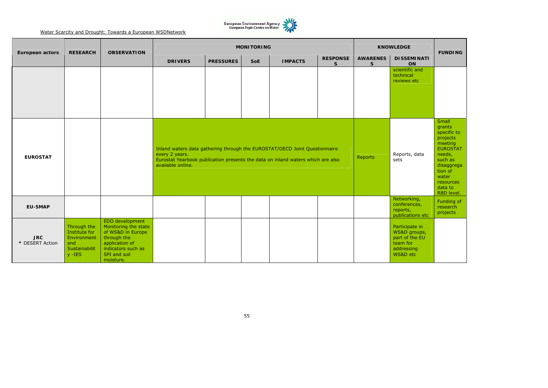

| <b>European actors</b>        | <b>RESEARCH</b>                                                                  | <b>OBSERVATION</b>                                                                                                                               |                                                                                                                                                                                                      | <b>MONITORING</b> | <b>KNOWLEDGE</b> | <b>FUNDING</b> |                       |                      |                                                                                        |                                                                                                                                                                       |
|-------------------------------|----------------------------------------------------------------------------------|--------------------------------------------------------------------------------------------------------------------------------------------------|------------------------------------------------------------------------------------------------------------------------------------------------------------------------------------------------------|-------------------|------------------|----------------|-----------------------|----------------------|----------------------------------------------------------------------------------------|-----------------------------------------------------------------------------------------------------------------------------------------------------------------------|
|                               |                                                                                  |                                                                                                                                                  | <b>DRIVERS</b>                                                                                                                                                                                       | <b>PRESSURES</b>  | <b>SoE</b>       | <b>IMPACTS</b> | <b>RESPONSE</b><br>S. | <b>AWARENES</b><br>S | <b>DISSEMINATI</b><br>ON                                                               |                                                                                                                                                                       |
|                               |                                                                                  |                                                                                                                                                  |                                                                                                                                                                                                      |                   |                  |                |                       |                      | scientific and<br>technical<br>reviews etc                                             |                                                                                                                                                                       |
| <b>EUROSTAT</b>               |                                                                                  |                                                                                                                                                  | Inland waters data gathering through the EUROSTAT/OECD Joint Questionnaire<br>every 2 years.<br>Eurostat Yearbook publication presents the data on inland waters which are also<br>available online. |                   |                  |                |                       | <b>Reports</b>       | Reports, data<br>sets                                                                  | Small<br>grants<br>specific to<br>projects<br>meeting<br><b>EUROSTAT</b><br>needs,<br>such as<br>disaggrega<br>tion of<br>water<br>resources<br>data to<br>RBD level. |
| <b>EU-SMAP</b>                |                                                                                  |                                                                                                                                                  |                                                                                                                                                                                                      |                   |                  |                |                       |                      | Networking,<br>conferences,<br>reports,<br>publications etc                            | Funding of<br>research<br>projects                                                                                                                                    |
| <b>JRC</b><br>* DESERT Action | Through the<br>Institute for<br>Environment<br>and<br>Sustainabilit<br>$V - IES$ | EDO development<br>Monitoring the state<br>of WS&D in Europe<br>through the<br>application of<br>indicators such as<br>SPI and soil<br>moisture. |                                                                                                                                                                                                      |                   |                  |                |                       |                      | Participate in<br>WS&D groups,<br>part of the EU<br>team for<br>addressing<br>WS&D etc |                                                                                                                                                                       |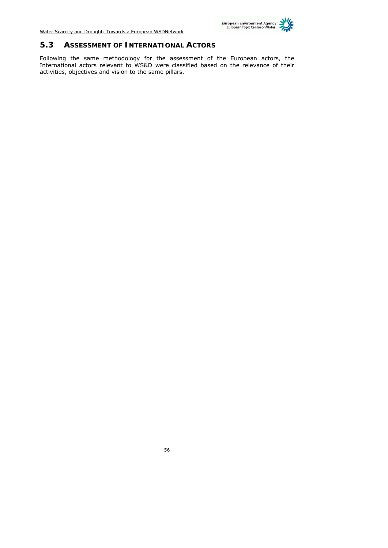

## **5.3 ASSESSMENT OF INTERNATIONAL ACTORS**

Following the same methodology for the assessment of the European actors, the International actors relevant to WS&D were classified based on the relevance of their activities, objectives and vision to the same pillars.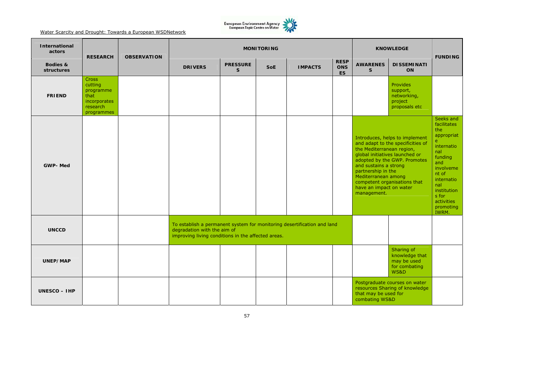

| <b>International</b><br>actors | <b>RESEARCH</b>                                                                        | <b>OBSERVATION</b> |                                                                                                                                                              | <b>MONITORING</b>                             |  | <b>KNOWLEDGE</b> | <b>FUNDING</b>                         |                                                                                                                                           |                                                                                                                                                                       |                                                                                                                                                                                                  |
|--------------------------------|----------------------------------------------------------------------------------------|--------------------|--------------------------------------------------------------------------------------------------------------------------------------------------------------|-----------------------------------------------|--|------------------|----------------------------------------|-------------------------------------------------------------------------------------------------------------------------------------------|-----------------------------------------------------------------------------------------------------------------------------------------------------------------------|--------------------------------------------------------------------------------------------------------------------------------------------------------------------------------------------------|
| Bodies &<br>structures         |                                                                                        |                    | <b>DRIVERS</b>                                                                                                                                               | <b>PRESSURE</b><br><b>SoE</b><br>$\mathbf{s}$ |  | <b>IMPACTS</b>   | <b>RESP</b><br><b>ONS</b><br><b>ES</b> |                                                                                                                                           | <b>DISSEMINATI</b><br>ON                                                                                                                                              |                                                                                                                                                                                                  |
| <b>FRIEND</b>                  | <b>Cross</b><br>cutting<br>programme<br>that<br>incorporates<br>research<br>programmes |                    |                                                                                                                                                              |                                               |  |                  |                                        |                                                                                                                                           | Provides<br>support,<br>networking,<br>project<br>proposals etc                                                                                                       |                                                                                                                                                                                                  |
| <b>GWP-Med</b>                 |                                                                                        |                    |                                                                                                                                                              |                                               |  |                  |                                        | the Mediterranean region,<br>and sustains a strong<br>partnership in the<br>Mediterranean among<br>have an impact on water<br>management. | Introduces, helps to implement<br>and adapt to the specificities of<br>global initiatives launched or<br>adopted by the GWP. Promotes<br>competent organisations that | Seeks and<br>facilitates<br>the<br>appropriat<br>e<br>internatio<br>nal<br>funding<br>and<br>involveme<br>nt of<br>internatio<br>nal<br>institution<br>s for<br>activities<br>promoting<br>IWRM. |
| <b>UNCCD</b>                   |                                                                                        |                    | To establish a permanent system for monitoring desertification and land<br>degradation with the aim of<br>improving living conditions in the affected areas. |                                               |  |                  |                                        |                                                                                                                                           |                                                                                                                                                                       |                                                                                                                                                                                                  |
| UNEP/MAP                       |                                                                                        |                    |                                                                                                                                                              |                                               |  |                  |                                        |                                                                                                                                           | Sharing of<br>knowledge that<br>may be used<br>for combating<br><b>WS&amp;D</b>                                                                                       |                                                                                                                                                                                                  |
| $UNESCO - HPP$                 |                                                                                        |                    |                                                                                                                                                              |                                               |  |                  |                                        | that may be used for<br>combating WS&D                                                                                                    | Postgraduate courses on water<br>resources Sharing of knowledge                                                                                                       |                                                                                                                                                                                                  |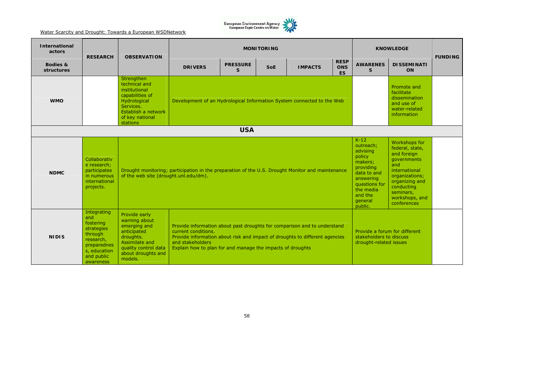

| <b>International</b><br>actors | <b>RESEARCH</b>                                                                                                                 | <b>OBSERVATION</b>                                                                                                                                    | <b>MONITORING</b><br><b>KNOWLEDGE</b>                                                                                                                                                                                                                            |                                                                                                                                                              |                                                                                                                                                                                        |                |  |                                                                                    |  |  |  |  |
|--------------------------------|---------------------------------------------------------------------------------------------------------------------------------|-------------------------------------------------------------------------------------------------------------------------------------------------------|------------------------------------------------------------------------------------------------------------------------------------------------------------------------------------------------------------------------------------------------------------------|--------------------------------------------------------------------------------------------------------------------------------------------------------------|----------------------------------------------------------------------------------------------------------------------------------------------------------------------------------------|----------------|--|------------------------------------------------------------------------------------|--|--|--|--|
| Bodies &<br>structures         |                                                                                                                                 |                                                                                                                                                       | <b>DRIVERS</b>                                                                                                                                                                                                                                                   | <b>AWARENES</b><br><sub>S</sub>                                                                                                                              | <b>DISSEMINATI</b><br>ON                                                                                                                                                               | <b>FUNDING</b> |  |                                                                                    |  |  |  |  |
| <b>WMO</b>                     |                                                                                                                                 | Strengthen<br>technical and<br>institutional<br>capabilities of<br>Hydrological<br>Services.<br>Establish a network<br>of key national<br>stations    | Development of an Hydrological Information System connected to the Web                                                                                                                                                                                           |                                                                                                                                                              | Promote and<br>facilitate<br>dissemination<br>and use of<br>water-related<br>information                                                                                               |                |  |                                                                                    |  |  |  |  |
|                                |                                                                                                                                 |                                                                                                                                                       |                                                                                                                                                                                                                                                                  | <b>USA</b>                                                                                                                                                   |                                                                                                                                                                                        |                |  |                                                                                    |  |  |  |  |
| <b>NDMC</b>                    | Collaborativ<br>e research;<br>participates<br>in numerous<br>international<br>projects.                                        | of the web site (drought.unl.edu/dm).                                                                                                                 | Drought monitoring; participation in the preparation of the U.S. Drought Monitor and maintenance                                                                                                                                                                 | $K-12$<br>outreach:<br>advising<br>policy<br>makers;<br>providing<br>data to and<br>answering<br>questions for<br>the media<br>and the<br>general<br>public. | Workshops for<br>federal, state,<br>and foreign<br>qovernments<br>and<br>international<br>organizations;<br>organizing and<br>conducting<br>seminars,<br>workshops, and<br>conferences |                |  |                                                                                    |  |  |  |  |
| <b>NIDIS</b>                   | Integrating<br>and<br>fostering<br>strategies<br>through<br>research,<br>preparednes<br>s, education<br>and public<br>awareness | Provide early<br>warning about<br>emerging and<br>anticipated<br>droughts.<br>Assimilate and<br>quality control data<br>about droughts and<br>models. | Provide information about past droughts for comparison and to understand<br>current conditions.<br>Provide information about risk and impact of droughts to different agencies<br>and stakeholders<br>Explain how to plan for and manage the impacts of droughts |                                                                                                                                                              |                                                                                                                                                                                        |                |  | Provide a forum for different<br>stakeholders to discuss<br>drought-related issues |  |  |  |  |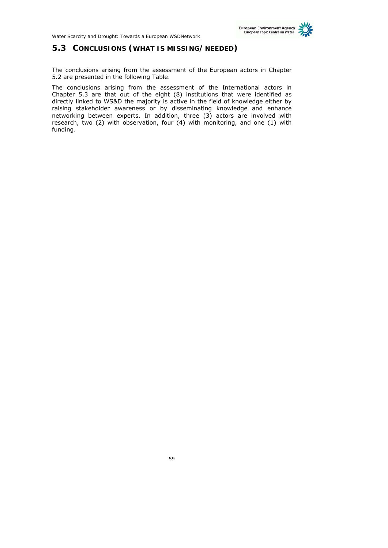## **5.3 CONCLUSIONS (WHAT IS MISSING/NEEDED)**

The conclusions arising from the assessment of the European actors in Chapter 5.2 are presented in the following Table.

The conclusions arising from the assessment of the International actors in Chapter 5.3 are that out of the eight (8) institutions that were identified as directly linked to WS&D the majority is active in the field of knowledge either by raising stakeholder awareness or by disseminating knowledge and enhance networking between experts. In addition, three (3) actors are involved with research, two (2) with observation, four (4) with monitoring, and one (1) with funding.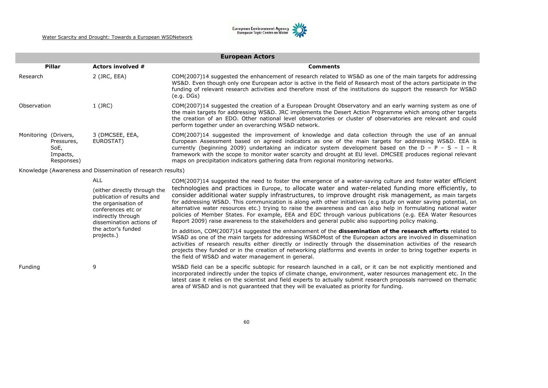

|                          |                              | <b>European Actors</b>                                               |                                                                                        |                                                                                                                                                                                                                                                                                                                                                                                                                                                                                                                                                                                                                                                                            |  |  |  |  |  |  |  |
|--------------------------|------------------------------|----------------------------------------------------------------------|----------------------------------------------------------------------------------------|----------------------------------------------------------------------------------------------------------------------------------------------------------------------------------------------------------------------------------------------------------------------------------------------------------------------------------------------------------------------------------------------------------------------------------------------------------------------------------------------------------------------------------------------------------------------------------------------------------------------------------------------------------------------------|--|--|--|--|--|--|--|
|                          | Pillar                       | Actors involved #                                                    |                                                                                        | <b>Comments</b>                                                                                                                                                                                                                                                                                                                                                                                                                                                                                                                                                                                                                                                            |  |  |  |  |  |  |  |
| 2 (JRC, EEA)<br>Research |                              |                                                                      |                                                                                        | COM(2007)14 suggested the enhancement of research related to WS&D as one of the main targets for addressing<br>WS&D. Even though only one European actor is active in the field of Research most of the actors participate in the<br>funding of relevant research activities and therefore most of the institutions do support the research for WS&D<br>(e.g. DGs)                                                                                                                                                                                                                                                                                                         |  |  |  |  |  |  |  |
|                          | Observation                  | $1$ (JRC)                                                            |                                                                                        | COM(2007)14 suggested the creation of a European Drought Observatory and an early warning system as one of<br>the main targets for addressing WS&D. JRC implements the Desert Action Programme which among other targets<br>the creation of an EDO. Other national level observatories or cluster of observatories are relevant and could<br>perform together under an overarching WS&D network.                                                                                                                                                                                                                                                                           |  |  |  |  |  |  |  |
|                          | Monitoring (Drivers,<br>SoE, | 3 (DMCSEE, EEA,<br>EUROSTAT)<br>Pressures,<br>Impacts,<br>Responses) |                                                                                        | COM(2007)14 suggested the improvement of knowledge and data collection through the use of an annual<br>European Assessment based on agreed indicators as one of the main targets for addressing WS&D. EEA is<br>currently (beginning 2009) undertaking an indicator system development based on the $D - P - S - I - R$<br>framework with the scope to monitor water scarcity and drought at EU level. DMCSEE produces regional relevant<br>maps on precipitation indicators gathering data from regional monitoring networks.                                                                                                                                             |  |  |  |  |  |  |  |
|                          |                              | Knowledge (Awareness and Dissemination of research results)          |                                                                                        |                                                                                                                                                                                                                                                                                                                                                                                                                                                                                                                                                                                                                                                                            |  |  |  |  |  |  |  |
|                          |                              | <b>ALL</b>                                                           |                                                                                        | COM(2007)14 suggested the need to foster the emergence of a water-saving culture and foster water efficient                                                                                                                                                                                                                                                                                                                                                                                                                                                                                                                                                                |  |  |  |  |  |  |  |
|                          |                              | the organisation of<br>conferences etc or<br>indirectly through      | (either directly through the<br>publication of results and<br>dissemination actions of | technologies and practices in Europe, to allocate water and water-related funding more efficiently, to<br>consider additional water supply infrastructures, to improve drought risk management, as main targets<br>for addressing WS&D. This communication is along with other initiatives (e.g study on water saving potential, on<br>alternative water resources etc.) trying to raise the awareness and can also help in formulating national water<br>policies of Member States. For example, EEA and EDC through various publications (e.g. EEA Water Resources<br>Report 2009) raise awareness to the stakeholders and general public also supporting policy making. |  |  |  |  |  |  |  |
|                          |                              | the actor's funded<br>projects.)                                     |                                                                                        | In addition, COM(2007)14 suggested the enhancement of the dissemination of the research efforts related to<br>WS&D as one of the main targets for addressing WS&DMost of the European actors are involved in dissemination<br>activities of research results either directly or indirectly through the dissemination activities of the research<br>projects they funded or in the creation of networking platforms and events in order to bring together experts in<br>the field of WS&D and water management in general.                                                                                                                                                  |  |  |  |  |  |  |  |
|                          | Funding                      | 9                                                                    |                                                                                        | WS&D field can be a specific subtopic for research launched in a call, or it can be not explicitly mentioned and<br>incorporated indirectly under the topics of climate change, environment, water resources management etc. In the<br>latest case it relies on the scientist and field experts to actually submit research proposals narrowed on thematic<br>area of WS&D and is not guaranteed that they will be evaluated as priority for funding.                                                                                                                                                                                                                      |  |  |  |  |  |  |  |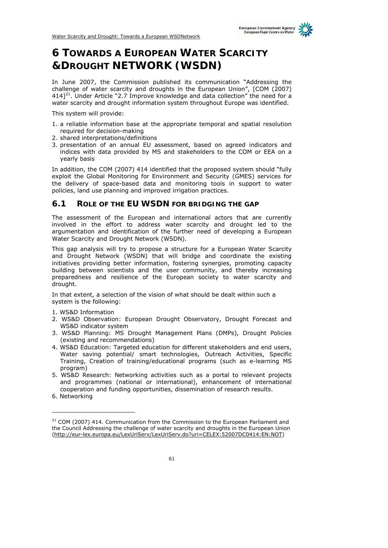# **6 TOWARDS A EUROPEAN WATER SCARCITY &DROUGHT NETWORK (WSDN)**

In June 2007, the Commission published its communication "Addressing the challenge of water scarcity and droughts in the European Union", [COM (2007)  $414$ <sup>21</sup>. Under Article "2.7 Improve knowledge and data collection" the need for a water scarcity and drought information system throughout Europe was identified.

This system will provide:

- 1. a reliable information base at the appropriate temporal and spatial resolution required for decision-making
- 2. shared interpretations/definitions
- 3. presentation of an annual EU assessment, based on agreed indicators and indices with data provided by MS and stakeholders to the COM or EEA on a yearly basis

In addition, the COM (2007) 414 identified that the proposed system should "fully exploit the Global Monitoring for Environment and Security (GMES) services for the delivery of space-based data and monitoring tools in support to water policies, land use planning and improved irrigation practices.

## **6.1 ROLE OF THE EU WSDN FOR BRIDGING THE GAP**

The assessment of the European and international actors that are currently involved in the effort to address water scarcity and drought led to the argumentation and identification of the further need of developing a European Water Scarcity and Drought Network (WSDN).

This gap analysis will try to propose a structure for a European Water Scarcity and Drought Network (WSDN) that will bridge and coordinate the existing initiatives providing better information, fostering synergies, promoting capacity building between scientists and the user community, and thereby increasing preparedness and resilience of the European society to water scarcity and drought.

In that extent, a selection of the vision of what should be dealt within such a system is the following:

- 1. WS&D Information
- 2. WS&D Observation: European Drought Observatory, Drought Forecast and WS&D indicator system
- 3. WS&D Planning: MS Drought Management Plans (DMPs), Drought Policies (existing and recommendations)
- 4. WS&D Education: Targeted education for different stakeholders and end users, Water saving potential/ smart technologies, Outreach Activities, Specific Training, Creation of training/educational programs (such as e-learning MS program)
- 5. WS&D Research: Networking activities such as a portal to relevant projects and programmes (national or international), enhancement of international cooperation and funding opportunities, dissemination of research results.
- 6. Networking

-

 $21$  COM (2007) 414. Communication from the Commission to the European Parliament and the Council Addressing the challenge of water scarcity and droughts in the European Union (http://eur-lex.europa.eu/LexUriServ/LexUriServ.do?uri=CELEX:52007DC0414:EN:NOT)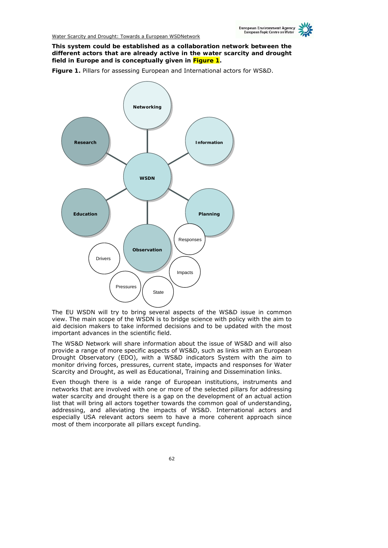

**This system could be established as a collaboration network between the different actors that are already active in the water scarcity and drought field in Europe and is conceptually given in Figure 1.** 

**Figure 1.** Pillars for assessing European and International actors for WS&D.



The EU WSDN will try to bring several aspects of the WS&D issue in common view. The main scope of the WSDN is to bridge science with policy with the aim to aid decision makers to take informed decisions and to be updated with the most important advances in the scientific field.

The WS&D Network will share information about the issue of WS&D and will also provide a range of more specific aspects of WS&D, such as links with an European Drought Observatory (EDO), with a WS&D indicators System with the aim to monitor driving forces, pressures, current state, impacts and responses for Water Scarcity and Drought, as well as Educational, Training and Dissemination links.

Even though there is a wide range of European institutions, instruments and networks that are involved with one or more of the selected pillars for addressing water scarcity and drought there is a gap on the development of an actual action list that will bring all actors together towards the common goal of understanding, addressing, and alleviating the impacts of WS&D. International actors and especially USA relevant actors seem to have a more coherent approach since most of them incorporate all pillars except funding.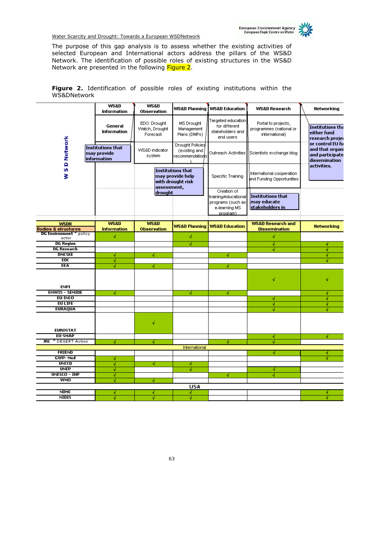

The purpose of this gap analysis is to assess whether the existing activities of selected European and International actors address the pillars of the WS&D Network. The identification of possible roles of existing structures in the WS&D Network are presented in the following Figure 2.

|             | Figure 2. Identification of possible roles of existing institutions within the |  |  |  |  |
|-------------|--------------------------------------------------------------------------------|--|--|--|--|
| WS&DNetwork |                                                                                |  |  |  |  |

|                                               | <b>WS&amp;D</b><br><b>Information</b>           | <b>WS&amp;D</b><br>Observation             |                                                            | WS&D Planning WS&D Education                                                           | <b>WS&amp;D Research</b>                                         | Networking                                                              |
|-----------------------------------------------|-------------------------------------------------|--------------------------------------------|------------------------------------------------------------|----------------------------------------------------------------------------------------|------------------------------------------------------------------|-------------------------------------------------------------------------|
|                                               | General<br>Information                          | EDO: Drought<br>Watch, Drought<br>Forecast | MS Drought<br>Management<br>Plans (DMPs)                   | Targeted education<br>for different<br>stakeholders and<br>end users                   | Portal to projects,<br>programmes (national or<br>international) | <b>Institutions that</b><br>either fund<br>research proje               |
| <b>SD Network</b>                             | Institutions that<br>may provide<br>information | WS&D indicator<br>system                   | <b>Drought Policies</b><br>(existing and<br>recommendation | Outreach Activities                                                                    | Scientists exchange blog                                         | or control EU fu<br>and that organi<br>and participate<br>dissemination |
| š                                             |                                                 | assessment,                                | Institutions that<br>may provide help<br>with drought risk | Specific Training                                                                      | International cooperation<br>and Funding Opportunities           | activities.                                                             |
|                                               |                                                 | drought                                    |                                                            | Creation of<br>training/educational<br>programs (such as<br>e-learning MS<br>program). | Institutions that<br>may educate<br>stakeholders in              |                                                                         |
| <b>WSDN</b><br><b>Bodies &amp; structures</b> | <b>WS&amp;D</b><br><b>Information</b>           | <b>WS&amp;D</b><br><b>Observation</b>      |                                                            | WS&D Planning   WS&D Education                                                         | <b>WS&amp;D Research and</b><br><b>Dissemination</b>             | <b>Networking</b>                                                       |
| <b>DG Environment</b> * policy                | 4                                               |                                            | М                                                          |                                                                                        | √                                                                |                                                                         |
| actor<br><b>DG Region</b>                     |                                                 |                                            |                                                            |                                                                                        |                                                                  |                                                                         |
| <b>DG Research</b>                            |                                                 |                                            | √                                                          |                                                                                        | √                                                                | ∢                                                                       |
| <b>DMCSEE</b>                                 |                                                 |                                            |                                                            |                                                                                        | √                                                                | 교                                                                       |
| EDC                                           | М                                               | 세                                          |                                                            | ۸ľ                                                                                     |                                                                  | ∢<br>∢                                                                  |
| <b>EEA</b>                                    | ∢<br>∢                                          |                                            |                                                            |                                                                                        |                                                                  |                                                                         |
|                                               |                                                 | м                                          |                                                            | 4                                                                                      |                                                                  |                                                                         |
| <b>ENPI</b>                                   |                                                 |                                            |                                                            |                                                                                        | √                                                                | √                                                                       |
| <b>EMWIS - SEMIDE</b>                         | 4                                               |                                            | И                                                          | И                                                                                      |                                                                  | м                                                                       |
| EU-INCO                                       |                                                 |                                            |                                                            |                                                                                        | 4                                                                | ∛                                                                       |
| <b>EU LIFE</b>                                |                                                 |                                            |                                                            |                                                                                        | √                                                                | 세                                                                       |
| <b>EURAQUA</b>                                |                                                 |                                            |                                                            |                                                                                        | 4                                                                | √                                                                       |
| <b>EUROSTAT</b>                               |                                                 | √                                          |                                                            |                                                                                        |                                                                  |                                                                         |
| <b>EU-SMAP</b>                                |                                                 |                                            |                                                            |                                                                                        | М                                                                | М                                                                       |
| * DESERT Action<br><b>JRC</b>                 | 41                                              | √                                          |                                                            | 4                                                                                      | √                                                                |                                                                         |
|                                               |                                                 |                                            | International                                              |                                                                                        |                                                                  |                                                                         |
| <b>FRIEND</b>                                 |                                                 |                                            |                                                            |                                                                                        | √                                                                | N                                                                       |
| <b>GWP-Med</b>                                | М                                               |                                            |                                                            |                                                                                        |                                                                  | √                                                                       |
| <b>UNCCD</b>                                  | 4                                               | м                                          | м                                                          |                                                                                        |                                                                  |                                                                         |
| <b>UNEP</b><br><b>UNESCO - IHP</b>            | 4                                               |                                            | ∛                                                          |                                                                                        | м                                                                |                                                                         |
| <b>WMO</b>                                    | ∛                                               |                                            |                                                            | 4                                                                                      | 4                                                                |                                                                         |
|                                               | ∢                                               | ٨l                                         |                                                            |                                                                                        |                                                                  |                                                                         |
|                                               |                                                 |                                            | <b>USA</b>                                                 |                                                                                        |                                                                  |                                                                         |
| <b>NDMC</b><br><b>NIDIS</b>                   | 41                                              | м                                          | √                                                          |                                                                                        |                                                                  | м                                                                       |
|                                               | √                                               | √                                          | √                                                          |                                                                                        |                                                                  | √                                                                       |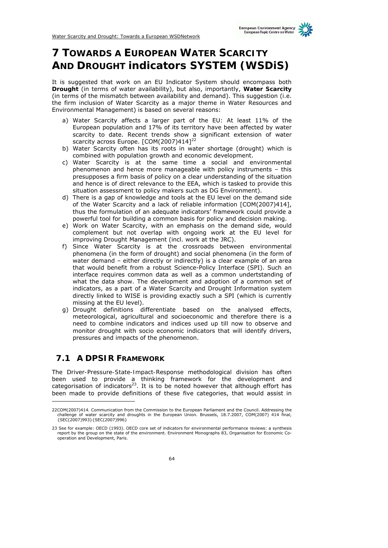# **7 TOWARDS A EUROPEAN WATER SCARCITY AND DROUGHT indicators SYSTEM (WSDiS)**

It is suggested that work on an EU Indicator System should encompass both **Drought** (in terms of water availability), but also, importantly, **Water Scarcity** (in terms of the mismatch between availability and demand). This suggestion (i.e. the firm inclusion of Water Scarcity as a major theme in Water Resources and Environmental Management) is based on several reasons:

- a) Water Scarcity affects a larger part of the EU: At least 11% of the European population and 17% of its territory have been affected by water scarcity to date. Recent trends show a significant extension of water scarcity across Europe. [COM(2007)4141<sup>22</sup>
- b) Water Scarcity often has its roots in water shortage (drought) which is combined with population growth and economic development.
- c) Water Scarcity is at the same time a social and environmental phenomenon and hence more manageable with policy instruments – this presupposes a firm basis of policy on a clear understanding of the situation and hence is of direct relevance to the EEA, which is tasked to provide this situation assessment to policy makers such as DG Environment).
- d) There is a gap of knowledge and tools at the EU level on the demand side of the Water Scarcity and a lack of reliable information [COM(2007)414], thus the formulation of an adequate indicators' framework could provide a powerful tool for building a common basis for policy and decision making.
- e) Work on Water Scarcity, with an emphasis on the demand side, would complement but not overlap with ongoing work at the EU level for improving Drought Management (incl. work at the JRC).
- f) Since Water Scarcity is at the crossroads between environmental phenomena (in the form of drought) and social phenomena (in the form of water demand – either directly or indirectly) is a clear example of an area that would benefit from a robust Science-Policy Interface (SPI). Such an interface requires common data as well as a common undertstanding of what the data show. The development and adoption of a common set of indicators, as a part of a Water Scarcity and Drought Information system directly linked to WISE is providing exactly such a SPI (which is currently missing at the EU level).
- g) Drought definitions differentiate based on the analysed effects, meteorological, agricultural and socioeconomic and therefore there is a need to combine indicators and indices used up till now to observe and monitor drought with socio economic indicators that will identify drivers, pressures and impacts of the phenomenon.

## **7.1 A DPSIR FRAMEWORK**

ł

The *Driver-Pressure-State-Impact-Response* methodological division has often been used to provide a thinking framework for the development and categorisation of indicators $^{23}$ . It is to be noted however that although effort has been made to provide definitions of these five categories, that would assist in

<sup>22</sup>COM(2007)414. Communication from the Commission to the European Parliament and the Council. Addressing the challenge of water scarcity and droughts in the European Union. Brussels, 18.7.2007, COM(2007) 414 final, {SEC(2007)993}{SEC(2007)996}

<sup>23</sup> See for example: OECD (1993). OECD core set of indicators for environmental performance reviews: a synthesis report by the group on the state of the environment. Environment Monographs 83, Organisation for Economic Cooperation and Development, Paris.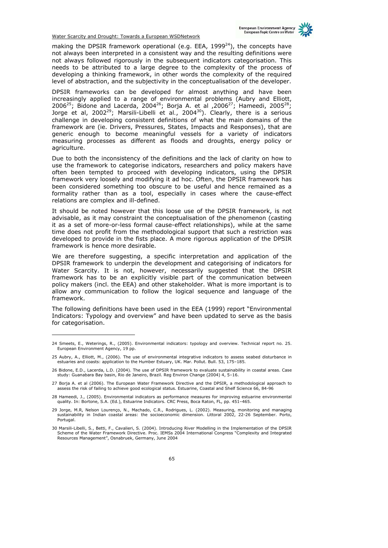making the DPSIR framework operational (e.g. EEA,  $1999^{24}$ ), the concepts have not always been interpreted in a consistent way and the resulting definitions were not always followed rigorously in the subsequent indicators categorisation. This needs to be attributed to a large degree to the complexity of the process of developing a thinking framework, in other words the complexity of the required level of abstraction, and the subjectivity in the conceptualisation of the developer.

DPSIR frameworks can be developed for almost anything and have been increasingly applied to a range of environmental problems (Aubry and Elliott, 200625; Bidone and Lacerda, 200426; Borja A. *et al* ,200627; Hameedi, 200528; Jorge et al, 2002<sup>29</sup>; Marsili-Libelli *et al.*, 2004<sup>30</sup>). Clearly, there is a serious challenge in developing consistent definitions of what the main domains of the framework are (ie. Drivers, Pressures, States, Impacts and Responses), that are generic enough to become meaningful vessels for a variety of indicators measuring processes as different as floods and droughts, energy policy or agriculture.

Due to both the inconsistency of the definitions and the lack of clarity on how to use the framework to categorise indicators, researchers and policy makers have often been tempted to proceed with developing indicators, using the DPSIR framework very loosely and modifying it ad hoc. Often, the DPSIR framework has been considered something too obscure to be useful and hence remained as a formality rather than as a tool, especially in cases where the cause-effect relations are complex and ill-defined.

It should be noted however that this loose use of the DPSIR framework, is not advisable, as it may constraint the conceptualisation of the phenomenon (casting it as a set of more-or-less formal cause-effect relationships), while at the same time does not profit from the methodological support that such a restriction was developed to provide in the fists place. A more rigorous application of the DPSIR framework is hence more desirable.

We are therefore suggesting, a specific interpretation and application of the DPSIR framework to underpin the development and categorising of indicators for Water Scarcity. It is not, however, necessarily suggested that the DPSIR framework has to be an explicitly visible part of the communication between policy makers (incl. the EEA) and other stakeholder. What is more important is to allow any communication to follow the logical sequence and language of the framework.

The following definitions have been used in the EEA (1999) report "Environmental Indicators: Typology and overview" and have been updated to serve as the basis for categorisation.

ł

<sup>24</sup> Smeets, E., Weterings, R., (2005). Environmental indicators: typology and overview. Technical report no. 25. European Environment Agency, 19 pp.

<sup>25</sup> Aubry, A., Elliott, M., (2006). The use of environmental integrative indicators to assess seabed disturbance in estuaries and coasts: application to the Humber Estuary, UK. Mar. Pollut. Bull. 53, 175–185.

<sup>26</sup> Bidone, E.D., Lacerda, L.D. (2004). The use of DPSIR framework to evaluate sustainability in coastal areas. Case study: Guanabara Bay basin, Rio de Janeiro, Brazil. Reg Environ Change (2004) 4, 5–16.

<sup>27</sup> Borja A. et al (2006). The European Water Framework Directive and the DPSIR, a methodological approach to assess the risk of failing to achieve good ecological status. Estuarine, Coastal and Shelf Science 66, 84-96

<sup>28</sup> Hameedi, J., (2005). Environmental indicators as performance measures for improving estuarine environmental quality. In: Bortone, S.A. (Ed.), Estuarine Indicators. CRC Press, Boca Raton, FL, pp. 451–465.

<sup>29</sup> Jorge, M.R, Nelson Lourenço, N., Machado, C.R., Rodrigues, L. (2002). Measuring, monitoring and managing sustainability in Indian coastal areas: the socioeconomic dimension. Littoral 2002, 22-26 September. Porto, Portugal.

<sup>30</sup> Marsili-Libelli, S., Betti, F., Cavalieri, S. (2004). Introducing River Modelling in the Implementation of the DPSIR<br>Scheme of the Water Framework Directive. Proc. IEMSs 2004 International Congress "Complexity and Integ Resources Management", Osnabruek, Germany, June 2004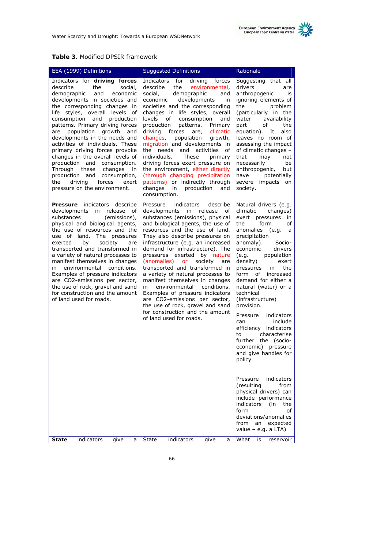| Table 3. Modified DPSIR framework |  |
|-----------------------------------|--|
|-----------------------------------|--|

| EEA (1999) Definitions                                                                                                                                                                                                                                                                                                                                                                                                                                                                                                                                                                                                                  | <b>Suggested Definitions</b>                                                                                                                                                                                                                                                                                                                                                                                                                                                                                                                                                                                                                                                              | Rationale                                                                                                                                                                                                                                                                                                                                                                                                  |
|-----------------------------------------------------------------------------------------------------------------------------------------------------------------------------------------------------------------------------------------------------------------------------------------------------------------------------------------------------------------------------------------------------------------------------------------------------------------------------------------------------------------------------------------------------------------------------------------------------------------------------------------|-------------------------------------------------------------------------------------------------------------------------------------------------------------------------------------------------------------------------------------------------------------------------------------------------------------------------------------------------------------------------------------------------------------------------------------------------------------------------------------------------------------------------------------------------------------------------------------------------------------------------------------------------------------------------------------------|------------------------------------------------------------------------------------------------------------------------------------------------------------------------------------------------------------------------------------------------------------------------------------------------------------------------------------------------------------------------------------------------------------|
| Indicators for driving forces<br>describe<br>the<br>social,<br>demographic<br>and<br>economic<br>developments in societies and<br>the corresponding changes in<br>life styles, overall levels of<br>consumption<br>and<br>production<br>patterns. Primary driving forces<br>population<br>growth<br>are<br>and<br>developments in the needs and<br>activities of individuals. These<br>primary driving forces provoke<br>changes in the overall levels of<br>production<br>and<br>consumption.<br>Through these<br>changes<br>in<br>production and<br>consumption,<br>driving<br>forces<br>the<br>exert<br>pressure on the environment. | for<br>driving forces<br>Indicators<br>describe<br>the<br>environmental,<br>social,<br>demographic<br>and<br>developments<br>economic<br>in<br>societies and the corresponding<br>changes in life styles, overall<br>levels<br>of<br>consumption<br>and<br>production<br>patterns.<br>Primary<br>driving<br>forces<br>climatic<br>are,<br>changes,<br>population<br>growth,<br>migration and developments in<br>the<br>needs and activities<br>οf<br>individuals.<br>These<br>primary<br>driving forces exert pressure on<br>the environment, either directly<br>(through changing precipitation<br>patterns) or indirectly through<br>changes<br>production<br>in<br>and<br>consumption. | Suggesting that all<br>drivers<br>are<br>anthropogenic<br>is<br>ignoring elements of<br>problem<br>the<br>(particularly in the<br>availability<br>water<br>of<br>the<br>part<br>equation).<br>also<br>It<br>leaves no room of<br>assessing the impact<br>of climatic changes -<br>that<br>may<br>not<br>necessarily<br>be<br>anthropogenic,<br>but<br>have<br>potentially<br>severe impacts on<br>society. |
| Pressure indicators describe<br>developments in release<br>of<br>substances<br>(emissions),<br>physical and biological agents,<br>the use of resources and the<br>use of land.<br>The pressures<br>exerted<br>by<br>society<br>are<br>transported and transformed in<br>a variety of natural processes to<br>manifest themselves in changes<br>environmental conditions.<br>in<br>Examples of pressure indicators<br>are CO2-emissions per sector,<br>the use of rock, gravel and sand<br>for construction and the amount<br>of land used for roads.                                                                                    | Pressure<br>indicators<br>describe<br>developments in release<br>οf<br>substances (emissions), physical<br>and biological agents, the use of<br>resources and the use of land.<br>They also describe pressures on<br>infrastructure (e.g. an increased<br>demand for infrastructure). The<br>pressures exerted by nature<br>(anomalies) or<br>society<br>are<br>transported and transformed in<br>a variety of natural processes to<br>manifest themselves in changes<br>environmental<br>conditions.<br>in<br>Examples of pressure indicators<br>are CO2-emissions per sector,<br>the use of rock, gravel and sand<br>for construction and the amount                                    | Natural drivers (e.g.<br>climatic<br>changes)<br>exert pressures<br>in<br>the<br>form<br>οf<br>anomalies<br>e.g.)<br>a a<br>precipitation<br>anomaly).<br>Socio-<br>economic<br>drivers<br>(e.g.<br>population<br>density)<br>exert<br>the<br>pressures<br>in<br>form of increased<br>demand for either a<br>natural (water) or a<br>technical<br>(infrastructure)<br>provision.                           |
|                                                                                                                                                                                                                                                                                                                                                                                                                                                                                                                                                                                                                                         | of land used for roads.                                                                                                                                                                                                                                                                                                                                                                                                                                                                                                                                                                                                                                                                   | Pressure<br>indicators<br>include<br>can<br>efficiency indicators<br>characterise<br>to<br>further the (socio-<br>economic) pressure<br>and give handles for<br>policy                                                                                                                                                                                                                                     |
|                                                                                                                                                                                                                                                                                                                                                                                                                                                                                                                                                                                                                                         |                                                                                                                                                                                                                                                                                                                                                                                                                                                                                                                                                                                                                                                                                           | Pressure<br>indicators<br>(resulting<br>from<br>physical drivers) can<br>include performance<br>indicators<br>(in<br>the<br>form<br>of<br>deviations/anomalies<br>from<br>expected<br>an<br>value – e.g. a $LTA$ )                                                                                                                                                                                         |
| indicators<br><b>State</b><br>give<br>a                                                                                                                                                                                                                                                                                                                                                                                                                                                                                                                                                                                                 | State<br>indicators<br>give<br>a                                                                                                                                                                                                                                                                                                                                                                                                                                                                                                                                                                                                                                                          | What<br>is<br>reservoir                                                                                                                                                                                                                                                                                                                                                                                    |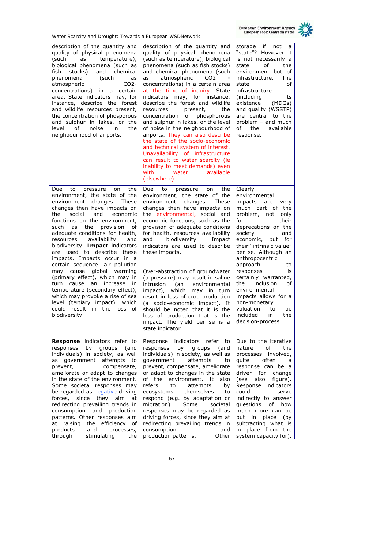

| description of the quantity and<br>quality of physical phenomena<br>temperature),<br>(such<br>as<br>biological phenomena (such as<br>fish<br>stocks)<br>and<br>chemical<br>phenomena<br>(such<br>as<br>atmospheric<br>CO <sub>2</sub><br>concentrations) in<br>a certain<br>area. State indicators may, for<br>instance, describe the forest<br>and wildlife resources present,<br>the concentration of phosporous<br>and sulphur in lakes, or the<br>οf<br>noise<br>in<br>the<br>level<br>neighbourhood of airports.                                                                                                                                                                                                     | description of the quantity and<br>quality of physical phenomena<br>(such as temperature), biological<br>phenomena (such as fish stocks)<br>and chemical phenomena (such<br>atmospheric<br>CO <sub>2</sub><br>as<br>concentrations) in a certain area<br>at the time of inquiry. State<br>indicators may, for instance,<br>describe the forest and wildlife<br>resources<br>present,<br>the<br>concentration<br>of<br>phosphorous<br>and sulphur in lakes, or the level<br>of noise in the neighbourhood of<br>airports. They can also describe<br>the state of the socio-economic<br>and technical system of interest.<br>Unavailability of infrastructure<br>can result to water scarcity (ie<br>inability to meet demands) even<br>with<br>water<br>available<br>(elsewhere). | if<br>storage<br>not<br>a<br>"state"? However it<br>is not necessarily a<br>οf<br>the<br>state<br>environment but of<br>The<br>infrastructure.<br>state<br>of<br>infrastructure<br>(including<br>its<br>existence<br>(MDGs)<br>and quality (WSSTP)<br>are central to the<br>problem – and much<br>of<br>the<br>available<br>response.                                                                                                                                       |
|---------------------------------------------------------------------------------------------------------------------------------------------------------------------------------------------------------------------------------------------------------------------------------------------------------------------------------------------------------------------------------------------------------------------------------------------------------------------------------------------------------------------------------------------------------------------------------------------------------------------------------------------------------------------------------------------------------------------------|----------------------------------------------------------------------------------------------------------------------------------------------------------------------------------------------------------------------------------------------------------------------------------------------------------------------------------------------------------------------------------------------------------------------------------------------------------------------------------------------------------------------------------------------------------------------------------------------------------------------------------------------------------------------------------------------------------------------------------------------------------------------------------|-----------------------------------------------------------------------------------------------------------------------------------------------------------------------------------------------------------------------------------------------------------------------------------------------------------------------------------------------------------------------------------------------------------------------------------------------------------------------------|
| to<br>the<br>Due<br>pressure<br>on<br>environment, the state of the<br>environment<br>changes.<br>These<br>changes then have impacts on<br>social<br>and<br>the<br>economic<br>functions on the environment,<br>such<br>the<br>provision<br>οf<br>as<br>adequate conditions for health,<br>availability<br>resources<br>and<br>biodiversity. Impact indicators<br>are used to describe these<br>impacts. Impacts occur in a<br>certain sequence: air pollution<br>global warming<br>may cause<br>(primary effect), which may in<br>turn cause<br>an increase<br>in<br>temperature (secondary effect),<br>which may provoke a rise of sea<br>level (tertiary impact), which<br>could result in the loss of<br>biodiversity | Due<br>the<br>to<br>pressure<br>on<br>environment, the state of the<br>environment<br>changes.<br>These<br>changes then have impacts on<br>the environmental, social and<br>economic functions, such as the<br>provision of adequate conditions<br>for health, resources availability<br>biodiversity.<br>and<br>Impact<br>indicators are used to describe<br>these impacts.<br>Over-abstraction of groundwater<br>(a pressure) may result in saline<br>intrusion<br>environmental<br>(an<br>impact),<br>which<br>may in turn<br>result in loss of crop production<br>(a socio-economic impact). It<br>should be noted that it is the<br>loss of production that is the<br>impact. The yield per se is a<br>state indicator.                                                     | Clearly<br>environmental<br>impacts<br>are<br>very<br>much part of the<br>problem, not<br>only<br>for<br>their<br>deprecations on the<br>society<br>and<br>economic, but<br>for<br>their "intrinsic value"<br>per se. Although an<br>anthropocentric<br>approach<br>to<br>responses<br>is<br>certainly warranted,<br>the<br>inclusion<br>οf<br>environmental<br>impacts allows for a<br>non-monetary<br>valuation<br>to<br>be<br>included<br>in<br>the<br>decision-process. |
| Response indicators refer to<br>responses<br>by<br>groups<br>(and<br>individuals) in society, as well<br>government<br>attempts<br>to<br>as<br>prevent,<br>compensate,<br>ameliorate or adapt to changes<br>in the state of the environment.<br>Some societal responses may<br>be regarded as negative driving<br>forces,<br>since<br>they<br>aim<br>at<br>redirecting prevailing trends in<br>consumption and production<br>patterns. Other responses aim<br>at raising the efficiency<br>оf<br>products<br>and<br>processes,<br>through<br>stimulating<br>the                                                                                                                                                           | Response indicators refer<br>to<br>responses<br>by<br>groups<br>(and<br>individuals) in society, as well as<br>government<br>attempts<br>to<br>prevent, compensate, ameliorate<br>or adapt to changes in the state<br>of the environment. It also<br>refers<br>to<br>attempts<br>by<br>ecosystems<br>themselves<br>to<br>respond (e.g. by adaptation or<br>migration)<br>Some<br>societal<br>responses may be regarded as<br>driving forces, since they aim at<br>redirecting prevailing trends in<br>consumption<br>and<br>production patterns.<br>Other                                                                                                                                                                                                                        | Due to the iterative<br>оf<br>nature<br>the<br>processes<br>involved,<br>often<br>quite<br>a<br>response can be a<br>driver for<br>change<br>(see<br>also<br>figure).<br>Response indicators<br>could<br>serve<br>indirectly to answer<br>questions<br>of<br>how<br>much more can be<br>put<br>in<br>place<br>(by<br>subtracting what is<br>in place from the<br>system capacity for).                                                                                      |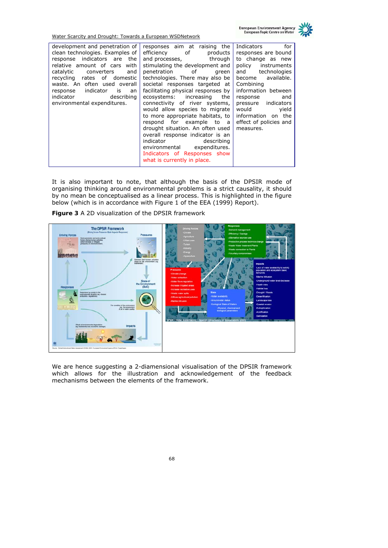European Environment Agency<br>European Topic Centre on Water



| Water Scarcity and Drought: Towards a European WSDNetwork                                                                                                                                                                                                                                                                                                                                                                           |                                                                                                                                                                                                                                                                                                                                                                                                                                                                                                                                                                                                                                    |                                                                                                                                                                                                                                                                                          |
|-------------------------------------------------------------------------------------------------------------------------------------------------------------------------------------------------------------------------------------------------------------------------------------------------------------------------------------------------------------------------------------------------------------------------------------|------------------------------------------------------------------------------------------------------------------------------------------------------------------------------------------------------------------------------------------------------------------------------------------------------------------------------------------------------------------------------------------------------------------------------------------------------------------------------------------------------------------------------------------------------------------------------------------------------------------------------------|------------------------------------------------------------------------------------------------------------------------------------------------------------------------------------------------------------------------------------------------------------------------------------------|
| development and penetration of<br>clean technologies. Examples of<br>response indicators are the<br>relative amount of cars with<br>catalytic converters<br>and<br>recycling rates of domestic<br>waste. An often used overall<br>response indicator<br>is is the set of the set of the set of the set of the set of the set of the set of the set of the set of the s<br>an<br>indicator describing<br>environmental expenditures. | responses aim at raising the<br>efficiency of<br>products<br>and processes, through<br>stimulating the development and<br>penetration of<br>green<br>technologies. There may also be<br>societal responses targeted at<br>facilitating physical responses by<br>ecosystems: increasing<br>the<br>connectivity of river systems,<br>would allow species to migrate<br>to more appropriate habitats, to<br>respond for example to a<br>drought situation. An often used<br>overall response indicator is an<br>indicator<br>describing<br>environmental expenditures.<br>Indicators of Responses show<br>what is currently in place. | for<br>Indicators<br>responses are bound<br>to change as new<br>policy instruments<br>and technologies<br>become available.<br>Combining<br>information between<br>response<br>and<br>pressure indicators<br>would<br>yield<br>information on the<br>effect of policies and<br>measures. |

It is also important to note, that although the basis of the DPSIR mode of organising thinking around environmental problems is a strict causality, it should by no mean be conceptualised as a linear process. This is highlighted in the figure below (which is in accordance with Figure 1 of the EEA (1999) Report).



**Figure 3** A 2D visualization of the DPSIR framework

We are hence suggesting a 2-diamensional visualisation of the DPSIR framework which allows for the illustration and acknowledgement of the feedback mechanisms between the elements of the framework.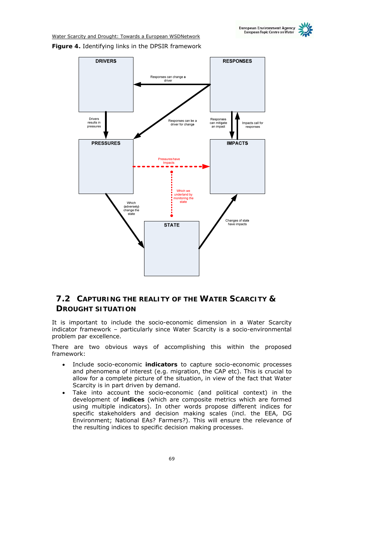Water Scarcity and Drought: Towards a European WSDNetwork **Figure 4.** Identifying links in the DPSIR framework



## **7.2 CAPTURING THE REALITY OF THE WATER SCARCITY & DROUGHT SITUATION**

It is important to include the socio-economic dimension in a Water Scarcity indicator framework – particularly since Water Scarcity is a socio-environmental problem par excellence.

There are two obvious ways of accomplishing this within the proposed framework:

- Include socio-economic **indicators** to capture socio-economic processes and phenomena of interest (e.g. migration, the CAP etc). This is crucial to allow for a complete picture of the situation, in view of the fact that Water Scarcity is in part driven by demand.
- Take into account the socio-economic (and political context) in the development of **indices** (which are composite metrics which are formed using multiple indicators). In other words propose different indices for specific stakeholders and decision making scales (incl. the EEA, DG Environment; National EAs? Farmers?). This will ensure the relevance of the resulting indices to specific decision making processes.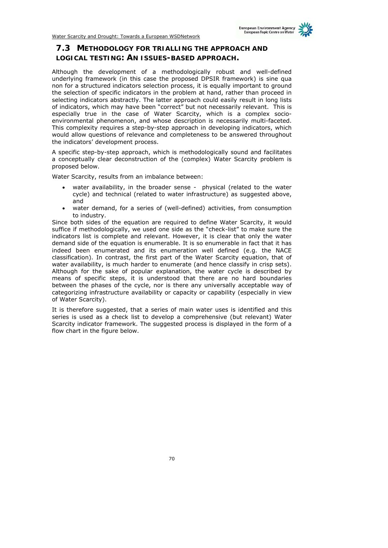## **7.3 METHODOLOGY FOR TRIALLING THE APPROACH AND LOGICAL TESTING: AN ISSUES-BASED APPROACH.**

Although the development of a methodologically robust and well-defined underlying framework (in this case the proposed DPSIR framework) is sine qua non for a structured indicators selection process, it is equally important to ground the selection of specific indicators in the problem at hand, rather than proceed in selecting indicators abstractly. The latter approach could easily result in long lists of indicators, which may have been "correct" but not necessarily relevant. This is especially true in the case of Water Scarcity, which is a complex socioenvironmental phenomenon, and whose description is necessarily multi-faceted. This complexity requires a step-by-step approach in developing indicators, which would allow questions of relevance and completeness to be answered throughout the indicators' development process.

A specific step-by-step approach, which is methodologically sound and facilitates a conceptually clear deconstruction of the (complex) Water Scarcity problem is proposed below.

Water Scarcity, results from an *imbalance* between:

- water availability, in the broader sense physical (related to the water cycle) and technical (related to water infrastructure) as suggested above, and
- water demand, for a series of (well-defined) activities, from consumption to industry.

Since both sides of the equation are required to define Water Scarcity, it would suffice if methodologically, we used one side as the "check-list" to make sure the indicators list is complete and relevant. However, it is clear that only the water demand side of the equation is enumerable. It is so enumerable in fact that it has indeed been enumerated and its enumeration well defined (e.g. the NACE classification). In contrast, the first part of the Water Scarcity equation, that of water availability, is much harder to enumerate (and hence classify in crisp sets). Although for the sake of popular explanation, the water cycle is described by means of specific steps, it is understood that there are no hard boundaries between the phases of the cycle, nor is there any universally acceptable way of categorizing infrastructure availability or capacity or capability (especially in view of Water Scarcity).

It is therefore suggested, that a series of main water uses is identified and this series is used as a check list to develop a comprehensive (but relevant) Water Scarcity indicator framework. The suggested process is displayed in the form of a flow chart in the figure below.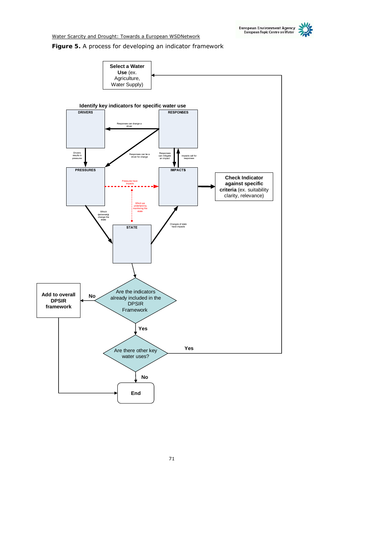

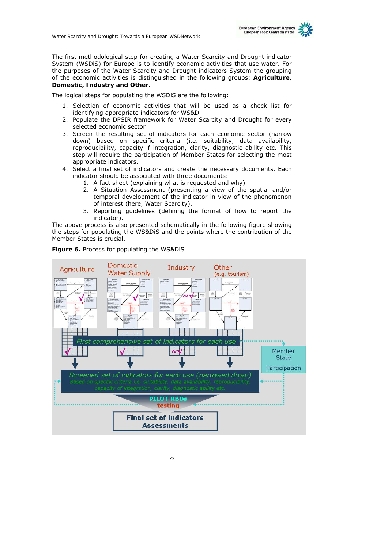

The logical steps for populating the WSDiS are the following:

- 1. Selection of economic activities that will be used as a check list for identifying appropriate indicators for WS&D
- 2. Populate the DPSIR framework for Water Scarcity and Drought for every selected economic sector
- 3. Screen the resulting set of indicators for each economic sector (narrow down) based on specific criteria (i.e. suitability, data availability, reproducibility, capacity if integration, clarity, diagnostic ability etc. This step will require the participation of Member States for selecting the most appropriate indicators.
- 4. Select a final set of indicators and create the necessary documents. Each indicator should be associated with three documents:
	- 1. A fact sheet (explaining what is requested and why)
	- 2. A Situation Assessment (presenting a view of the spatial and/or temporal development of the indicator in view of the phenomenon of interest (here, Water Scarcity).
	- 3. Reporting guidelines (defining the format of how to report the indicator).

The above process is also presented schematically in the following figure showing the steps for populating the WS&DiS and the points where the contribution of the Member States is crucial.



**Figure 6.** Process for populating the WS&DiS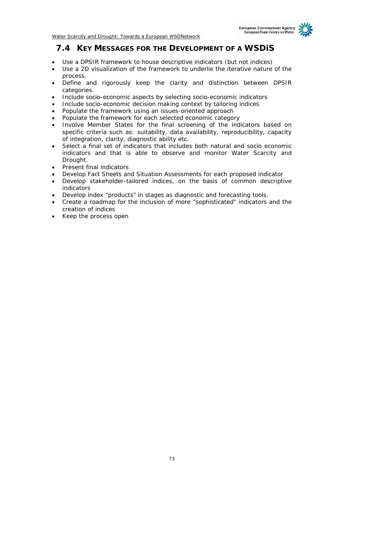## **7.4 KEY MESSAGES FOR THE DEVELOPMENT OF A WSDiS**

- *Use a DPSIR framework to house descriptive indicators (but not indices)*
- *Use a 2D visualization of the framework to underlie the iterative nature of the process.*
- *Define and rigorously keep the clarity and distinction between DPSIR categories.*
- *Include socio-economic aspects by selecting socio-economic indicators*
- *Include socio-economic decision making context by tailoring indices*
- *Populate the framework using an issues-oriented approach*
- *Populate the framework for each selected economic category*
- *Involve Member States for the final screening of the indicators based on specific criteria such as: suitability, data availability, reproducibility, capacity of integration, clarity, diagnostic ability etc.*
- *Select a final set of indicators that includes both natural and socio economic indicators and that is able to observe and monitor Water Scarcity and Drought.*
- *Present final indicators*
- *Develop Fact Sheets and Situation Assessments for each proposed indicator*
- *Develop stakeholder-tailored indices, on the basis of common descriptive indicators*
- *Develop index "products" in stages as diagnostic and forecasting tools.*
- *Create a roadmap for the inclusion of more "sophisticated" indicators and the creation of indices*
- *Keep the process open*

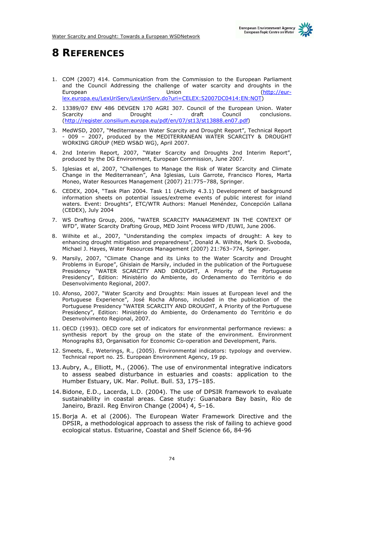

# **8 REFERENCES**

- 1. COM (2007) 414. Communication from the Commission to the European Parliament and the Council Addressing the challenge of water scarcity and droughts in the European Union (http://eurlex.europa.eu/LexUriServ/LexUriServ.do?uri=CELEX:52007DC0414:EN:NOT)
- 2. 13389/07 ENV 486 DEVGEN 170 AGRI 307. Council of the European Union. Water Scarcity and Drought - draft Council conclusions. (http://register.consilium.europa.eu/pdf/en/07/st13/st13888.en07.pdf)
- 3. MedWSD, 2007, "Mediterranean Water Scarcity and Drought Report", Technical Report - 009 – 2007, produced by the MEDITERRANEAN WATER SCARCITY & DROUGHT WORKING GROUP (MED WS&D WG), April 2007.
- 4. 2nd Interim Report, 2007, "Water Scarcity and Droughts 2nd Interim Report", produced by the DG Environment, European Commission, June 2007.
- 5. Iglesias et al, 2007, "Challenges to Manage the Risk of Water Scarcity and Climate Change in the Mediterranean", Ana Iglesias, Luis Garrote, Francisco Flores, Marta Moneo, Water Resources Management (2007) 21:775–788, Springer.
- 6. CEDEX, 2004, "Task Plan 2004. Task 11 (Activity 4.3.1) Development of background information sheets on potential issues/extreme events of public interest for inland waters. Event: Droughts", ETC/WTR Authors: Manuel Menéndez, Concepción Lallana (CEDEX), July 2004
- 7. WS Drafting Group, 2006, "WATER SCARCITY MANAGEMENT IN THE CONTEXT OF WFD", Water Scarcity Drafting Group, MED Joint Process WFD /EUWI, June 2006.
- 8. Wilhite et al., 2007, "Understanding the complex impacts of drought: A key to enhancing drought mitigation and preparedness", Donald A. Wilhite, Mark D. Svoboda, Michael J. Hayes, Water Resources Management (2007) 21:763–774, Springer.
- 9. Marsily, 2007, "Climate Change and its Links to the Water Scarcity and Drought Problems in Europe", Ghislain de Marsily, included in the publication of the Portuguese Presidency "WATER SCARCITY AND DROUGHT, A Priority of the Portuguese Presidency", Edition: Ministério do Ambiente, do Ordenamento do Território e do Desenvolvimento Regional, 2007.
- 10. Afonso, 2007, "Water Scarcity and Droughts: Main issues at European level and the Portuguese Experience", José Rocha Afonso, included in the publication of the Portuguese Presidency "WATER SCARCITY AND DROUGHT, A Priority of the Portuguese Presidency", Edition: Ministério do Ambiente, do Ordenamento do Território e do Desenvolvimento Regional, 2007.
- 11. OECD (1993). OECD core set of indicators for environmental performance reviews: a synthesis report by the group on the state of the environment. Environment Monographs 83, Organisation for Economic Co-operation and Development, Paris.
- 12. Smeets, E., Weterings, R., (2005). Environmental indicators: typology and overview. Technical report no. 25. European Environment Agency, 19 pp.
- 13.Aubry, A., Elliott, M., (2006). The use of environmental integrative indicators to assess seabed disturbance in estuaries and coasts: application to the Humber Estuary, UK. Mar. Pollut. Bull. 53, 175–185.
- 14.Bidone, E.D., Lacerda, L.D. (2004). The use of DPSIR framework to evaluate sustainability in coastal areas. Case study: Guanabara Bay basin, Rio de Janeiro, Brazil. Reg Environ Change (2004) 4, 5–16.
- 15.Borja A. et al (2006). The European Water Framework Directive and the DPSIR, a methodological approach to assess the risk of failing to achieve good ecological status. Estuarine, Coastal and Shelf Science 66, 84-96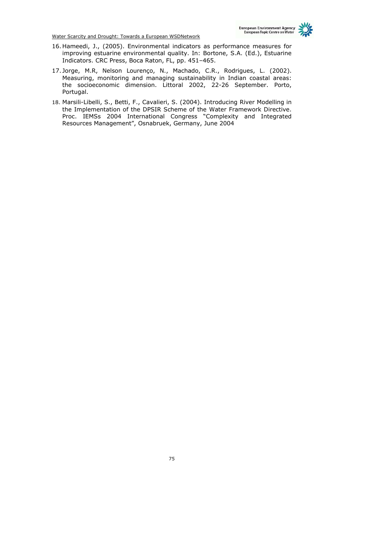- 16. Hameedi, J., (2005). Environmental indicators as performance measures for improving estuarine environmental quality. In: Bortone, S.A. (Ed.), Estuarine Indicators. CRC Press, Boca Raton, FL, pp. 451–465.
- 17. Jorge, M.R, Nelson Lourenço, N., Machado, C.R., Rodrigues, L. (2002). Measuring, monitoring and managing sustainability in Indian coastal areas: the socioeconomic dimension. Littoral 2002, 22-26 September. Porto, Portugal.
- 18. Marsili-Libelli, S., Betti, F., Cavalieri, S. (2004). Introducing River Modelling in the Implementation of the DPSIR Scheme of the Water Framework Directive. Proc. IEMSs 2004 International Congress "Complexity and Integrated Resources Management", Osnabruek, Germany, June 2004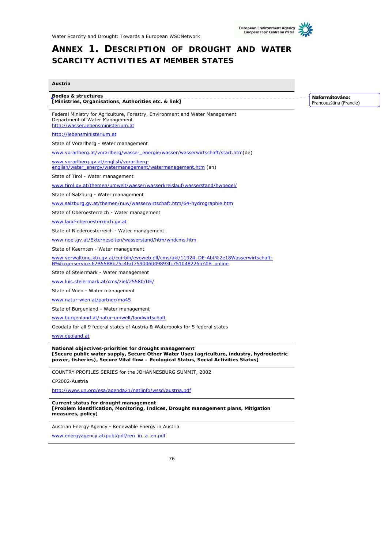

# **ANNEX 1. DESCRIPTION OF DROUGHT AND WATER SCARCITY ACTIVITIES AT MEMBER STATES**

#### **Austria**

**Bodies & structures [Ministries, Organisations, Authorities etc. & link]**

Federal Ministry for Agriculture, Forestry, Environment and Water Management Department of Water Management http://wasser.lebensministerium.at

http://lebensministerium.at

State of Vorarlberg - Water management

www.vorarlberg.at/vorarlberg/wasser\_energie/wasser/wasserwirtschaft/start.htm(de)

www.vorarlberg.gv.at/english/vorarlbergenglish/water\_energy/watermanagement/watermanagement.htm (en)

State of Tirol - Water management

www.tirol.gv.at/themen/umwelt/wasser/wasserkreislauf/wasserstand/hwpegel/

State of Salzburg - Water management

www.salzburg.gv.at/themen/nuw/wasserwirtschaft.htm/64-hydrographie.htm

State of Oberoesterreich - Water management

www.land-oberoesterreich.gv.at

State of Niederoesterreich - Water management

www.noel.gv.at/Externeseiten/wasserstand/htm/wndcms.htm

State of Kaernten - Water management

www.verwaltung.ktn.gv.at/cgi-bin/evoweb.dll/cms/akl/11924\_DE-Abt%2e18Wasserwirtschaft-

B%fcrgerservice.62B55B8b75c46cf759046049893fc751048226b?#B\_online

State of Steiermark - Water management

www.luis.steiermark.at/cms/ziel/25580/DE/

State of Wien - Water management

www.natur-wien.at/partner/ma45

State of Burgenland - Water management

www.burgenland.at/natur-umwelt/landwirtschaft

Geodata for all 9 federal states of Austria & Waterbooks for 5 federal states

www.geoland.at

**National objectives-priorities for drought management [Secure public water supply, Secure Other Water Uses (agriculture, industry, hydroelectric power, fisheries), Secure Vital flow – Ecological Status, Social Activities Status]**

COUNTRY PROFILES SERIES for the JOHANNESBURG SUMMIT, 2002

CP2002-Austria

http://www.un.org/esa/agenda21/natlinfo/wssd/austria.pdf

**Current status for drought management [Problem identification, Monitoring, Indices, Drought management plans, Mitigation measures, policy]**

Austrian Energy Agency - Renewable Energy in Austria

www.energyagency.at/publ/pdf/ren\_in\_a\_en.pdf

**Naformátováno:** Francouzština (Francie)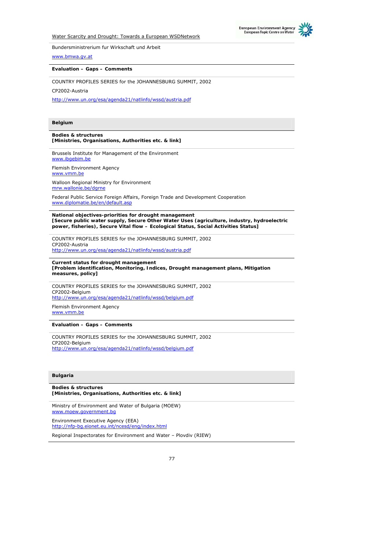



Bundersministrerium fur Wirkschaft und Arbeit

www.bmwa.gv.at

#### **Evaluation – Gaps – Comments**

COUNTRY PROFILES SERIES for the JOHANNESBURG SUMMIT, 2002

CP2002-Austria

http://www.un.org/esa/agenda21/natlinfo/wssd/austria.pdf

#### **Belgium**

#### **Bodies & structures [Ministries, Organisations, Authorities etc. & link]**

Brussels Institute for Management of the Environment www.ibgebim.be

Flemish Environment Agency www.vmm.be Walloon Regional Ministry for Environment

mrw.wallonie.be/dgrne

Federal Public Service Foreign Affairs, Foreign Trade and Development Cooperation www.diplomatie.be/en/default.asp

**National objectives-priorities for drought management [Secure public water supply, Secure Other Water Uses (agriculture, industry, hydroelectric power, fisheries), Secure Vital flow – Ecological Status, Social Activities Status]**

COUNTRY PROFILES SERIES for the JOHANNESBURG SUMMIT, 2002 CP2002-Austria http://www.un.org/esa/agenda21/natlinfo/wssd/austria.pdf

**Current status for drought management [Problem identification, Monitoring, Indices, Drought management plans, Mitigation measures, policy]**

COUNTRY PROFILES SERIES for the JOHANNESBURG SUMMIT, 2002 CP2002-Belgium http://www.un.org/esa/agenda21/natlinfo/wssd/belgium.pdf

Flemish Environment Agency www.vmm.be

**Evaluation – Gaps – Comments** 

COUNTRY PROFILES SERIES for the JOHANNESBURG SUMMIT, 2002 CP2002-Belgium http://www.un.org/esa/agenda21/natlinfo/wssd/belgium.pdf

#### **Bulgaria**

**Bodies & structures [Ministries, Organisations, Authorities etc. & link]**

Ministry of Environment and Water of Bulgaria (MOEW) www.moew.government.hg

Environment Executive Agency (EEA) http://nfp-bg.eionet.eu.int/ncesd/eng/index.html

Regional Inspectorates for Environment and Water – Plovdiv (RIEW)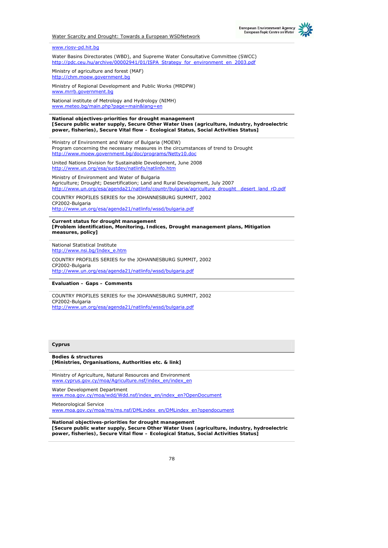

## www.riosv-pd.hit.bg

Water Basins Directorates (WBD), and Supreme Water Consultative Committee (SWCC) http://pdc.ceu.hu/archive/00002941/01/ISPA\_Strategy\_for\_environment\_en\_2003.pdf

Ministry of agriculture and forest (MAF) http://chm.moew.government.bg

Ministry of Regional Development and Public Works (MRDPW) www.mrrb.government.bg

National institute of Metrology and Hydrology (NIMH) www.meteo.bg/main.php?page=main&lang=en

**National objectives-priorities for drought management [Secure public water supply, Secure Other Water Uses (agriculture, industry, hydroelectric power, fisheries), Secure Vital flow – Ecological Status, Social Activities Status]**

Ministry of Environment and Water of Bulgaria (MOEW) Program concerning the necessary measures in the circumstances of trend to Drought http://www.moew.government.bg/doc/programs/Netty10.doc

United Nations Division for Sustainable Development, June 2008 http://www.un.org/esa/sustdev/natlinfo/natlinfo.htm

Ministry of Environment and Water of Bulgaria Agriculture; Drought; Desertification; Land and Rural Development, July 2007 http://www.un.org/esa/agenda21/natlinfo/countr/bulgaria/agriculture\_drought\_desert\_land\_rD.pdf

COUNTRY PROFILES SERIES for the JOHANNESBURG SUMMIT, 2002 CP2002-Bulgaria http://www.un.org/esa/agenda21/natlinfo/wssd/bulgaria.pdf

**Current status for drought management [Problem identification, Monitoring, Indices, Drought management plans, Mitigation measures, policy]**

National Statistical Institute http://www.nsi.bg/Index\_e.htm

COUNTRY PROFILES SERIES for the JOHANNESBURG SUMMIT, 2002 CP2002-Bulgaria http://www.un.org/esa/agenda21/natlinfo/wssd/bulgaria.pdf

**Evaluation – Gaps – Comments** 

COUNTRY PROFILES SERIES for the JOHANNESBURG SUMMIT, 2002 CP2002-Bulgaria http://www.un.org/esa/agenda21/natlinfo/wssd/bulgaria.pdf

#### **Cyprus**

**Bodies & structures [Ministries, Organisations, Authorities etc. & link]**

Ministry of Agriculture, Natural Resources and Environment www.cyprus.gov.cy/moa/Agriculture.nsf/index\_en/index\_en

Water Development Department

www.moa.gov.cy/moa/wdd/Wdd.nsf/index\_en/index\_en?OpenDocument

Meteorological Service

www.moa.gov.cy/moa/ms/ms.nsf/DMLindex\_en/DMLindex\_en?opendocument

**National objectives-priorities for drought management [Secure public water supply, Secure Other Water Uses (agriculture, industry, hydroelectric power, fisheries), Secure Vital flow – Ecological Status, Social Activities Status]**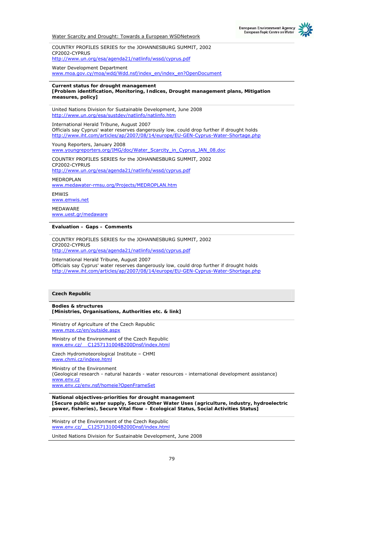COUNTRY PROFILES SERIES for the JOHANNESBURG SUMMIT, 2002 CP2002-CYPRUS http://www.un.org/esa/agenda21/natlinfo/wssd/cyprus.pdf

Water Development Department www.moa.gov.cy/moa/wdd/Wdd.nsf/index\_en/index\_en?OpenDocument

## **Current status for drought management**

**[Problem identification, Monitoring, Indices, Drought management plans, Mitigation measures, policy]**

United Nations Division for Sustainable Development, June 2008 http://www.un.org/esa/sustdev/natlinfo/natlinfo.htm

International Herald Tribune, August 2007 *Officials say Cyprus' water reserves dangerously low, could drop further if drought holds*  http://www.iht.com/articles/ap/2007/08/14/europe/EU-GEN-Cyprus-Water-Shortage.php

Young Reporters, January 2008 www.youngreporters.org/IMG/doc/Water\_Scarcity\_in\_Cyprus\_JAN\_08.doc

COUNTRY PROFILES SERIES for the JOHANNESBURG SUMMIT, 2002 CP2002-CYPRUS http://www.un.org/esa/agenda21/natlinfo/wssd/cyprus.pdf

MEDROPLAN www.medawater-rmsu.org/Projects/MEDROPLAN.htm

EMWIS www.emwis.net MEDAWARE www.uest.gr/medaware

**Evaluation – Gaps – Comments** 

COUNTRY PROFILES SERIES for the JOHANNESBURG SUMMIT, 2002 CP2002-CYPRUS http://www.un.org/esa/agenda21/natlinfo/wssd/cyprus.pdf

International Herald Tribune, August 2007 *Officials say Cyprus' water reserves dangerously low, could drop further if drought holds*  http://www.iht.com/articles/ap/2007/08/14/europe/EU-GEN-Cyprus-Water-Shortage.php

#### **Czech Republic**

**Bodies & structures [Ministries, Organisations, Authorities etc. & link]**

Ministry of Agriculture of the Czech Republic www.mze.cz/en/outside.aspx

Ministry of the Environment of the Czech Republic www.env.cz/\_\_C1257131004B200Dnsf/index.html

Czech Hydromoteorological Institute – CHMI www.chmi.cz/indexe.htm

Ministry of the Environment (Geological research - natural hazards - water resources - international development assistance) www.env.c www.env.cz/env.nsf/homeie?OpenFrameSet

**National objectives-priorities for drought management [Secure public water supply, Secure Other Water Uses (agriculture, industry, hydroelectric power, fisheries), Secure Vital flow – Ecological Status, Social Activities Status]**

Ministry of the Environment of the Czech Republic C1257131004B200Dnsf/inde

United Nations Division for Sustainable Development, June 2008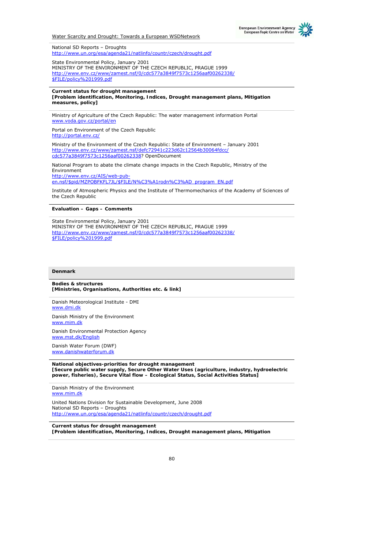

National SD Reports – Droughts http://www.un.org/esa/agenda21/natlinfo/countr/czech/drought.pdf

State Environmental Policy, January 2001 MINISTRY OF THE ENVIRONMENT OF THE CZECH REPUBLIC, PRAGUE 1999 http://www.env.cz/www/zamest.nsf/0/cdc577a3849f7573c1256aaf00262338/ \$FILE/policy%201999.pdf

#### **Current status for drought management**

**[Problem identification, Monitoring, Indices, Drought management plans, Mitigation measures, policy]**

Ministry of Agriculture of the Czech Republic: The water management information Portal www.voda.gov.cz/portal/en

Portal on Environment of the Czech Republic http://portal.env.cz/

Ministry of the Environment of the Czech Republic: State of Environment – January 2001 http://www.env.cz/www/zamest.nsf/defc72941c223d62c12564b30064fdcc/ cdc577a3849f7573c1256aaf00262338? OpenDocument

National Program to abate the climate change impacts in the Czech Republic, Ministry of the Environment

http://www.env.cz/AIS/web-puben.nsf/\$pid/MZPOBFKFL7JL/\$FILE/N%C3%A1rodn%C3%AD\_program\_EN.pdf

Institute of Atmospheric Physics and the Institute of Thermomechanics of the Academy of Sciences of the Czech Republic

#### **Evaluation – Gaps – Comments**

State Environmental Policy, January 2001 MINISTRY OF THE ENVIRONMENT OF THE CZECH REPUBLIC, PRAGUE 1999 http://www.env.cz/www/zamest.nsf/0/cdc577a3849f7573c1256aaf00262338/ \$FILE/policy%201999.pdf

#### **Denmark**

#### **Bodies & structures [Ministries, Organisations, Authorities etc. & link]**

Danish Meteorological Institute - DMI www.dmi.dk

Danish Ministry of the Environment www.mim.dk

Danish Environmental Protection Agency www.mst.dk/English

Danish Water Forum (DWF) www.danishwaterforum.dk

**National objectives-priorities for drought management [Secure public water supply, Secure Other Water Uses (agriculture, industry, hydroelectric power, fisheries), Secure Vital flow – Ecological Status, Social Activities Status]**

Danish Ministry of the Environment www.mim.dk United Nations Division for Sustainable Development, June 2008 National SD Reports – Droughts http://www.un.org/esa/agenda21/natlinfo/countr/czech/drought.pdf

**Current status for drought management [Problem identification, Monitoring, Indices, Drought management plans, Mitigation**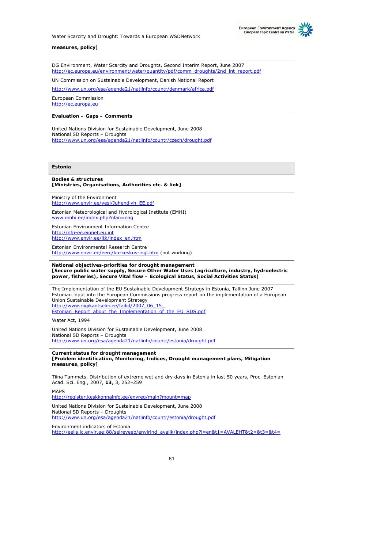

#### **measures, policy]**

DG Environment, Water Scarcity and Droughts, Second Interim Report, June 2007 http://ec.europa.eu/environment/water/quantity/pdf/comm\_droughts/2nd\_int\_report.pdf

UN Commission on Sustainable Development, Danish National Report

http://www.un.org/esa/agenda21/natlinfo/countr/denmark/africa.pdf

European Commission http://ec.europa.eu

#### **Evaluation – Gaps – Comments**

United Nations Division for Sustainable Development, June 2008 National SD Reports – Droughts http://www.un.org/esa/agenda21/natlinfo/countr/czech/drought.pdf

#### **Estonia**

#### **Bodies & structures [Ministries, Organisations, Authorities etc. & link]**

Ministry of the Environment http://www.envir.ee/vesi/Juhendlyh\_EE.pdf

Estonian Meteorological and Hydrological Institute (EMHI) www.emhi.ee/index.php?nlan=eng

Estonian Environment Information Centre http://nfp-ee.eionet.eu.int http://www.envir.ee/itk/index\_en.htm

Estonian Environmental Research Centre http://www.envir.ee/eerc/ku-keskus-ingl.htm (not working)

#### **National objectives-priorities for drought management [Secure public water supply, Secure Other Water Uses (agriculture, industry, hydroelectric power, fisheries), Secure Vital flow – Ecological Status, Social Activities Status]**

The Implementation of the EU Sustainable Development Strategy in Estonia, Tallinn June 2007 Estonian input into the European Commissions progress report on the implementation of a European Union Sustainable Development Strategy http://www.riigikantselei.ee/failid/2007\_06\_15 Estonian\_Report\_about\_the\_Implementation\_of\_the\_EU\_SDS.pdf

Water Act, 1994

United Nations Division for Sustainable Development, June 2008 National SD Reports – Droughts http://www.un.org/esa/agenda21/natlinfo/countr/estonia/drought.pdf

## **Current status for drought management**

**[Problem identification, Monitoring, Indices, Drought management plans, Mitigation measures, policy]**

Tiina Tammets, Distribution of extreme wet and dry days in Estonia in last 50 years, Proc. Estonian Acad. Sci. Eng., 2007, **13**, 3, 252–259

MAPS

http://register.keskkonnainfo.ee/envreg/main?mount=map

United Nations Division for Sustainable Development, June 2008 National SD Reports – Droughts http://www.un.org/esa/agenda21/natlinfo/countr/estonia/drought.pdf

Environment indicators of Estonia http://eelis.ic.envir.ee:88/seireveeb/envirind\_avalik/index.php?l=en&t1=AVALEHT&t2=&t3=&t4=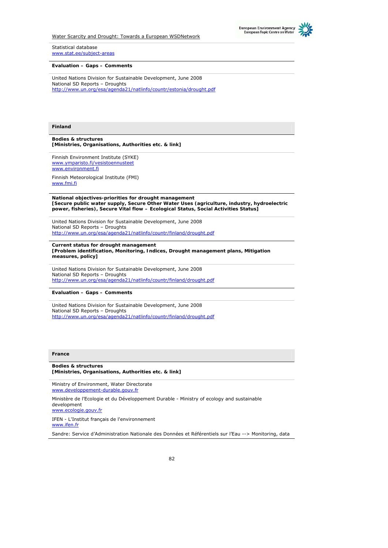



#### Statistical database www.stat.ee/subject-areas

**Evaluation – Gaps – Comments** 

United Nations Division for Sustainable Development, June 2008 National SD Reports – Droughts http://www.un.org/esa/agenda21/natlinfo/countr/estonia/drought.pdf

#### **Finland**

**Bodies & structures [Ministries, Organisations, Authorities etc. & link]**

Finnish Environment Institute (SYKE) www.ymparisto.fi/vesistoennusteet www.environment.fi

Finnish Meteorological Institute (FMI) www.fmi.fi

**National objectives-priorities for drought management [Secure public water supply, Secure Other Water Uses (agriculture, industry, hydroelectric power, fisheries), Secure Vital flow – Ecological Status, Social Activities Status]**

United Nations Division for Sustainable Development, June 2008 National SD Reports – Droughts http://www.un.org/esa/agenda21/natlinfo/countr/finland/drought.pdf

#### **Current status for drought management**

**[Problem identification, Monitoring, Indices, Drought management plans, Mitigation measures, policy]**

United Nations Division for Sustainable Development, June 2008 National SD Reports – Droughts http://www.un.org/esa/agenda21/natlinfo/countr/finland/drought.pdf

**Evaluation – Gaps – Comments** 

United Nations Division for Sustainable Development, June 2008 National SD Reports – Droughts http://www.un.org/esa/agenda21/natlinfo/countr/finland/drought.pdf

#### **France**

**Bodies & structures [Ministries, Organisations, Authorities etc. & link]**

Ministry of Environment, Water Directorate www.developpement-durable.gouv.fr

Ministère de l'Ecologie et du Développement Durable - Ministry of ecology and sustainable development www.ecologie.gouv.fr

IFEN - L'Institut français de l'environnement www.ifen.fr

Sandre: Service d'Administration Nationale des Données et Référentiels sur l'Eau --> Monitoring, data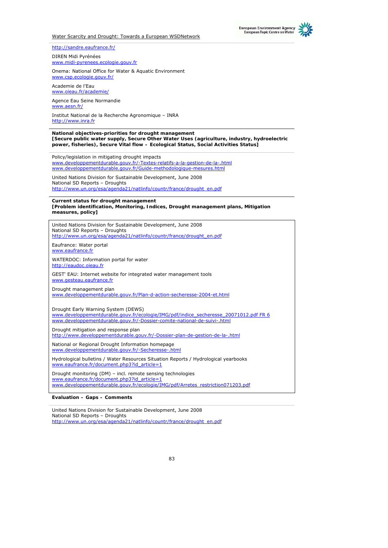



www.midi-pyrenees.ecologie.gouv.fr

Onema: National Office for Water & Aquatic Environment www.csp.ecologie.gouv.fr/

Academie de l'Eau www.oieau.fr/academie/

Agence Eau Seine Normandie www.aesn.fr/

Institut National de la Recherche Agronomique – INRA http://www.inra.fr

**National objectives-priorities for drought management [Secure public water supply, Secure Other Water Uses (agriculture, industry, hydroelectric power, fisheries), Secure Vital flow – Ecological Status, Social Activities Status]**

Policy/legislation in mitigating drought impacts www.developpementdurable.gouv.fr/-Textes-relatifs-a-la-gestion-de-la-.html www.developpementdurable.gouv.fr/Guide-methodologique-mesures.html

United Nations Division for Sustainable Development, June 2008 National SD Reports – Droughts http://www.un.org/esa/agenda21/natlinfo/countr/france/drought\_en.pdf

**Current status for drought management [Problem identification, Monitoring, Indices, Drought management plans, Mitigation measures, policy]**

| United Nations Division for Sustainable Development, June 2008<br>National SD Reports - Droughts<br>http://www.un.org/esa/agenda21/natlinfo/countr/france/drought_en.pdf                                 |
|----------------------------------------------------------------------------------------------------------------------------------------------------------------------------------------------------------|
| Eaufrance: Water portal<br>www.eaufrance.fr                                                                                                                                                              |
| WATERDOC: Information portal for water<br>http://eaudoc.oieau.fr                                                                                                                                         |
| GEST' EAU: Internet website for integrated water management tools<br>www.gesteau.eaufrance.fr                                                                                                            |
| Drought management plan<br>www.developpementdurable.gouv.fr/Plan-d-action-secheresse-2004-et.html                                                                                                        |
| Drought Early Warning System (DEWS)<br>www.developpementdurable.gouv.fr/ecologie/IMG/pdf/indice_secheresse_20071012.pdf FR 6<br>www.developpementdurable.gouv.fr/-Dossier-comite-national-de-suivi-.html |
| Drought mitigation and response plan<br>http://www.developpementdurable.gouv.fr/-Dossier-plan-de-gestion-de-la-.html                                                                                     |
| National or Regional Drought Information homepage<br>www.developpementdurable.gouv.fr/-Secheresse-.html                                                                                                  |
| Hydrological bulletins / Water Resources Situation Reports / Hydrological yearbooks<br>www.eaufrance.fr/document.php3?id article=1                                                                       |
| Drought monitoring (DM) – incl. remote sensing technologies<br>www.eaufrance.fr/document.php3?id article=1<br>www.developpementdurable.gouv.fr/ecologie/IMG/pdf/Arretes_restriction071203.pdf            |

**Evaluation – Gaps – Comments** 

United Nations Division for Sustainable Development, June 2008 National SD Reports – Droughts http://www.un.org/esa/agenda21/natlinfo/countr/france/drought\_en.pdf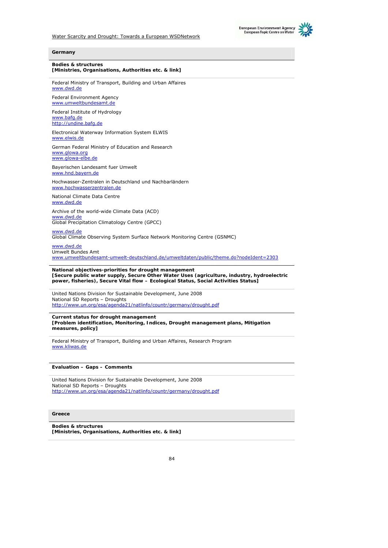



#### **Germany**

**Bodies & structures [Ministries, Organisations, Authorities etc. & link]**

Federal Ministry of Transport, Building and Urban Affaires www.dwd.de

Federal Environment Agency www.umweltbundesamt.de

Federal Institute of Hydrology www.bafg.de http://undine.bafg.de

Electronical Waterway Information System ELWIS www.elwis.de

German Federal Ministry of Education and Research www.glowa.org www.glowa-elbe.de

Bayerischen Landesamt fuer Umwelt www.hnd.bayern.de

Hochwasser-Zentralen in Deutschland und Nachbarländern www.hochwasserzentralen.de

National Climate Data Centre www.dwd.de

Archive of the world-wide Climate Data (ACD) www.dwd.de Global Precipitation Climatology Centre (GPCC)

www.dwd.de

Global Climate Observing System Surface Network Monitoring Centre (GSNMC)

www.dwd.de Umwelt Bundes Amt

www.umweltbundesamt-umwelt-deutschland.de/umweltdaten/public/theme.do?nodeIdent=2303

#### **National objectives-priorities for drought management**

**[Secure public water supply, Secure Other Water Uses (agriculture, industry, hydroelectric power, fisheries), Secure Vital flow – Ecological Status, Social Activities Status]**

United Nations Division for Sustainable Development, June 2008 National SD Reports – Droughts http://www.un.org/esa/agenda21/natlinfo/countr/germany/drought.pdf

#### **Current status for drought management**

**[Problem identification, Monitoring, Indices, Drought management plans, Mitigation measures, policy]**

Federal Ministry of Transport, Building and Urban Affaires, Research Program www.kliwas.de

**Evaluation – Gaps – Comments** 

United Nations Division for Sustainable Development, June 2008 National SD Reports – Droughts http://www.un.org/esa/agenda21/natlinfo/countr/germany/drought.pdf

#### **Greece**

**Bodies & structures [Ministries, Organisations, Authorities etc. & link]**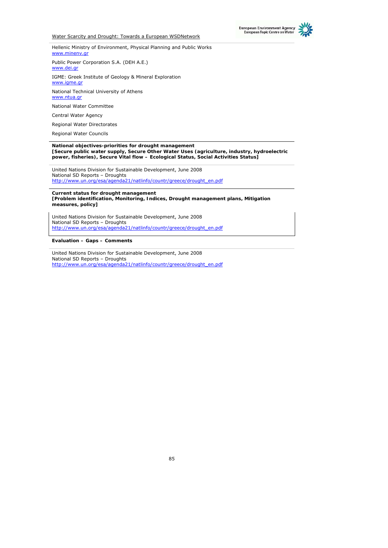



Hellenic Ministry of Environment, Physical Planning and Public Works www.minenv.gr

Public Power Corporation S.A. (DEH A.E.)

www.dei.gr

IGME: Greek Institute of Geology & Mineral Exploration www.igme.gr

National Technical University of Athens www.ntua.gr

National Water Committee

Central Water Agency

Regional Water Directorates

Regional Water Councils

#### **National objectives-priorities for drought management [Secure public water supply, Secure Other Water Uses (agriculture, industry, hydroelectric power, fisheries), Secure Vital flow – Ecological Status, Social Activities Status]**

United Nations Division for Sustainable Development, June 2008 National SD Reports – Droughts http://www.un.org/esa/agenda21/natlinfo/countr/greece/drought\_en.pdf

#### **Current status for drought management [Problem identification, Monitoring, Indices, Drought management plans, Mitigation measures, policy]**

United Nations Division for Sustainable Development, June 2008 National SD Reports – Droughts http://www.un.org/esa/agenda21/natlinfo/countr/greece/drought\_en.pdf

**Evaluation – Gaps – Comments** 

United Nations Division for Sustainable Development, June 2008 National SD Reports – Droughts http://www.un.org/esa/agenda21/natlinfo/countr/greece/drought\_en.pdf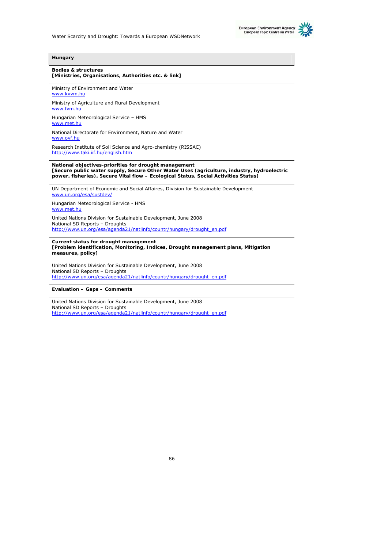



#### **Hungary**

#### **Bodies & structures [Ministries, Organisations, Authorities etc. & link]**

Ministry of Environment and Water www.kvvm.hu

Ministry of Agriculture and Rural Development www.fvm.hu

Hungarian Meteorological Service – HMS www.met.hu

National Directorate for Environment, Nature and Water www.ovf.hu

Research Institute of Soil Science and Agro-chemistry (RISSAC) http://www.taki.iif.hu/english.htm

**National objectives-priorities for drought management [Secure public water supply, Secure Other Water Uses (agriculture, industry, hydroelectric power, fisheries), Secure Vital flow – Ecological Status, Social Activities Status]**

UN Department of Economic and Social Affaires, Division for Sustainable Development www.un.org/esa/sustdev/

Hungarian Meteorological Service - HMS www.met.hu

United Nations Division for Sustainable Development, June 2008 National SD Reports – Droughts http://www.un.org/esa/agenda21/natlinfo/countr/hungary/drought\_en.pdf

**Current status for drought management [Problem identification, Monitoring, Indices, Drought management plans, Mitigation measures, policy]**

United Nations Division for Sustainable Development, June 2008 National SD Reports – Droughts http://www.un.org/esa/agenda21/natlinfo/countr/hungary/drought\_en.pdf

**Evaluation – Gaps – Comments** 

United Nations Division for Sustainable Development, June 2008 National SD Reports – Droughts http://www.un.org/esa/agenda21/natlinfo/countr/hungary/drought\_en.pdf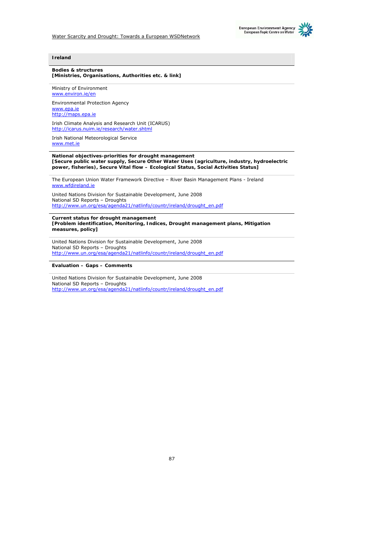



#### **Ireland**

#### **Bodies & structures [Ministries, Organisations, Authorities etc. & link]**

Ministry of Environment www.environ.ie/en

Environmental Protection Agency www.epa.ie http://maps.epa.ie Irish Climate Analysis and Research Unit (ICARUS) http://icarus.nuim.ie/research/water.shtml

Irish National Meteorological Service www.met.ie

#### **National objectives-priorities for drought management [Secure public water supply, Secure Other Water Uses (agriculture, industry, hydroelectric power, fisheries), Secure Vital flow – Ecological Status, Social Activities Status]**

The European Union Water Framework Directive – River Basin Management Plans - Ireland www.wfdireland.ie

United Nations Division for Sustainable Development, June 2008 National SD Reports – Droughts http://www.un.org/esa/agenda21/natlinfo/countr/ireland/drought\_en.pdf

**Current status for drought management [Problem identification, Monitoring, Indices, Drought management plans, Mitigation measures, policy]**

United Nations Division for Sustainable Development, June 2008 National SD Reports – Droughts http://www.un.org/esa/agenda21/natlinfo/countr/ireland/drought\_en.pdf

**Evaluation – Gaps – Comments** 

United Nations Division for Sustainable Development, June 2008 National SD Reports – Droughts http://www.un.org/esa/agenda21/natlinfo/countr/ireland/drought\_en.pdf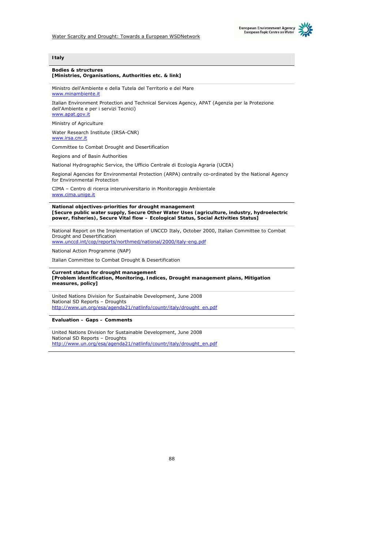



#### **Bodies & structures [Ministries, Organisations, Authorities etc. & link]**

Ministro dell'Ambiente e della Tutela del Territorio e del Mare www.minambiente.i

Italian Environment Protection and Technical Services Agency, APAT (Agenzia per la Protezione dell'Ambiente e per i servizi Tecnici) www.apat.gov.it

Ministry of Agriculture

Water Research Institute (IRSA-CNR) www.irsa.cnr.it

Committee to Combat Drought and Desertification

Regions and of Basin Authorities

National Hydrographic Service, the Ufficio Centrale di Ecologia Agraria (UCEA)

Regional Agencies for Environmental Protection (ARPA) centrally co-ordinated by the National Agency for Environmental Protection

CIMA – Centro di ricerca interuniversitario in Monitoraggio Ambientale www.cima.unige.it

**National objectives-priorities for drought management [Secure public water supply, Secure Other Water Uses (agriculture, industry, hydroelectric power, fisheries), Secure Vital flow – Ecological Status, Social Activities Status]**

National Report on the Implementation of UNCCD Italy, October 2000, Italian Committee to Combat Drought and Desertification www.unccd.int/cop/reports/northmed/national/2000/italy-eng.pdf

National Action Programme (NAP)

Italian Committee to Combat Drought & Desertification

#### **Current status for drought management [Problem identification, Monitoring, Indices, Drought management plans, Mitigation measures, policy]**

United Nations Division for Sustainable Development, June 2008 National SD Reports – Droughts http://www.un.org/esa/agenda21/natlinfo/countr/italy/drought\_en.pdf

**Evaluation – Gaps – Comments** 

United Nations Division for Sustainable Development, June 2008 National SD Reports – Droughts http://www.un.org/esa/agenda21/natlinfo/countr/italy/drought\_en.pdf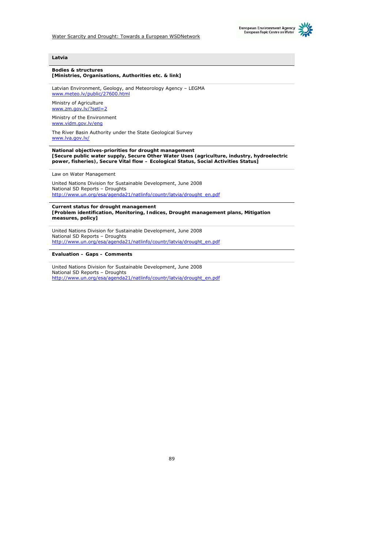

### **Latvia**

#### **Bodies & structures [Ministries, Organisations, Authorities etc. & link]**

Latvian Environment, Geology, and Meteorology Agency – LEGMA www.meteo.lv/public/27600.html

Ministry of Agriculture www.zm.gov.lv/?setl=2

Ministry of the Environment www.vidm.gov.lv/eng

The River Basin Authority under the State Geological Survey www.lva.gov.lv/

**National objectives-priorities for drought management [Secure public water supply, Secure Other Water Uses (agriculture, industry, hydroelectric power, fisheries), Secure Vital flow – Ecological Status, Social Activities Status]**

Law on Water Management

United Nations Division for Sustainable Development, June 2008 National SD Reports – Droughts http://www.un.org/esa/agenda21/natlinfo/countr/latvia/drought\_en.pdf

**Current status for drought management [Problem identification, Monitoring, Indices, Drought management plans, Mitigation measures, policy]**

United Nations Division for Sustainable Development, June 2008 National SD Reports – Droughts http://www.un.org/esa/agenda21/natlinfo/countr/latvia/drought\_en.pdf

**Evaluation – Gaps – Comments** 

United Nations Division for Sustainable Development, June 2008 National SD Reports – Droughts http://www.un.org/esa/agenda21/natlinfo/countr/latvia/drought\_en.pdf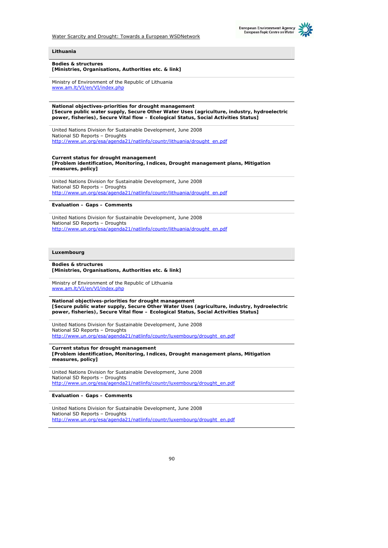



#### **Lithuania**

**Bodies & structures [Ministries, Organisations, Authorities etc. & link]**

Ministry of Environment of the Republic of Lithuania www.am.lt/VI/en/VI/index.php

**National objectives-priorities for drought management [Secure public water supply, Secure Other Water Uses (agriculture, industry, hydroelectric power, fisheries), Secure Vital flow – Ecological Status, Social Activities Status]**

United Nations Division for Sustainable Development, June 2008 National SD Reports – Droughts http://www.un.org/esa/agenda21/natlinfo/countr/lithuania/drought\_en.pdf

**Current status for drought management [Problem identification, Monitoring, Indices, Drought management plans, Mitigation measures, policy]**

United Nations Division for Sustainable Development, June 2008 National SD Reports – Droughts http://www.un.org/esa/agenda21/natlinfo/countr/lithuania/drought\_en.pdf

**Evaluation – Gaps – Comments** 

United Nations Division for Sustainable Development, June 2008 National SD Reports – Droughts http://www.un.org/esa/agenda21/natlinfo/countr/lithuania/drought\_en.pdf

#### **Luxembourg**

**Bodies & structures [Ministries, Organisations, Authorities etc. & link]**

Ministry of Environment of the Republic of Lithuania www.am.lt/VI/en/VI/index.php

**National objectives-priorities for drought management [Secure public water supply, Secure Other Water Uses (agriculture, industry, hydroelectric power, fisheries), Secure Vital flow – Ecological Status, Social Activities Status]**

United Nations Division for Sustainable Development, June 2008 National SD Reports – Droughts http://www.un.org/esa/agenda21/natlinfo/countr/luxembourg/drought\_en.pdf

**Current status for drought management [Problem identification, Monitoring, Indices, Drought management plans, Mitigation measures, policy]**

United Nations Division for Sustainable Development, June 2008 National SD Reports – Droughts http://www.un.org/esa/agenda21/natlinfo/countr/luxembourg/drought\_en.pdf

**Evaluation – Gaps – Comments** 

United Nations Division for Sustainable Development, June 2008 National SD Reports – Droughts http://www.un.org/esa/agenda21/natlinfo/countr/luxembourg/drought\_en.pdf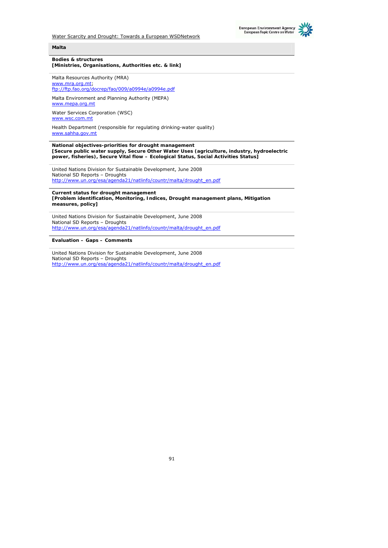



#### **Malta**

#### **Bodies & structures [Ministries, Organisations, Authorities etc. & link]**

Malta Resources Authority (MRA) www.mra.org.mt; ftp://ftp.fao.org/docrep/fao/009/a0994e/a0994e.pdf

Malta Environment and Planning Authority (MEPA) www.mepa.org.mt

Water Services Corporation (WSC) www.wsc.com.mt

Health Department (responsible for regulating drinking-water quality) www.sahha.gov.mt

**National objectives-priorities for drought management [Secure public water supply, Secure Other Water Uses (agriculture, industry, hydroelectric power, fisheries), Secure Vital flow – Ecological Status, Social Activities Status]**

United Nations Division for Sustainable Development, June 2008 National SD Reports – Droughts http://www.un.org/esa/agenda21/natlinfo/countr/malta/drought\_en.pdf

**Current status for drought management [Problem identification, Monitoring, Indices, Drought management plans, Mitigation measures, policy]**

United Nations Division for Sustainable Development, June 2008 National SD Reports – Droughts http://www.un.org/esa/agenda21/natlinfo/countr/malta/drought\_en.pdf

**Evaluation – Gaps – Comments** 

United Nations Division for Sustainable Development, June 2008 National SD Reports – Droughts http://www.un.org/esa/agenda21/natlinfo/countr/malta/drought\_en.pdf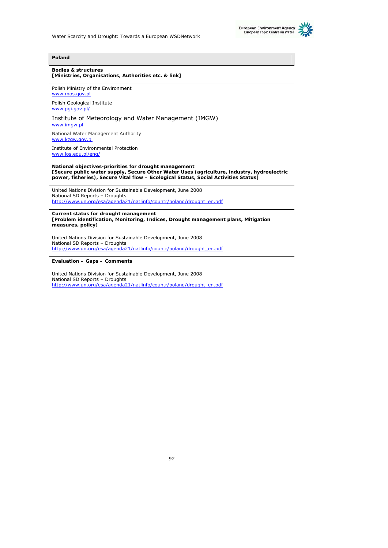



#### **Bodies & structures [Ministries, Organisations, Authorities etc. & link]**

Polish Ministry of the Environment www.mos.gov.p

Polish Geological Institute www.pgi.gov.pl/

## Institute of Meteorology and Water Management (IMGW)

www.imgw.pl

National Water Management Authority www.kzgw.gov.pl

Institute of Environmental Protection www.ios.edu.pl/eng/

**National objectives-priorities for drought management [Secure public water supply, Secure Other Water Uses (agriculture, industry, hydroelectric power, fisheries), Secure Vital flow – Ecological Status, Social Activities Status]**

United Nations Division for Sustainable Development, June 2008 National SD Reports – Droughts http://www.un.org/esa/agenda21/natlinfo/countr/poland/drought\_en.pdf

**Current status for drought management [Problem identification, Monitoring, Indices, Drought management plans, Mitigation measures, policy]**

United Nations Division for Sustainable Development, June 2008 National SD Reports – Droughts http://www.un.org/esa/agenda21/natlinfo/countr/poland/drought\_en.pdf

**Evaluation – Gaps – Comments** 

United Nations Division for Sustainable Development, June 2008 National SD Reports – Droughts http://www.un.org/esa/agenda21/natlinfo/countr/poland/drought\_en.pdf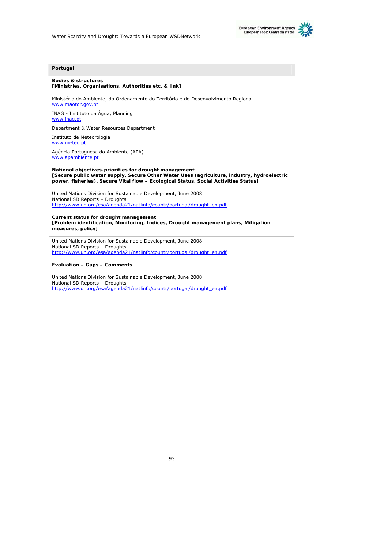

## **Portugal**

#### **Bodies & structures [Ministries, Organisations, Authorities etc. & link]**

Ministério do Ambiente, do Ordenamento do Território e do Desenvolvimento Regional www.maotdr.gov.pt

INAG - Instituto da Água, Planning www.inag.pt

Department & Water Resources Department

Instituto de Meteorologia www.meteo.pt

Agência Portuguesa do Ambiente (APA) www.apambiente.pt

**National objectives-priorities for drought management [Secure public water supply, Secure Other Water Uses (agriculture, industry, hydroelectric power, fisheries), Secure Vital flow – Ecological Status, Social Activities Status]**

United Nations Division for Sustainable Development, June 2008 National SD Reports – Droughts http://www.un.org/esa/agenda21/natlinfo/countr/portugal/drought\_en.pdf

**Current status for drought management [Problem identification, Monitoring, Indices, Drought management plans, Mitigation measures, policy]**

United Nations Division for Sustainable Development, June 2008 National SD Reports – Droughts http://www.un.org/esa/agenda21/natlinfo/countr/portugal/drought\_en.pdf

**Evaluation – Gaps – Comments** 

United Nations Division for Sustainable Development, June 2008 National SD Reports – Droughts http://www.un.org/esa/agenda21/natlinfo/countr/portugal/drought\_en.pdf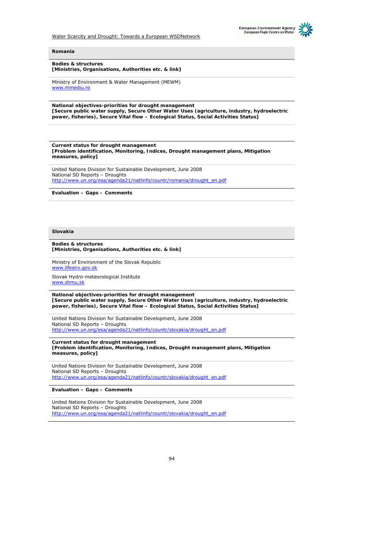



**Bodies & structures [Ministries, Organisations, Authorities etc. & link]**

Ministry of Environment & Water Management (MEWM) www.mmediu.ro

**National objectives-priorities for drought management [Secure public water supply, Secure Other Water Uses (agriculture, industry, hydroelectric power, fisheries), Secure Vital flow – Ecological Status, Social Activities Status]**

**Current status for drought management [Problem identification, Monitoring, Indices, Drought management plans, Mitigation measures, policy]**

United Nations Division for Sustainable Development, June 2008 National SD Reports – Droughts http://www.un.org/esa/agenda21/natlinfo/countr/romania/drought\_en.pdf

**Evaluation – Gaps – Comments** 

**Slovakia** 

**Bodies & structures [Ministries, Organisations, Authorities etc. & link]**

Ministry of Environment of the Slovak Republic www.lifeenv.gov.sk

Slovak Hydro-meteorological Institute www.shmu.sk

**National objectives-priorities for drought management [Secure public water supply, Secure Other Water Uses (agriculture, industry, hydroelectric power, fisheries), Secure Vital flow – Ecological Status, Social Activities Status]**

United Nations Division for Sustainable Development, June 2008 National SD Reports – Droughts http://www.un.org/esa/agenda21/natlinfo/countr/slovakia/drought\_en.pdf

**Current status for drought management [Problem identification, Monitoring, Indices, Drought management plans, Mitigation measures, policy]**

United Nations Division for Sustainable Development, June 2008 National SD Reports – Droughts http://www.un.org/esa/agenda21/natlinfo/countr/slovakia/drought\_en.pdf

**Evaluation – Gaps – Comments** 

United Nations Division for Sustainable Development, June 2008 National SD Reports – Droughts http://www.un.org/esa/agenda21/natlinfo/countr/slovakia/drought\_en.pdf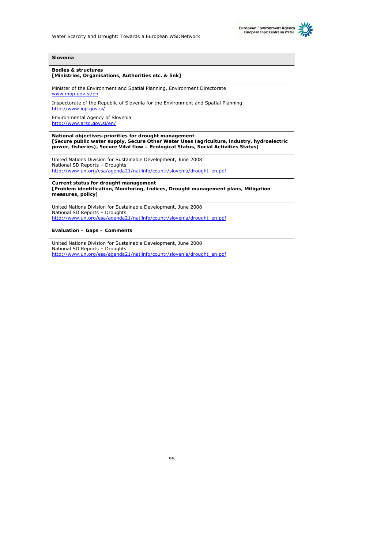



#### **Slovenia**

#### **Bodies & structures [Ministries, Organisations, Authorities etc. & link]**

Minister of the Environment and Spatial Planning, Environment Directorate www.mop.gov.si/en

Inspectorate of the Republic of Slovenia for the Environment and Spatial Planning http://www.iop.gov.si/

Environmental Agency of Slovenia http://www.arso.gov.si/en/

**National objectives-priorities for drought management [Secure public water supply, Secure Other Water Uses (agriculture, industry, hydroelectric power, fisheries), Secure Vital flow – Ecological Status, Social Activities Status]**

United Nations Division for Sustainable Development, June 2008 National SD Reports – Droughts http://www.un.org/esa/agenda21/natlinfo/countr/slovenia/drought\_en.pdf

**Current status for drought management [Problem identification, Monitoring, Indices, Drought management plans, Mitigation measures, policy]**

United Nations Division for Sustainable Development, June 2008 National SD Reports – Droughts http://www.un.org/esa/agenda21/natlinfo/countr/slovenia/drought\_en.pdf

## **Evaluation – Gaps – Comments**

United Nations Division for Sustainable Development, June 2008 National SD Reports – Droughts http://www.un.org/esa/agenda21/natlinfo/countr/slovenia/drought\_en.pdf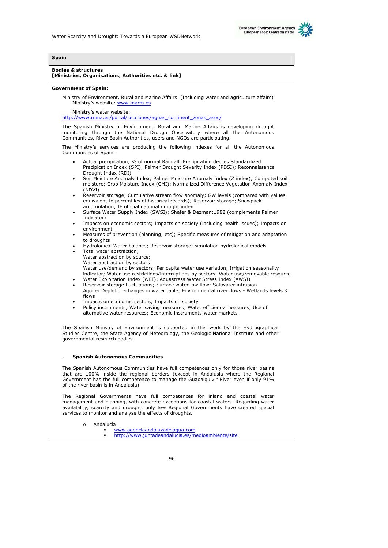



#### **Spain**

#### **Bodies & structures [Ministries, Organisations, Authorities etc. & link]**

#### **Government of Spain:**

Ministry of Environment, Rural and Marine Affairs (Including water and agriculture affairs) Ministry's website: www.marm.es

Ministry's water website:

http://www.mma.es/portal/secciones/aguas\_continent\_zonas\_asoc/

The Spanish Ministry of Environment, Rural and Marine Affairs is developing drought monitoring through the National Drough Observatory where all the Autonomous Communities, River Basin Authorities, users and NGOs are participating.

The Ministry's services are producing the following indexes for all the Autonomous Communities of Spain.

- Actual precipitation; % of normal Rainfall; Precipitation deciles Standardized Precipication Index (SPI); Palmer Drought Severity Index (PDSI); Reconnaissance Drought Index (RDI)
- Soil Moisture Anomaly Index; Palmer Moisture Anomaly Index (Z index); Computed soil moisture; Crop Moisture Index (CMI); Normalized Difference Vegetation Anomaly Index (NDVI)
- Reservoir storage; Cumulative stream flow anomaly; GW levels (compared with values equivalent to percentiles of historical records); Reservoir storage; Snowpack accumulation; IE official national drought index
- Surface Water Supply Index (SWSI): Shafer & Dezman;1982 (complements Palmer Indicator)
- Impacts on economic sectors; Impacts on society (including health issues); Impacts on environment
- Measures of prevention (planning; etc); Specific measures of mitigation and adaptation to droughts
- Hydrological Water balance; Reservoir storage; simulation hydrological models Total water abstraction;
- Water abstraction by source;
	- Water abstraction by sectors
	- Water use/demand by sectors; Per capita water use variation; Irrigation seasonality
- indicator; Water use restrictions/interruptions by sectors; Water use/removable resource • Water Exploitation Index (WEI); Aquastress Water Stress Index (AWSI)
- Reservoir storage fluctuations; Surface water low flow; Saltwater intrusion
- Aquifer Depletion-changes in water table; Environmental river flows Wetlands levels & flows
- Impacts on economic sectors; Impacts on society
- Policy instruments; Water saving measures; Water efficiency measures; Use of alternative water resources; Economic instruments-water markets

The Spanish Ministry of Environment is supported in this work by the Hydrographical Studies Centre, the State Agency of Meteorology, the Geologic National Institute and other governmental research bodies.

#### - **Spanish Autonomous Communities**

The Spanish Autonomous Communities have full competences only for those river basins that are 100% inside the regional borders (except in Andalusia where the Regional Government has the full competence to manage the Guadalquivir River even if only 91% of the river basin is in Andalusia).

The Regional Governments have full competences for inland and coastal water management and planning, with concrete exceptions for coastal waters. Regarding water availability, scarcity and drought, only few Regional Governments have created special services to monitor and analyse the effects of droughts.

- o Andalucía
	- www.agenciaandaluzadelagua.com
		- http://www.juntadeandalucia.es/medioambiente/site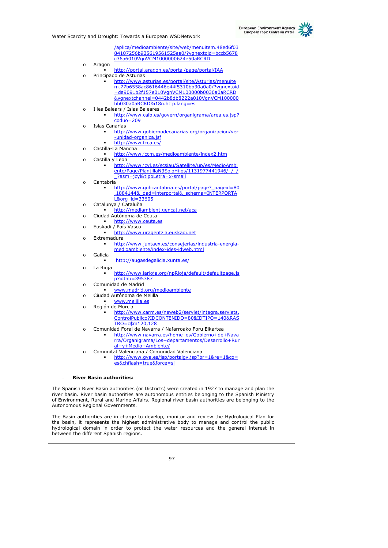

|          | /aplica/medioambiente/site/web/menuitem.48ed6f03<br>84107256b935619561525ea0/?vgnextoid=bccb5678<br>c36a6010VgnVCM1000000624e50aRCRD |
|----------|--------------------------------------------------------------------------------------------------------------------------------------|
| $\circ$  | Aragon<br>http://portal.aragon.es/portal/page/portal/IAA                                                                             |
| $\Omega$ | Principado de Asturias                                                                                                               |
|          | http://www.asturias.es/portal/site/Asturias/menuite                                                                                  |
|          | m.77b6558ac8616446e44f5310bb30a0a0/?vqnextoid                                                                                        |
|          | =da9091b2f157e010VgnVCM100000b0030a0aRCRD                                                                                            |
|          | &vgnextchannel=0442b8db8222a010VgnVCM100000                                                                                          |
|          | bb030a0aRCRD&i18n.http.lang=es                                                                                                       |
| $\circ$  | Illes Balears / Islas Baleares                                                                                                       |
|          | http://www.caib.es/govern/organigrama/area.es.jsp?                                                                                   |
|          | $coduo=209$                                                                                                                          |
| $\Omega$ | <b>Islas Canarias</b>                                                                                                                |
|          | http://www.gobiernodecanarias.org/organizacion/ver                                                                                   |
|          | -unidad-organica.jsf                                                                                                                 |
|          | http://www.fcca.es/                                                                                                                  |
| $\circ$  | Castilla-La Mancha                                                                                                                   |
|          | http://www.jccm.es/medioambiente/index2.htm<br>Castilla y Leon                                                                       |
| $\circ$  | http://www.jcyl.es/scsiau/Satellite/up/es/MedioAmbi                                                                                  |
|          | ente/Page/PlantillaN3SoloHijos/1131977441946/ / /                                                                                    |
|          | ?asm=jcyl&tipoLetra=x-small                                                                                                          |
| $\circ$  | Cantabria                                                                                                                            |
|          | http://www.gobcantabria.es/portal/page? pageid=80                                                                                    |
|          | ,1884144& dad=interportal& schema=INTERPORTA                                                                                         |
|          | L&org_id=33605                                                                                                                       |
| $\circ$  | Catalunya / Cataluña                                                                                                                 |
|          | http://mediambient.gencat.net/aca                                                                                                    |
| $\circ$  | Ciudad Autónoma de Ceuta                                                                                                             |
|          | http://www.ceuta.es                                                                                                                  |
| $\Omega$ | Euskadi / País Vasco                                                                                                                 |
|          | http://www.uragentzia.euskadi.net                                                                                                    |
| $\Omega$ | Extremadura                                                                                                                          |
|          | http://www.juntaex.es/consejerias/industria-energia-<br>medioambiente/index-ides-idweb.html                                          |
| $\circ$  | Galicia                                                                                                                              |
|          | http://augasdegalicia.xunta.es/                                                                                                      |
|          |                                                                                                                                      |
| O        | La Rioja<br>http://www.larioja.org/npRioja/default/defaultpage.js                                                                    |
|          | p?idtab=395387                                                                                                                       |
| $\circ$  | Comunidad de Madrid                                                                                                                  |
|          | www.madrid.org/medioambiente                                                                                                         |
| $\Omega$ | Ciudad Autónoma de Melilla                                                                                                           |
|          | www.melilla.es                                                                                                                       |
| $\Omega$ | Región de Murcia                                                                                                                     |
|          | http://www.carm.es/neweb2/servlet/integra.servlets.                                                                                  |
|          | ControlPublico?IDCONTENIDO=80&IDTIPO=140&RAS                                                                                         |
|          | TRO=c\$m120,128                                                                                                                      |
| $\circ$  | Comunidad Foral de Navarra / Nafarroako Foru Elkartea                                                                                |
|          | http://www.navarra.es/home_es/Gobierno+de+Nava                                                                                       |
|          | rra/Organigrama/Los+departamentos/Desarrollo+Rur                                                                                     |
|          | al+y+Medio+Ambiente/                                                                                                                 |
| $\Omega$ | Comunitat Valenciana / Comunidad Valenciana                                                                                          |
|          | http://www.qva.es/jsp/portalgv.jsp?br=1&re=1&co=<br>es&chflash=true&force=si                                                         |
|          |                                                                                                                                      |
|          |                                                                                                                                      |

#### - **River Basin authorities:**

The Spanish River Basin authorities (or Districts) were created in 1927 to manage and plan the river basin. River basin authorities are autonomous entities belonging to the Spanish Ministry of Environment, Rural and Marine Affairs. Regional river basin authorities are belonging to the Autonomous Regional Governments.

The Basin authorities are in charge to develop, monitor and review the Hydrological Plan for the basin, it represents the highest administrative body to manage and control the public hydrological domain in order to protect the water resources and the general interest in between the different Spanish regions.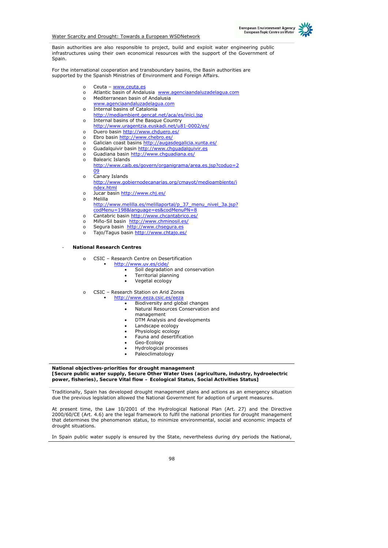

Basin authorities are also responsible to project, build and exploit water engineering public infrastructures using their own economical resources with the support of the Government of Spain.

For the international cooperation and transboundary basins, the Basin authorities are supported by the Spanish Ministries of Environment and Foreign Affairs.

- o Ceuta www.ceuta.es
- o Atlantic basin of Andalusia www.agenciaandaluzadelagua.com
- o Mediterranean basin of Andalusia
	- www.agenciaandaluzadelagua.com
- o Internal basins of Catalonia
- http://mediambient.gencat.net/aca/es/inici.jsp o Internal basins of the Basque Country
- http://www.uragentzia.euskadi.net/u81-0002/es/
- o Duero basin http://www.chduero.es/
- o Ebro basin http://www.chebro.es/
- o Galician coast basins http://augasdegalicia.xunta.es/
- o Guadalquivir basin http://www.chguadalquivir.es
- o Guadiana basin http://www.chguadiana.es/
- o Balearic Islands http://www.caib.es/govern/organigrama/area.es.jsp?coduo=2 09
- o Canary Islands
	- http://www.gobiernodecanarias.org/cmayot/medioambiente/i ndex.html
- o Jucar basin http://www.chj.es/ o Melilla
	- http://www.melilla.es/melillaportal/p\_37\_menu\_nivel\_3a.jsp? codMenu=198&language=es&codMenuPN=8
- o Cantabric basin http://www.chcantabrico.es/
- o Miño-Sil basin http://www.chminosil.es/
- o Segura basin http://www.chsegura.es
- o Tajo/Tagus basin http://www.chtajo.es/

- **National Research Centres** 

- o CSIC Research Centre on Desertification
	- http://www.uv.es/cide/
		- Soil degradation and conservation
			- Territorial planning
		- Vegetal ecology
- o CSIC Research Station on Arid Zones
	- http://www.eeza.csic.es/eeza
		- Biodiversity and global changes
		- Natural Resources Conservation and
		- management
		- DTM Analysis and developments
		- Landscape ecology
		- Physiologic ecology
		- Fauna and desertification
		- Geo-Ecology
		- Hydrological processes
		- Paleoclimatology

**National objectives-priorities for drought management [Secure public water supply, Secure Other Water Uses (agriculture, industry, hydroelectric power, fisheries), Secure Vital flow – Ecological Status, Social Activities Status]**

Traditionally, Spain has developed drought management plans and actions as an emergency situation due the previous legislation allowed the National Government for adoption of urgent measures.

At present time, the Law 10/2001 of the Hydrological National Plan (Art. 27) and the Directive 2000/60/CE (Art. 4.6) are the legal framework to fulfil the national priorities for drought management that determines the phenomenon status, to minimize environmental, social and economic impacts of drought situations.

In Spain public water supply is ensured by the State, nevertheless during dry periods the National,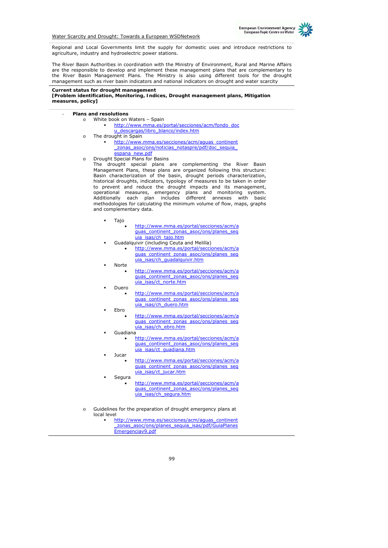Regional and Local Governments limit the supply for domestic uses and introduce restrictions to agriculture, industry and hydroelectric power stations.

The River Basin Authorities in coordination with the Ministry of Environment, Rural and Marine Affairs are the responsible to develop and implement these management plans that are complementary to the River Basin Management Plans. The Ministry is also using different tools for the drought management such as river basin indicators and national indicators on drought and water scarcity

## **Current status for drought management**

#### **[Problem identification, Monitoring, Indices, Drought management plans, Mitigation measures, policy]**

#### - **Plans and resolutions**

- o White book on Waters Spain http://www.mma.es/portal/secciones/acm/fondo\_doc u descargas/libro blanco/index.htm
- The drought in Spain http://www.mma.es/secciones/acm/aguas\_continent zonas asoc/ons/noticias notaspre/pdf/doc sequia espana\_new.pdf
- o Drought Special Plans for Basins The drought special plans are complementing the River Basin Management Plans, these plans are organized following this structure: Basin characterization of the basin, drought periods characterization, historical droughts, indicators, typology of measures to be taken in order to prevent and reduce the drought impacts and its management, operational measures, emergency plans and monitoring system. Additionally each plan includes different annexes with basic methodologies for calculating the minimum volume of flow, maps, graphs and complementary data.
	- Tajo
		- http://www.mma.es/portal/secciones/acm/a guas\_continent\_zonas\_asoc/ons/planes\_seq uia\_isas/ch\_tajo.htm
	- Guadalquivir (including Ceuta and Melilla)
		- http://www.mma.es/portal/secciones/acm/a quas continent zonas asoc/ons/planes seq uia\_isas/ch\_guadalquivir.htm Norte
		- http://www.mma.es/portal/secciones/acm/a guas\_continent\_zonas\_asoc/ons/planes\_seq uia\_isas/ct\_norte.htm
	- Duero
		- http://www.mma.es/portal/secciones/acm/a guas\_continent\_zonas\_asoc/ons/planes\_seq uia\_isas/ch\_duero.htm
	- Ebro
		- http://www.mma.es/portal/secciones/acm/a quas\_continent\_zonas\_asoc/ons/planes\_seq uia\_isas/ch\_ebro.htm
	- Guadiana
		- http://www.mma.es/portal/secciones/acm/a guas\_continent\_zonas\_asoc/ons/planes\_seq uia isas/ct\_guadiana.htm Jucar
		- http://www.mma.es/portal/secciones/acm/a guas\_continent\_zonas\_asoc/ons/planes\_seq uia\_isas/ct\_jucar.htm
	- Segura
		- http://www.mma.es/portal/secciones/acm/a guas\_continent\_zonas\_asoc/ons/planes\_seq uia\_isas/ch\_segura.htm
- o Guidelines for the preparation of drought emergency plans at local level
	- http://www.mma.es/secciones/acm/aguas\_continent \_zonas\_asoc/ons/planes\_sequia\_isas/pdf/GuiaPlanes Emergenciav9.pdf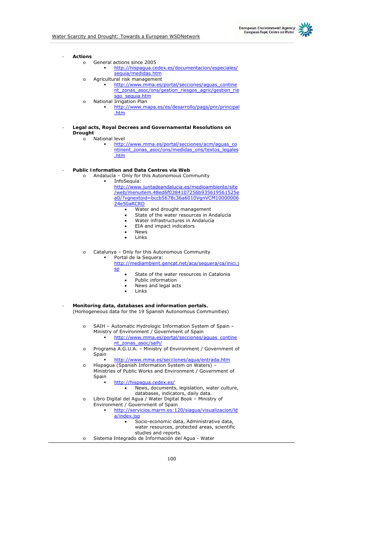

- **Actions** 
	- o General actions since 2005
		- http://hispagua.cedex.es/documentacion/especiales/ sequia/medidas.htm
	- o Agricultural risk management
	- http://www.mma.es/portal/secciones/aguas\_contine nt\_zonas\_asoc/ons/gestion\_riesgos\_agric/gestion\_rie sgo\_sequia.htm o National Irrigation Plan
		- http://www.mapa.es/es/desarrollo/pags/pnr/principal .htm
- **Legal acts, Royal Decrees and Governamental Resolutions on Drought** 
	- o National level

 http://www.mma.es/portal/secciones/acm/aguas\_co ntinent zonas asoc/ons/medidas ons/textos\_legales .htm

- **Public Information and Data Centres via Web** 
	- o Andalucía Only for this Autonomous Community InfoSequía: http://www.juntadeandalucia.es/medioambiente/site

/web/menuitem.48ed6f0384107256b935619561525e a0/?vgnextoid=bccb5678c36a6010VgnVCM10000006 24e50aRCRD

- Water and drought management
- State of the water resources in Andalucía
- Water infrastructures in Andalucía
- EIA and impact indicators
- **News**
- **Links**

o Catalunya – Only for this Autonomous Community

 Portal de la Sequera: http://mediambient.gencat.net/aca/sequera/ca/inici.j sp

- State of the water resources in Catalonia
- Public information
- News and legal acts
- Links
- **Monitoring data, databases and information portals.** (Homogeneous data for the 19 Spanish Autonomous Communities)
	- o SAIH Automatic Hydrologic Information System of Spain Ministry of Environment / Government of Spain
		- http://www.mma.es/portal/secciones/aguas\_contine nt\_zonas\_asoc/saih/
	- o Programa A.G.U.A. Ministry of Environment / Government of Spain
	- http://www.mma.es/secciones/agua/entrada.htm o Hispagua (Spanish Information System on Waters) –

Ministries of Public Works and Environment / Government of Spain

- http://hispagua.cedex.es/
	- News, documents, legislation, water culture,
	- databases, indicators, daily data.
- o Libro Digital del Agua / Water Digital Book Ministry of Environment / Government of Spain
	- http://servicios.marm.es:120/siagua/visualizacion/ld a/index.jsp
		- Socio-economic data, Administrative data, water resources, protected areas, scientific
	- studies and reports.
- o Sistema Integrado de Información del Agua Water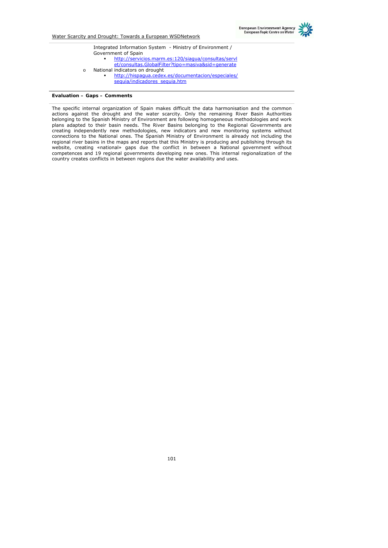

Integrated Information System - Ministry of Environment / Government of Spain http://servicios.marm.es:120/siagua/consultas/servl et/consultas.GlobalFilter?tipo=masiva&sid=generate o National indicators on drought http://hispagua.cedex.es/documentacion/especiales/ sequia/indicadores\_sequia.htm

#### **Evaluation – Gaps – Comments**

The specific internal organization of Spain makes difficult the data harmonisation and the common actions against the drought and the water scarcity. Only the remaining River Basin Authorities belonging to the Spanish Ministry of Environment are following homogeneous methodologies and work plans adapted to their basin needs. The River Basins belonging to the Regional Governments are creating independently new methodologies, new indicators and new monitoring systems without connections to the National ones. The Spanish Ministry of Environment is already not including the regional river basins in the maps and reports that this Ministry is producing and publishing through its website, creating «national» gaps due the conflict in between a National government without competences and 19 regional governments developing new ones. This internal regionalization of the country creates conflicts in between regions due the water availability and uses.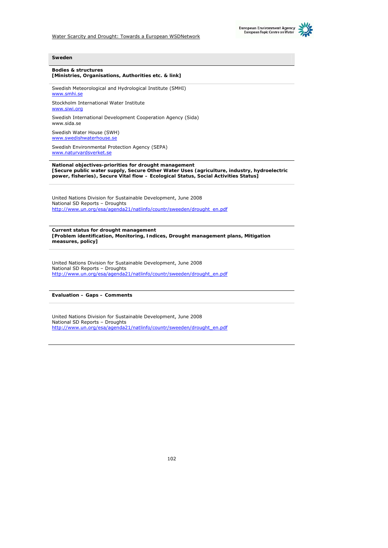



#### **Bodies & structures [Ministries, Organisations, Authorities etc. & link]**

Swedish Meteorological and Hydrological Institute (SMHI) www.smhi.s

Stockholm International Water Institute www.siwi.org

Swedish International Development Cooperation Agency (Sida) www.sida.se

Swedish Water House (SWH) www.swedishwaterhous

Swedish Environmental Protection Agency (SEPA) www.naturvardsverket.se

**National objectives-priorities for drought management [Secure public water supply, Secure Other Water Uses (agriculture, industry, hydroelectric power, fisheries), Secure Vital flow – Ecological Status, Social Activities Status]**

United Nations Division for Sustainable Development, June 2008 National SD Reports – Droughts http://www.un.org/esa/agenda21/natlinfo/countr/sweeden/drought\_en.pdf

**Current status for drought management [Problem identification, Monitoring, Indices, Drought management plans, Mitigation measures, policy]**

United Nations Division for Sustainable Development, June 2008 National SD Reports – Droughts http://www.un.org/esa/agenda21/natlinfo/countr/sweeden/drought\_en.pdf

**Evaluation – Gaps – Comments** 

United Nations Division for Sustainable Development, June 2008 National SD Reports – Droughts http://www.un.org/esa/agenda21/natlinfo/countr/sweeden/drought\_en.pdf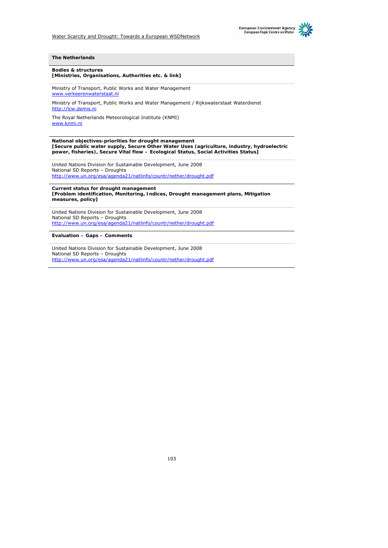



#### **The Netherlands**

#### **Bodies & structures [Ministries, Organisations, Authorities etc. & link]**

Ministry of Transport, Public Works and Water Management www.verkeerenwaterstaat.nl

Ministry of Transport, Public Works and Water Management / Rijkswaterstaat Waterdienst http://lcw.demis.ni

The Royal Netherlands Meteorological Institute (KNMI) www.knmi.nl

**National objectives-priorities for drought management [Secure public water supply, Secure Other Water Uses (agriculture, industry, hydroelectric power, fisheries), Secure Vital flow – Ecological Status, Social Activities Status]**

United Nations Division for Sustainable Development, June 2008 National SD Reports – Droughts http://www.un.org/esa/agenda21/natlinfo/countr/nether/drought.pdf

**Current status for drought management [Problem identification, Monitoring, Indices, Drought management plans, Mitigation measures, policy]**

United Nations Division for Sustainable Development, June 2008 National SD Reports – Droughts http://www.un.org/esa/agenda21/natlinfo/countr/nether/drought.pdf

**Evaluation – Gaps – Comments** 

United Nations Division for Sustainable Development, June 2008 National SD Reports – Droughts http://www.un.org/esa/agenda21/natlinfo/countr/nether/drought.pdf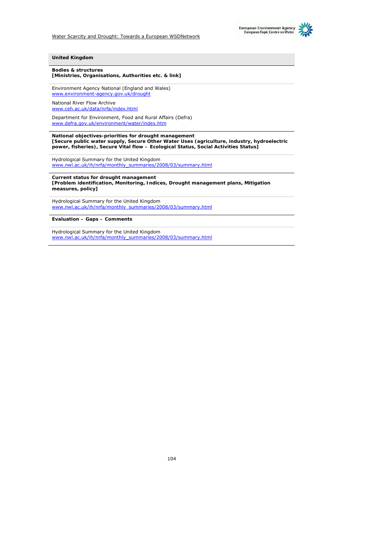



#### **United Kingdom**

**Bodies & structures [Ministries, Organisations, Authorities etc. & link]**

Environment Agency National (England and Wales) www.environment-agency.gov.uk/drought

National River Flow Archive www.ceh.ac.uk/data/nrfa/index.html

Department for Environment, Food and Rural Affairs (Defra) www.defra.gov.uk/environment/water/index.htm

**National objectives-priorities for drought management [Secure public water supply, Secure Other Water Uses (agriculture, industry, hydroelectric power, fisheries), Secure Vital flow – Ecological Status, Social Activities Status]**

Hydrological Summary for the United Kingdom www.nwl.ac.uk/ih/nrfa/monthly\_summaries/2008/03/summary.html

**Current status for drought management [Problem identification, Monitoring, Indices, Drought management plans, Mitigation measures, policy]**

Hydrological Summary for the United Kingdom www.nwl.ac.uk/ih/nrfa/monthly\_summaries/2008/03/summary.html

**Evaluation – Gaps – Comments** 

Hydrological Summary for the United Kingdom www.nwl.ac.uk/ih/nrfa/monthly\_summaries/2008/03/summary.html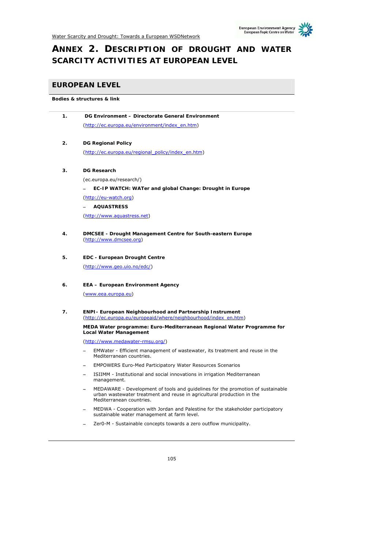# **ANNEX 2. DESCRIPTION OF DROUGHT AND WATER SCARCITY ACTIVITIES AT EUROPEAN LEVEL**

## **EUROPEAN LEVEL**

## **Bodies & structures & link**

| 1. | DG Environment - Directorate General Environment                                                                                                                                      |
|----|---------------------------------------------------------------------------------------------------------------------------------------------------------------------------------------|
|    | (http://ec.europa.eu/environment/index en.htm)                                                                                                                                        |
|    |                                                                                                                                                                                       |
| 2. | <b>DG Regional Policy</b>                                                                                                                                                             |
|    | (http://ec.europa.eu/regional policy/index en.htm)                                                                                                                                    |
| 3. | <b>DG Research</b>                                                                                                                                                                    |
|    | (ec.europa.eu/research/)                                                                                                                                                              |
|    | EC-IP WATCH: WATer and global Change: Drought in Europe                                                                                                                               |
|    | (http://eu-watch.org)                                                                                                                                                                 |
|    | <b>AQUASTRESS</b>                                                                                                                                                                     |
|    | (http://www.aquastress.net)                                                                                                                                                           |
|    |                                                                                                                                                                                       |
| 4. | DMCSEE - Drought Management Centre for South-eastern Europe<br>(http://www.dmcsee.org)                                                                                                |
| 5. | <b>EDC - European Drought Centre</b>                                                                                                                                                  |
|    | (http://www.geo.uio.no/edc/)                                                                                                                                                          |
| 6. | <b>EEA - European Environment Agency</b>                                                                                                                                              |
|    | (www.eea.europa.eu)                                                                                                                                                                   |
| 7. | <b>ENPI- European Neighbourhood and Partnership Instrument</b><br>(http://ec.europa.eu/europeaid/where/neighbourhood/index en.htm)                                                    |
|    | MEDA Water programme: Euro-Mediterranean Regional Water Programme for<br><b>Local Water Management</b>                                                                                |
|    | (http://www.medawater-rmsu.org/)                                                                                                                                                      |
|    | EMWater - Efficient management of wastewater, its treatment and reuse in the<br>Mediterranean countries.                                                                              |
|    | <b>EMPOWERS Euro-Med Participatory Water Resources Scenarios</b>                                                                                                                      |
|    | ISIIMM - Institutional and social innovations in irrigation Mediterranean<br>management.                                                                                              |
|    | MEDAWARE - Development of tools and guidelines for the promotion of sustainable<br>urban wastewater treatment and reuse in agricultural production in the<br>Mediterranean countries. |
|    | MEDWA - Cooperation with Jordan and Palestine for the stakeholder participatory<br>sustainable water management at farm level.                                                        |

− Zer0-M - Sustainable concepts towards a zero outflow municipality.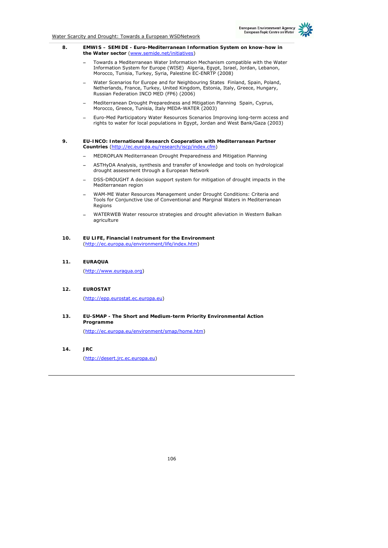#### **8. EMWIS – SEMIDE - Euro-Mediterranean Information System on know-how in the Water sector** (www.semide.net/initiatives)

- − Towards a Mediterranean Water Information Mechanism compatible with the Water Information System for Europe (WISE) Algeria, Egypt, Israel, Jordan, Lebanon, Morocco, Tunisia, Turkey, Syria, Palestine EC-ENRTP (2008)
- − Water Scenarios for Europe and for Neighbouring States Finland, Spain, Poland, Netherlands, France, Turkey, United Kingdom, Estonia, Italy, Greece, Hungary, Russian Federation INCO MED (FP6) (2006)
- − Mediterranean Drought Preparedness and Mitigation Planning Spain, Cyprus, Morocco, Greece, Tunisia, Italy MEDA-WATER (2003)
- − Euro-Med Participatory Water Resources Scenarios Improving long-term access and rights to water for local populations in Egypt, Jordan and West Bank/Gaza (2003)

#### **9. EU-INCO: International Research Cooperation with Mediterranean Partner Countries** (http://ec.europa.eu/research/iscp/index.cfm)

- − MEDROPLAN Mediterranean Drought Preparedness and Mitigation Planning
- − ASTHyDA Analysis, synthesis and transfer of knowledge and tools on hydrological drought assessment through a European Network
- DSS-DROUGHT A decision support system for mitigation of drought impacts in the Mediterranean region
- − WAM-ME Water Resources Management under Drought Conditions: Criteria and Tools for Conjunctive Use of Conventional and Marginal Waters in Mediterranean Regions
- − WATERWEB Water resource strategies and drought alleviation in Western Balkan agriculture
- **10. EU LIFE, Financial Instrument for the Environment** (http://ec.europa.eu/environment/life/index.htm)
- **11. EURAQUA**

(http://www.euraqua.org)

## **12. EUROSTAT**

(http://epp.eurostat.ec.europa.eu)

**13. EU-SMAP - The Short and Medium-term Priority Environmental Action Programme**

(http://ec.europa.eu/environment/smap/home.htm)

**14. JRC** 

(http://desert.jrc.ec.europa.eu)